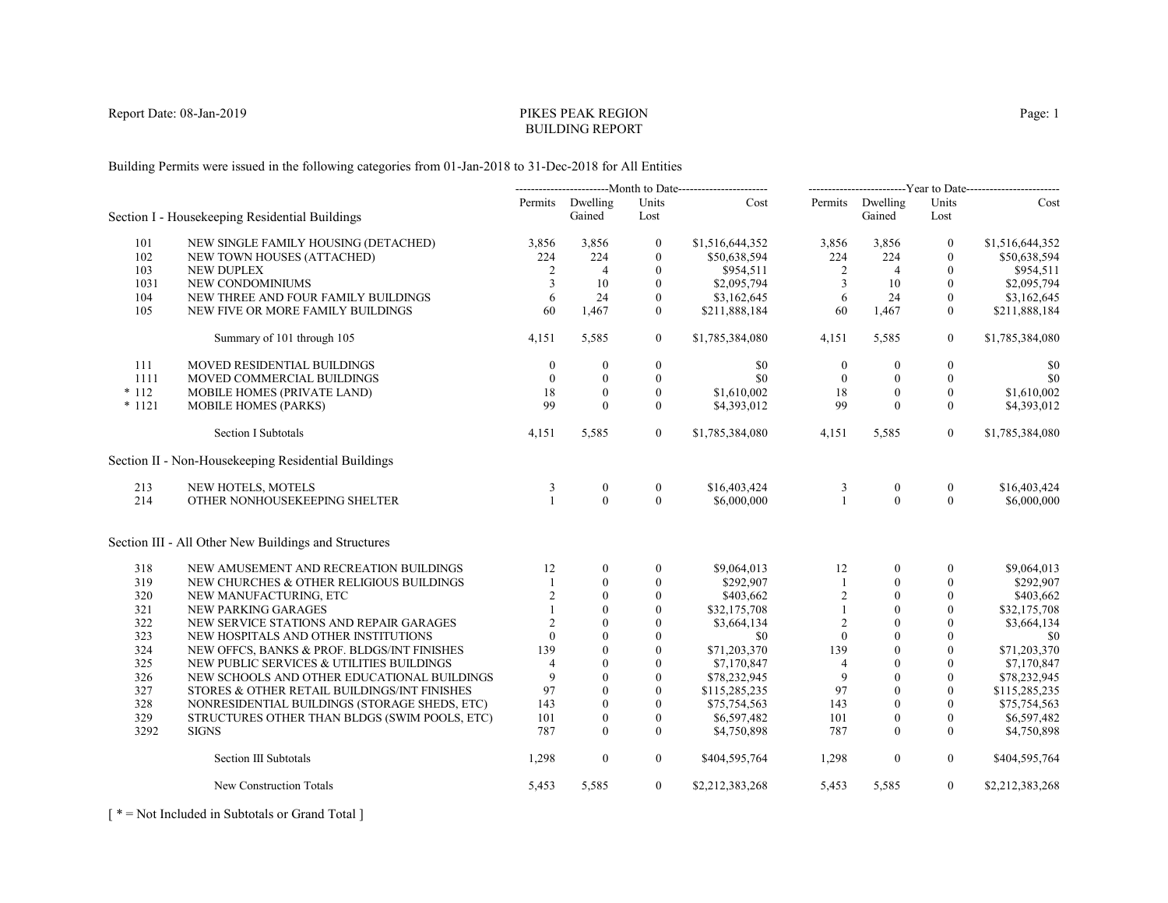# PIKES PEAK REGIONBUILDING REPORT

Building Permits were issued in the following categories from 01-Jan-2018 to 31-Dec-2018 for All Entities

|          |                                                      | ---------------------------Month to Date------------------------ |                            |                  | -------------------------Year to Date------------------------ |                  |                            |                  |                 |
|----------|------------------------------------------------------|------------------------------------------------------------------|----------------------------|------------------|---------------------------------------------------------------|------------------|----------------------------|------------------|-----------------|
|          | Section I - Housekeeping Residential Buildings       |                                                                  | Permits Dwelling<br>Gained | Units<br>Lost    | Cost                                                          |                  | Permits Dwelling<br>Gained | Units<br>Lost    | Cost            |
| 101      | NEW SINGLE FAMILY HOUSING (DETACHED)                 | 3,856                                                            | 3,856                      | $\mathbf{0}$     | \$1,516,644,352                                               | 3,856            | 3,856                      | $\mathbf{0}$     | \$1,516,644,352 |
| 102      | NEW TOWN HOUSES (ATTACHED)                           | 224                                                              | 224                        | $\mathbf{0}$     | \$50,638,594                                                  | 224              | 224                        | $\mathbf{0}$     | \$50,638,594    |
| 103      | <b>NEW DUPLEX</b>                                    | 2                                                                | $\overline{4}$             | $\mathbf{0}$     | \$954,511                                                     | $\overline{2}$   | $\overline{4}$             | $\theta$         | \$954,511       |
| 1031     | NEW CONDOMINIUMS                                     | 3                                                                | 10                         | $\boldsymbol{0}$ | \$2,095,794                                                   | 3                | 10                         | $\mathbf{0}$     | \$2,095,794     |
| 104      | NEW THREE AND FOUR FAMILY BUILDINGS                  | 6                                                                | 24                         | $\mathbf{0}$     | \$3,162,645                                                   | 6                | 24                         | $\mathbf{0}$     | \$3,162,645     |
| 105      | NEW FIVE OR MORE FAMILY BUILDINGS                    | 60                                                               | 1,467                      | $\Omega$         | \$211,888,184                                                 | 60               | 1,467                      | $\mathbf{0}$     | \$211,888,184   |
|          | Summary of 101 through 105                           | 4,151                                                            | 5,585                      | $\overline{0}$   | \$1,785,384,080                                               | 4,151            | 5,585                      | $\overline{0}$   | \$1,785,384,080 |
| 111      | MOVED RESIDENTIAL BUILDINGS                          | $\mathbf{0}$                                                     | $\boldsymbol{0}$           | $\boldsymbol{0}$ | \$0                                                           | $\boldsymbol{0}$ | $\mathbf{0}$               | $\boldsymbol{0}$ | \$0             |
| 1111     | MOVED COMMERCIAL BUILDINGS                           | $\theta$                                                         | $\mathbf{0}$               | $\mathbf{0}$     | \$0                                                           | $\theta$         | $\mathbf{0}$               | $\mathbf{0}$     | \$0             |
| $*112$   | MOBILE HOMES (PRIVATE LAND)                          | 18                                                               | $\theta$                   | $\Omega$         | \$1,610,002                                                   | 18               | $\theta$                   | $\theta$         | \$1,610,002     |
| $* 1121$ | <b>MOBILE HOMES (PARKS)</b>                          | 99                                                               | $\theta$                   | $\mathbf{0}$     | \$4,393,012                                                   | 99               | $\theta$                   | $\theta$         | \$4,393,012     |
|          | <b>Section I Subtotals</b>                           | 4,151                                                            | 5,585                      | $\overline{0}$   | \$1,785,384,080                                               | 4,151            | 5,585                      | $\overline{0}$   | \$1,785,384,080 |
|          | Section II - Non-Housekeeping Residential Buildings  |                                                                  |                            |                  |                                                               |                  |                            |                  |                 |
| 213      | NEW HOTELS, MOTELS                                   | 3                                                                | $\boldsymbol{0}$           | $\boldsymbol{0}$ | \$16,403,424                                                  | 3                | $\boldsymbol{0}$           | $\mathbf{0}$     | \$16,403,424    |
| 214      | OTHER NONHOUSEKEEPING SHELTER                        | $\overline{1}$                                                   | $\theta$                   | $\Omega$         | \$6,000,000                                                   | $\mathbf{1}$     | $\theta$                   | $\theta$         | \$6,000,000     |
|          | Section III - All Other New Buildings and Structures |                                                                  |                            |                  |                                                               |                  |                            |                  |                 |
| 318      | NEW AMUSEMENT AND RECREATION BUILDINGS               | 12                                                               | $\mathbf{0}$               | $\mathbf{0}$     | \$9,064,013                                                   | 12               | $\theta$                   | $\theta$         | \$9,064,013     |
| 319      | NEW CHURCHES & OTHER RELIGIOUS BUILDINGS             |                                                                  | $\mathbf{0}$               | $\mathbf{0}$     | \$292,907                                                     | 1                | $\mathbf{0}$               | $\mathbf{0}$     | \$292,907       |
| 320      | NEW MANUFACTURING, ETC                               | 2                                                                | $\mathbf{0}$               | $\boldsymbol{0}$ | \$403,662                                                     | 2                | $\mathbf{0}$               | $\boldsymbol{0}$ | \$403,662       |
| 321      | NEW PARKING GARAGES                                  |                                                                  | $\theta$                   | $\mathbf{0}$     | \$32,175,708                                                  | $\mathbf{1}$     | $\mathbf{0}$               | $\mathbf{0}$     | \$32,175,708    |
| 322      | NEW SERVICE STATIONS AND REPAIR GARAGES              | 2                                                                | $\theta$                   | $\theta$         | \$3,664,134                                                   | $\overline{2}$   | $\Omega$                   | $\mathbf{0}$     | \$3,664,134     |
| 323      | NEW HOSPITALS AND OTHER INSTITUTIONS                 | $\theta$                                                         | $\theta$                   | $\mathbf{0}$     | \$0                                                           | $\theta$         | $\theta$                   | $\mathbf{0}$     | \$0             |
| 324      | NEW OFFCS, BANKS & PROF. BLDGS/INT FINISHES          | 139                                                              | $\theta$                   | $\mathbf{0}$     | \$71,203,370                                                  | 139              | $\mathbf{0}$               | $\mathbf{0}$     | \$71,203,370    |
| 325      | NEW PUBLIC SERVICES & UTILITIES BUILDINGS            | $\overline{4}$                                                   | $\theta$                   | $\theta$         | \$7,170,847                                                   | $\overline{4}$   | $\theta$                   | $\theta$         | \$7,170,847     |
| 326      | NEW SCHOOLS AND OTHER EDUCATIONAL BUILDINGS          | 9                                                                | $\theta$                   | $\boldsymbol{0}$ | \$78,232,945                                                  | 9                | $\mathbf{0}$               | $\mathbf{0}$     | \$78,232,945    |
| 327      | STORES & OTHER RETAIL BUILDINGS/INT FINISHES         | 97                                                               | $\mathbf{0}$               | $\theta$         | \$115,285,235                                                 | 97               | $\theta$                   | $\theta$         | \$115,285,235   |
| 328      | NONRESIDENTIAL BUILDINGS (STORAGE SHEDS, ETC)        | 143                                                              | $\Omega$                   | $\theta$         | \$75,754,563                                                  | 143              | $\Omega$                   | $\Omega$         | \$75,754,563    |
| 329      | STRUCTURES OTHER THAN BLDGS (SWIM POOLS, ETC)        | 101                                                              | $\mathbf{0}$               | $\boldsymbol{0}$ | \$6,597,482                                                   | 101              | $\mathbf{0}$               | $\mathbf{0}$     | \$6,597,482     |
| 3292     | <b>SIGNS</b>                                         | 787                                                              | $\theta$                   | $\Omega$         | \$4,750,898                                                   | 787              | $\theta$                   | $\mathbf{0}$     | \$4,750,898     |
|          | Section III Subtotals                                | 1,298                                                            | $\mathbf{0}$               | $\overline{0}$   | \$404,595,764                                                 | 1,298            | $\boldsymbol{0}$           | $\overline{0}$   | \$404,595,764   |
|          | New Construction Totals                              | 5,453                                                            | 5,585                      | $\overline{0}$   | \$2,212,383,268                                               | 5,453            | 5,585                      | $\overline{0}$   | \$2,212,383,268 |

[ \* = Not Included in Subtotals or Grand Total ]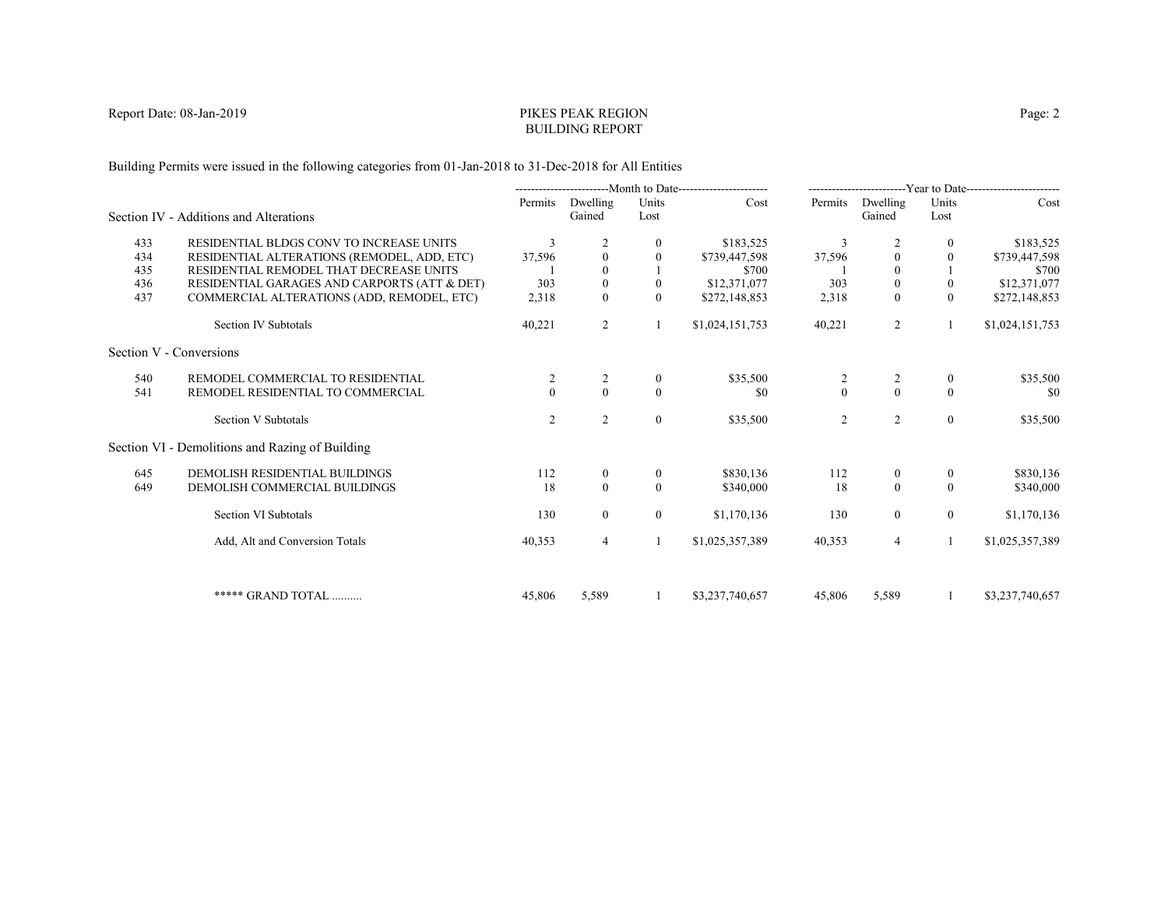# PIKES PEAK REGIONBUILDING REPORT

Building Permits were issued in the following categories from 01-Jan-2018 to 31-Dec-2018 for All Entities

|     |                                                 |          |                    |                | ----------------------Month to Date---------------------- |              |                    |                | -------------------------Year to Date------------------------ |
|-----|-------------------------------------------------|----------|--------------------|----------------|-----------------------------------------------------------|--------------|--------------------|----------------|---------------------------------------------------------------|
|     | Section IV - Additions and Alterations          | Permits  | Dwelling<br>Gained | Units<br>Lost  | Cost                                                      | Permits      | Dwelling<br>Gained | Units<br>Lost  | Cost                                                          |
| 433 | RESIDENTIAL BLDGS CONV TO INCREASE UNITS        | 3        |                    | 0              | \$183,525                                                 | 3            |                    | $\mathbf{0}$   | \$183,525                                                     |
| 434 | RESIDENTIAL ALTERATIONS (REMODEL, ADD, ETC)     | 37,596   | $\mathbf{0}$       | $\theta$       | \$739,447,598                                             | 37,596       | $\mathbf{0}$       | $\mathbf{0}$   | \$739,447,598                                                 |
| 435 | RESIDENTIAL REMODEL THAT DECREASE UNITS         |          |                    |                | \$700                                                     |              | $\theta$           |                | \$700                                                         |
| 436 | RESIDENTIAL GARAGES AND CARPORTS (ATT & DET)    | 303      | $\boldsymbol{0}$   | $\mathbf{0}$   | \$12,371,077                                              | 303          | $\boldsymbol{0}$   | $\mathbf{0}$   | \$12,371,077                                                  |
| 437 | COMMERCIAL ALTERATIONS (ADD, REMODEL, ETC)      | 2,318    | $\Omega$           | $\Omega$       | \$272,148,853                                             | 2,318        | $\theta$           | $\theta$       | \$272,148,853                                                 |
|     | Section IV Subtotals                            | 40,221   | 2                  |                | \$1,024,151,753                                           | 40,221       | $\overline{2}$     | 1              | \$1,024,151,753                                               |
|     | Section V - Conversions                         |          |                    |                |                                                           |              |                    |                |                                                               |
| 540 | REMODEL COMMERCIAL TO RESIDENTIAL               |          | 2                  | $\overline{0}$ | \$35,500                                                  | 2            | 2                  | $\bf{0}$       | \$35,500                                                      |
| 541 | REMODEL RESIDENTIAL TO COMMERCIAL               | $\Omega$ | $\theta$           | $\theta$       | \$0                                                       | $\mathbf{0}$ | $\theta$           | $\Omega$       | -\$0                                                          |
|     | Section V Subtotals                             | 2        | 2                  | $\mathbf{0}$   | \$35,500                                                  | 2            | 2                  | $\overline{0}$ | \$35,500                                                      |
|     | Section VI - Demolitions and Razing of Building |          |                    |                |                                                           |              |                    |                |                                                               |
| 645 | DEMOLISH RESIDENTIAL BUILDINGS                  | 112      | $\overline{0}$     | $\theta$       | \$830,136                                                 | 112          | $\boldsymbol{0}$   | $\mathbf{0}$   | \$830,136                                                     |
| 649 | DEMOLISH COMMERCIAL BUILDINGS                   | 18       | $\mathbf{0}$       | $\Omega$       | \$340,000                                                 | 18           | $\mathbf{0}$       | $\theta$       | \$340,000                                                     |
|     | Section VI Subtotals                            | 130      | $\overline{0}$     | $\theta$       | \$1,170,136                                               | 130          | $\overline{0}$     | $\overline{0}$ | \$1,170,136                                                   |
|     | Add, Alt and Conversion Totals                  | 40,353   | 4                  |                | \$1,025,357,389                                           | 40,353       | $\overline{4}$     | 1              | \$1,025,357,389                                               |
|     |                                                 |          |                    |                |                                                           |              |                    |                |                                                               |
|     | ***** GRAND TOTAL                               | 45,806   | 5,589              |                | \$3,237,740,657                                           | 45,806       | 5,589              |                | \$3,237,740,657                                               |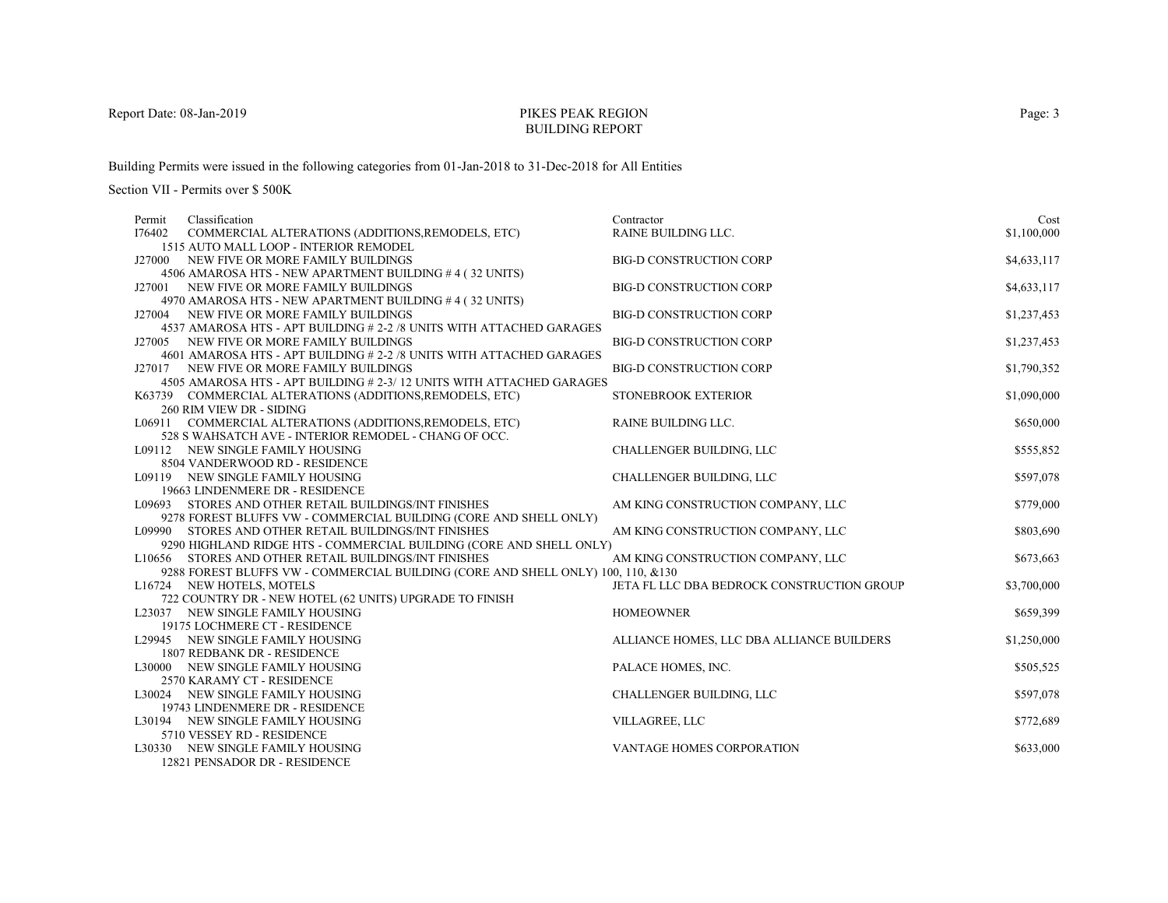# PIKES PEAK REGIONBUILDING REPORT

Building Permits were issued in the following categories from 01-Jan-2018 to 31-Dec-2018 for All Entities

| Classification<br>Permit                                                                                                     | Contractor                                 | Cost        |
|------------------------------------------------------------------------------------------------------------------------------|--------------------------------------------|-------------|
| I76402<br>COMMERCIAL ALTERATIONS (ADDITIONS, REMODELS, ETC)                                                                  | <b>RAINE BUILDING LLC.</b>                 | \$1,100,000 |
| 1515 AUTO MALL LOOP - INTERIOR REMODEL                                                                                       |                                            |             |
| J27000 NEW FIVE OR MORE FAMILY BUILDINGS                                                                                     | <b>BIG-D CONSTRUCTION CORP</b>             | \$4,633,117 |
| 4506 AMAROSA HTS - NEW APARTMENT BUILDING #4 (32 UNITS)                                                                      |                                            |             |
| J27001 NEW FIVE OR MORE FAMILY BUILDINGS                                                                                     | <b>BIG-D CONSTRUCTION CORP</b>             | \$4,633,117 |
| 4970 AMAROSA HTS - NEW APARTMENT BUILDING #4 (32 UNITS)                                                                      |                                            |             |
| J27004 NEW FIVE OR MORE FAMILY BUILDINGS<br>4537 AMAROSA HTS - APT BUILDING # 2-2 /8 UNITS WITH ATTACHED GARAGES             | <b>BIG-D CONSTRUCTION CORP</b>             | \$1,237,453 |
| J27005 NEW FIVE OR MORE FAMILY BUILDINGS                                                                                     | <b>BIG-D CONSTRUCTION CORP</b>             | \$1,237,453 |
| 4601 AMAROSA HTS - APT BUILDING # 2-2 /8 UNITS WITH ATTACHED GARAGES                                                         |                                            |             |
| J27017 NEW FIVE OR MORE FAMILY BUILDINGS                                                                                     | <b>BIG-D CONSTRUCTION CORP</b>             | \$1,790,352 |
| 4505 AMAROSA HTS - APT BUILDING # 2-3/12 UNITS WITH ATTACHED GARAGES                                                         |                                            |             |
| K63739 COMMERCIAL ALTERATIONS (ADDITIONS, REMODELS, ETC)                                                                     | STONEBROOK EXTERIOR                        | \$1,090,000 |
| 260 RIM VIEW DR - SIDING                                                                                                     |                                            |             |
| L06911 COMMERCIAL ALTERATIONS (ADDITIONS, REMODELS, ETC)                                                                     | RAINE BUILDING LLC.                        | \$650,000   |
| 528 S WAHSATCH AVE - INTERIOR REMODEL - CHANG OF OCC.                                                                        |                                            |             |
| L09112 NEW SINGLE FAMILY HOUSING                                                                                             | <b>CHALLENGER BUILDING, LLC</b>            | \$555,852   |
| 8504 VANDERWOOD RD - RESIDENCE                                                                                               |                                            |             |
| L09119 NEW SINGLE FAMILY HOUSING                                                                                             | CHALLENGER BUILDING, LLC                   | \$597,078   |
| 19663 LINDENMERE DR - RESIDENCE                                                                                              |                                            |             |
| L09693 STORES AND OTHER RETAIL BUILDINGS/INT FINISHES                                                                        | AM KING CONSTRUCTION COMPANY, LLC          | \$779,000   |
| 9278 FOREST BLUFFS VW - COMMERCIAL BUILDING (CORE AND SHELL ONLY)                                                            |                                            |             |
| L09990 STORES AND OTHER RETAIL BUILDINGS/INT FINISHES                                                                        | AM KING CONSTRUCTION COMPANY, LLC          | \$803,690   |
| 9290 HIGHLAND RIDGE HTS - COMMERCIAL BUILDING (CORE AND SHELL ONLY)<br>L10656 STORES AND OTHER RETAIL BUILDINGS/INT FINISHES | AM KING CONSTRUCTION COMPANY, LLC          | \$673,663   |
| 9288 FOREST BLUFFS VW - COMMERCIAL BUILDING (CORE AND SHELL ONLY) 100, 110, &130                                             |                                            |             |
| L16724 NEW HOTELS, MOTELS                                                                                                    | JETA FL LLC DBA BEDROCK CONSTRUCTION GROUP | \$3,700,000 |
| 722 COUNTRY DR - NEW HOTEL (62 UNITS) UPGRADE TO FINISH                                                                      |                                            |             |
| L23037 NEW SINGLE FAMILY HOUSING                                                                                             | <b>HOMEOWNER</b>                           | \$659,399   |
| 19175 LOCHMERE CT - RESIDENCE                                                                                                |                                            |             |
| L29945 NEW SINGLE FAMILY HOUSING                                                                                             | ALLIANCE HOMES, LLC DBA ALLIANCE BUILDERS  | \$1,250,000 |
| 1807 REDBANK DR - RESIDENCE                                                                                                  |                                            |             |
| L30000 NEW SINGLE FAMILY HOUSING                                                                                             | PALACE HOMES, INC.                         | \$505,525   |
| 2570 KARAMY CT - RESIDENCE                                                                                                   |                                            |             |
| L30024 NEW SINGLE FAMILY HOUSING                                                                                             | <b>CHALLENGER BUILDING, LLC</b>            | \$597,078   |
| 19743 LINDENMERE DR - RESIDENCE                                                                                              |                                            |             |
| L30194 NEW SINGLE FAMILY HOUSING                                                                                             | VILLAGREE, LLC                             | \$772,689   |
| 5710 VESSEY RD - RESIDENCE                                                                                                   |                                            |             |
| L30330 NEW SINGLE FAMILY HOUSING                                                                                             | VANTAGE HOMES CORPORATION                  | \$633,000   |
| 12821 PENSADOR DR - RESIDENCE                                                                                                |                                            |             |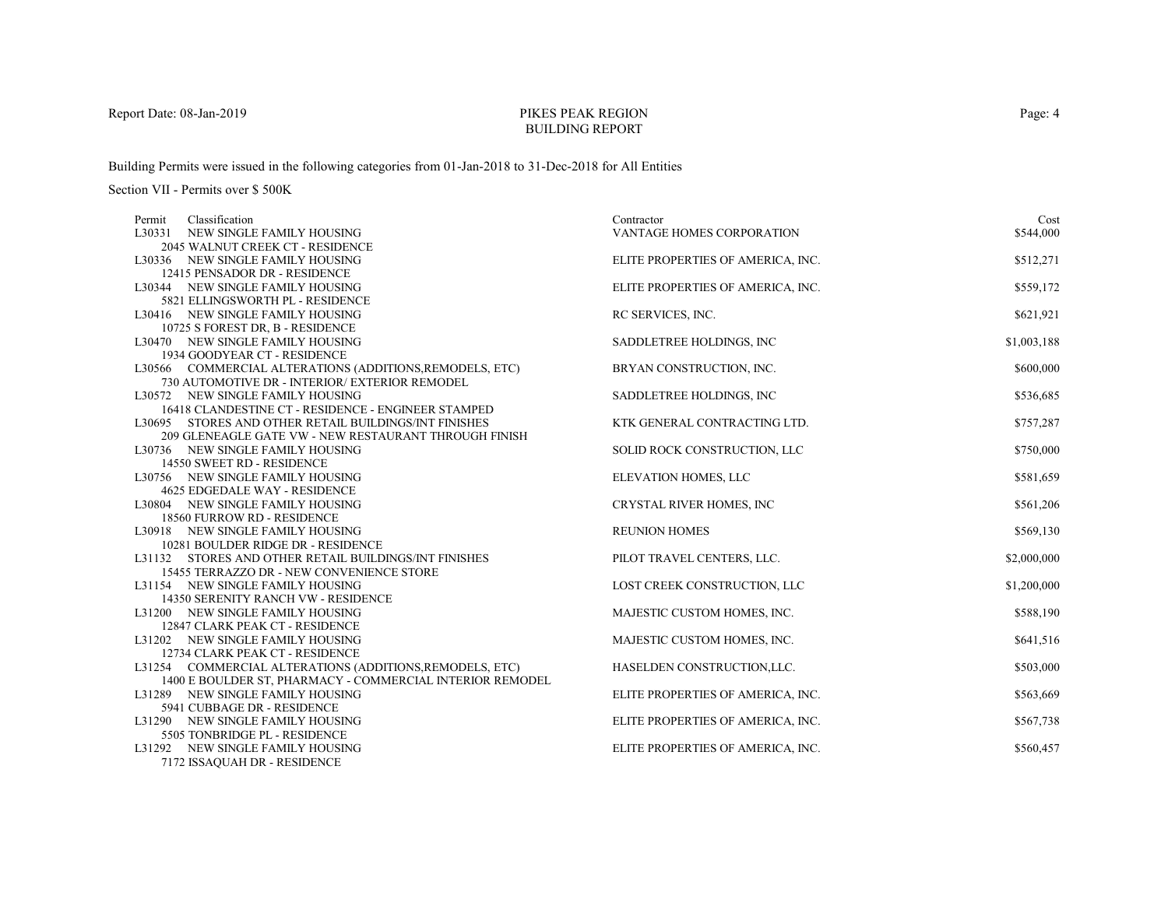# PIKES PEAK REGIONBUILDING REPORT

Building Permits were issued in the following categories from 01-Jan-2018 to 31-Dec-2018 for All Entities

Section VII - Permits over \$ 500K

| Classification<br>Permit                                        | Contractor                        | Cost        |
|-----------------------------------------------------------------|-----------------------------------|-------------|
| L30331 NEW SINGLE FAMILY HOUSING                                | VANTAGE HOMES CORPORATION         | \$544,000   |
| <b>2045 WALNUT CREEK CT - RESIDENCE</b>                         |                                   |             |
| L30336 NEW SINGLE FAMILY HOUSING                                | ELITE PROPERTIES OF AMERICA, INC. | \$512,271   |
| 12415 PENSADOR DR - RESIDENCE                                   |                                   |             |
| L30344 NEW SINGLE FAMILY HOUSING                                | ELITE PROPERTIES OF AMERICA, INC. | \$559,172   |
| 5821 ELLINGSWORTH PL - RESIDENCE                                |                                   |             |
| L30416 NEW SINGLE FAMILY HOUSING                                | RC SERVICES, INC.                 | \$621,921   |
| 10725 S FOREST DR, B - RESIDENCE                                |                                   |             |
| L30470 NEW SINGLE FAMILY HOUSING                                | SADDLETREE HOLDINGS, INC          | \$1,003,188 |
| 1934 GOODYEAR CT - RESIDENCE                                    |                                   |             |
| L30566 COMMERCIAL ALTERATIONS (ADDITIONS, REMODELS, ETC)        | BRYAN CONSTRUCTION, INC.          | \$600,000   |
| 730 AUTOMOTIVE DR - INTERIOR/ EXTERIOR REMODEL                  |                                   |             |
| L30572 NEW SINGLE FAMILY HOUSING                                | SADDLETREE HOLDINGS, INC          | \$536,685   |
| 16418 CLANDESTINE CT - RESIDENCE - ENGINEER STAMPED             |                                   |             |
| L30695 STORES AND OTHER RETAIL BUILDINGS/INT FINISHES           | KTK GENERAL CONTRACTING LTD.      | \$757,287   |
| 209 GLENEAGLE GATE VW - NEW RESTAURANT THROUGH FINISH           |                                   |             |
| L30736 NEW SINGLE FAMILY HOUSING                                | SOLID ROCK CONSTRUCTION, LLC      | \$750,000   |
| 14550 SWEET RD - RESIDENCE                                      |                                   |             |
| L30756 NEW SINGLE FAMILY HOUSING                                | ELEVATION HOMES, LLC              | \$581,659   |
| <b>4625 EDGEDALE WAY - RESIDENCE</b>                            |                                   |             |
| L30804 NEW SINGLE FAMILY HOUSING                                | CRYSTAL RIVER HOMES, INC          | \$561,206   |
| 18560 FURROW RD - RESIDENCE<br>L30918 NEW SINGLE FAMILY HOUSING | <b>REUNION HOMES</b>              | \$569,130   |
| 10281 BOULDER RIDGE DR - RESIDENCE                              |                                   |             |
| L31132 STORES AND OTHER RETAIL BUILDINGS/INT FINISHES           | PILOT TRAVEL CENTERS, LLC.        | \$2,000,000 |
| 15455 TERRAZZO DR - NEW CONVENIENCE STORE                       |                                   |             |
| L31154 NEW SINGLE FAMILY HOUSING                                | LOST CREEK CONSTRUCTION, LLC      | \$1,200,000 |
| 14350 SERENITY RANCH VW - RESIDENCE                             |                                   |             |
| L31200 NEW SINGLE FAMILY HOUSING                                | MAJESTIC CUSTOM HOMES, INC.       | \$588,190   |
| 12847 CLARK PEAK CT - RESIDENCE                                 |                                   |             |
| L31202 NEW SINGLE FAMILY HOUSING                                | MAJESTIC CUSTOM HOMES, INC.       | \$641,516   |
| 12734 CLARK PEAK CT - RESIDENCE                                 |                                   |             |
| L31254 COMMERCIAL ALTERATIONS (ADDITIONS, REMODELS, ETC)        | HASELDEN CONSTRUCTION, LLC.       | \$503,000   |
| 1400 E BOULDER ST, PHARMACY - COMMERCIAL INTERIOR REMODEL       |                                   |             |
| L31289 NEW SINGLE FAMILY HOUSING                                | ELITE PROPERTIES OF AMERICA, INC. | \$563,669   |
| 5941 CUBBAGE DR - RESIDENCE                                     |                                   |             |
| L31290 NEW SINGLE FAMILY HOUSING                                | ELITE PROPERTIES OF AMERICA, INC. | \$567,738   |
| 5505 TONBRIDGE PL - RESIDENCE                                   |                                   |             |
| L31292 NEW SINGLE FAMILY HOUSING                                | ELITE PROPERTIES OF AMERICA, INC. | \$560,457   |
| 7172 ISSAQUAH DR - RESIDENCE                                    |                                   |             |

Page: 4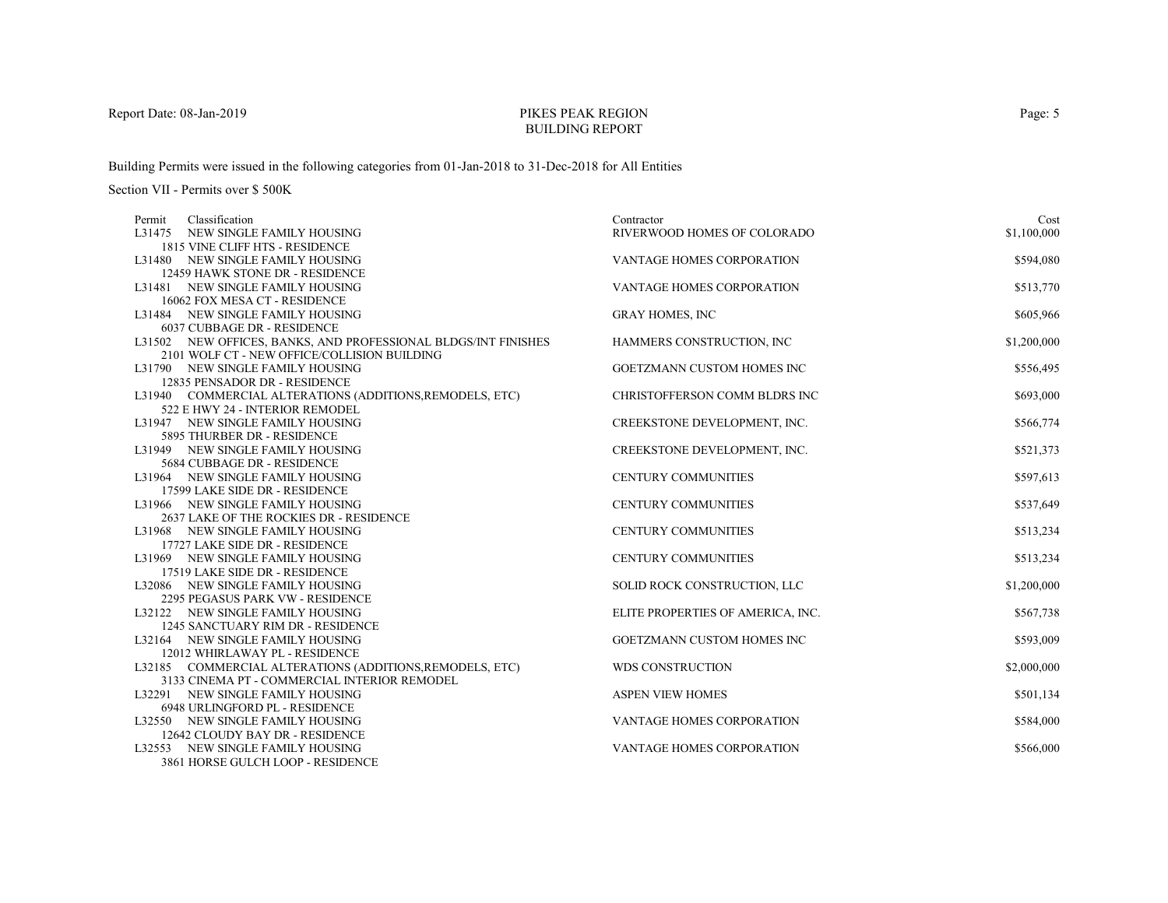# PIKES PEAK REGIONBUILDING REPORT

Building Permits were issued in the following categories from 01-Jan-2018 to 31-Dec-2018 for All Entities

| Classification<br>Permit                                            | Contractor                        | Cost        |
|---------------------------------------------------------------------|-----------------------------------|-------------|
| L31475 NEW SINGLE FAMILY HOUSING                                    | RIVERWOOD HOMES OF COLORADO       | \$1,100,000 |
| 1815 VINE CLIFF HTS - RESIDENCE                                     |                                   |             |
| L31480 NEW SINGLE FAMILY HOUSING                                    | <b>VANTAGE HOMES CORPORATION</b>  | \$594,080   |
| 12459 HAWK STONE DR - RESIDENCE                                     |                                   |             |
| L31481 NEW SINGLE FAMILY HOUSING                                    | <b>VANTAGE HOMES CORPORATION</b>  | \$513,770   |
| 16062 FOX MESA CT - RESIDENCE                                       |                                   |             |
| L31484 NEW SINGLE FAMILY HOUSING                                    | <b>GRAY HOMES, INC</b>            | \$605,966   |
| 6037 CUBBAGE DR - RESIDENCE                                         |                                   |             |
| L31502 NEW OFFICES, BANKS, AND PROFESSIONAL BLDGS/INT FINISHES      | HAMMERS CONSTRUCTION, INC         | \$1,200,000 |
| 2101 WOLF CT - NEW OFFICE/COLLISION BUILDING                        |                                   |             |
| L31790 NEW SINGLE FAMILY HOUSING                                    | GOETZMANN CUSTOM HOMES INC        | \$556,495   |
| 12835 PENSADOR DR - RESIDENCE                                       |                                   |             |
| L31940 COMMERCIAL ALTERATIONS (ADDITIONS, REMODELS, ETC)            | CHRISTOFFERSON COMM BLDRS INC     | \$693,000   |
| 522 E HWY 24 - INTERIOR REMODEL<br>L31947 NEW SINGLE FAMILY HOUSING |                                   |             |
|                                                                     | CREEKSTONE DEVELOPMENT, INC.      | \$566,774   |
| 5895 THURBER DR - RESIDENCE<br>L31949 NEW SINGLE FAMILY HOUSING     | CREEKSTONE DEVELOPMENT, INC.      | \$521,373   |
| 5684 CUBBAGE DR - RESIDENCE                                         |                                   |             |
| L31964 NEW SINGLE FAMILY HOUSING                                    | <b>CENTURY COMMUNITIES</b>        | \$597,613   |
| 17599 LAKE SIDE DR - RESIDENCE                                      |                                   |             |
| L31966 NEW SINGLE FAMILY HOUSING                                    | <b>CENTURY COMMUNITIES</b>        | \$537,649   |
| 2637 LAKE OF THE ROCKIES DR - RESIDENCE                             |                                   |             |
| L31968 NEW SINGLE FAMILY HOUSING                                    | <b>CENTURY COMMUNITIES</b>        | \$513,234   |
| 17727 LAKE SIDE DR - RESIDENCE                                      |                                   |             |
| L31969 NEW SINGLE FAMILY HOUSING                                    | <b>CENTURY COMMUNITIES</b>        | \$513,234   |
| 17519 LAKE SIDE DR - RESIDENCE                                      |                                   |             |
| L32086 NEW SINGLE FAMILY HOUSING                                    | SOLID ROCK CONSTRUCTION, LLC      | \$1,200,000 |
| 2295 PEGASUS PARK VW - RESIDENCE                                    |                                   |             |
| L32122 NEW SINGLE FAMILY HOUSING                                    | ELITE PROPERTIES OF AMERICA, INC. | \$567,738   |
| 1245 SANCTUARY RIM DR - RESIDENCE                                   |                                   |             |
| L32164 NEW SINGLE FAMILY HOUSING                                    | <b>GOETZMANN CUSTOM HOMES INC</b> | \$593,009   |
| 12012 WHIRLAWAY PL - RESIDENCE                                      |                                   |             |
| L32185 COMMERCIAL ALTERATIONS (ADDITIONS, REMODELS, ETC)            | <b>WDS CONSTRUCTION</b>           | \$2,000,000 |
| 3133 CINEMA PT - COMMERCIAL INTERIOR REMODEL                        |                                   |             |
| L32291 NEW SINGLE FAMILY HOUSING                                    | <b>ASPEN VIEW HOMES</b>           | \$501,134   |
| 6948 URLINGFORD PL - RESIDENCE                                      |                                   |             |
| L32550 NEW SINGLE FAMILY HOUSING                                    | VANTAGE HOMES CORPORATION         | \$584,000   |
| 12642 CLOUDY BAY DR - RESIDENCE                                     |                                   |             |
| L32553 NEW SINGLE FAMILY HOUSING                                    | <b>VANTAGE HOMES CORPORATION</b>  | \$566,000   |
| 3861 HORSE GULCH LOOP - RESIDENCE                                   |                                   |             |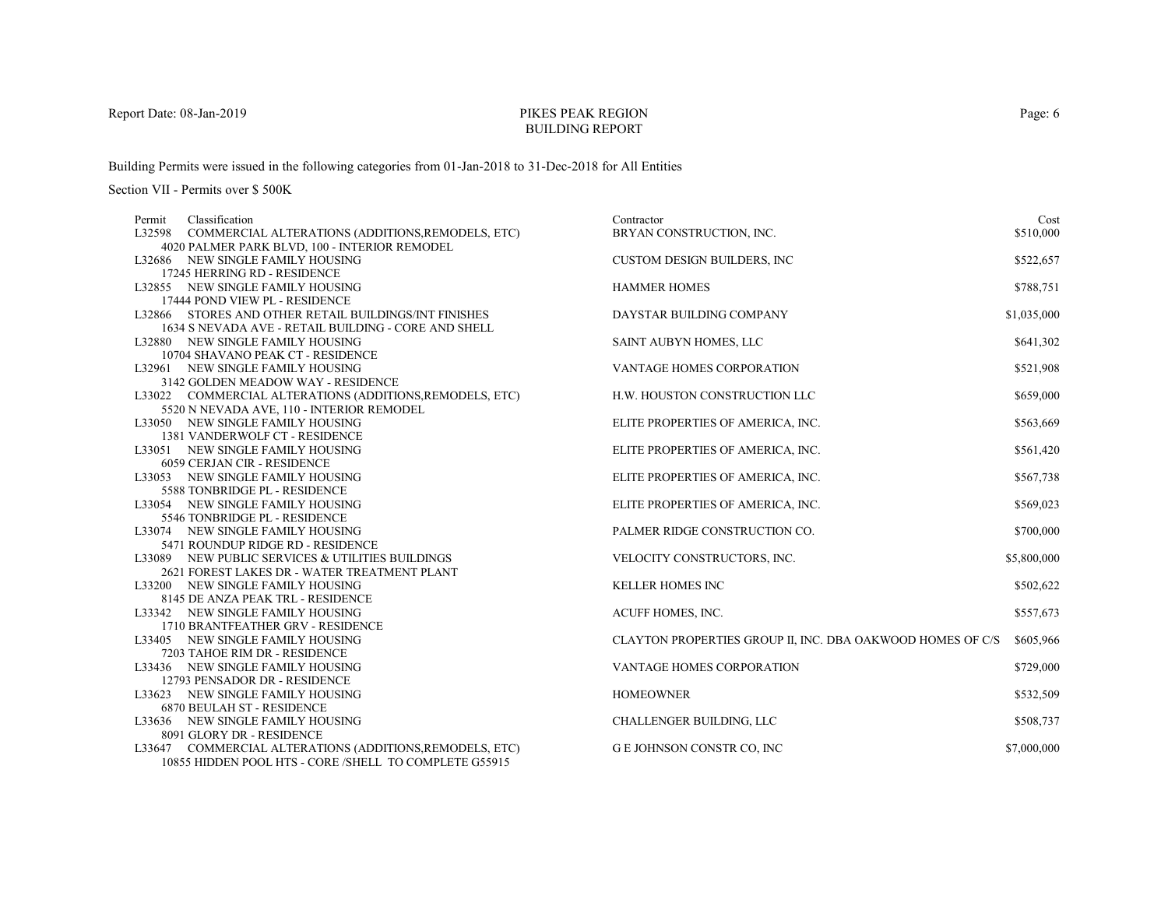# PIKES PEAK REGIONBUILDING REPORT

Building Permits were issued in the following categories from 01-Jan-2018 to 31-Dec-2018 for All Entities

| Classification<br>Permit                                 | Contractor                                                 | Cost        |
|----------------------------------------------------------|------------------------------------------------------------|-------------|
| L32598 COMMERCIAL ALTERATIONS (ADDITIONS, REMODELS, ETC) | BRYAN CONSTRUCTION, INC.                                   | \$510,000   |
| 4020 PALMER PARK BLVD, 100 - INTERIOR REMODEL            |                                                            |             |
| L32686 NEW SINGLE FAMILY HOUSING                         | <b>CUSTOM DESIGN BUILDERS, INC</b>                         | \$522,657   |
| 17245 HERRING RD - RESIDENCE                             |                                                            |             |
| L32855 NEW SINGLE FAMILY HOUSING                         | <b>HAMMER HOMES</b>                                        | \$788,751   |
| 17444 POND VIEW PL - RESIDENCE                           |                                                            |             |
| L32866 STORES AND OTHER RETAIL BUILDINGS/INT FINISHES    | DAYSTAR BUILDING COMPANY                                   | \$1,035,000 |
| 1634 S NEVADA AVE - RETAIL BUILDING - CORE AND SHELL     |                                                            |             |
| L32880 NEW SINGLE FAMILY HOUSING                         | SAINT AUBYN HOMES, LLC                                     | \$641,302   |
| 10704 SHAVANO PEAK CT - RESIDENCE                        |                                                            |             |
| L32961 NEW SINGLE FAMILY HOUSING                         | VANTAGE HOMES CORPORATION                                  | \$521,908   |
| 3142 GOLDEN MEADOW WAY - RESIDENCE                       |                                                            |             |
| L33022 COMMERCIAL ALTERATIONS (ADDITIONS, REMODELS, ETC) | H.W. HOUSTON CONSTRUCTION LLC                              | \$659,000   |
| 5520 N NEVADA AVE, 110 - INTERIOR REMODEL                |                                                            |             |
| L33050 NEW SINGLE FAMILY HOUSING                         | ELITE PROPERTIES OF AMERICA, INC.                          | \$563,669   |
| 1381 VANDERWOLF CT - RESIDENCE                           |                                                            |             |
| L33051 NEW SINGLE FAMILY HOUSING                         | ELITE PROPERTIES OF AMERICA, INC.                          | \$561,420   |
| 6059 CERJAN CIR - RESIDENCE                              |                                                            |             |
| L33053 NEW SINGLE FAMILY HOUSING                         | ELITE PROPERTIES OF AMERICA, INC.                          | \$567,738   |
| 5588 TONBRIDGE PL - RESIDENCE                            |                                                            |             |
| L33054 NEW SINGLE FAMILY HOUSING                         | ELITE PROPERTIES OF AMERICA, INC.                          | \$569,023   |
| 5546 TONBRIDGE PL - RESIDENCE                            |                                                            |             |
| L33074 NEW SINGLE FAMILY HOUSING                         | PALMER RIDGE CONSTRUCTION CO.                              | \$700,000   |
| 5471 ROUNDUP RIDGE RD - RESIDENCE                        |                                                            |             |
| L33089 NEW PUBLIC SERVICES & UTILITIES BUILDINGS         | VELOCITY CONSTRUCTORS, INC.                                | \$5,800,000 |
| 2621 FOREST LAKES DR - WATER TREATMENT PLANT             |                                                            |             |
| L33200 NEW SINGLE FAMILY HOUSING                         | <b>KELLER HOMES INC</b>                                    | \$502,622   |
| 8145 DE ANZA PEAK TRL - RESIDENCE                        |                                                            |             |
| L33342 NEW SINGLE FAMILY HOUSING                         | ACUFF HOMES, INC.                                          | \$557,673   |
| 1710 BRANTFEATHER GRV - RESIDENCE                        |                                                            |             |
| L33405 NEW SINGLE FAMILY HOUSING                         | CLAYTON PROPERTIES GROUP II, INC. DBA OAKWOOD HOMES OF C/S | \$605,966   |
| 7203 TAHOE RIM DR - RESIDENCE                            |                                                            |             |
| L33436 NEW SINGLE FAMILY HOUSING                         | VANTAGE HOMES CORPORATION                                  | \$729,000   |
| 12793 PENSADOR DR - RESIDENCE                            |                                                            |             |
| L33623 NEW SINGLE FAMILY HOUSING                         | <b>HOMEOWNER</b>                                           | \$532,509   |
| 6870 BEULAH ST - RESIDENCE                               |                                                            |             |
| L33636 NEW SINGLE FAMILY HOUSING                         | CHALLENGER BUILDING, LLC                                   | \$508,737   |
| 8091 GLORY DR - RESIDENCE                                |                                                            |             |
| L33647 COMMERCIAL ALTERATIONS (ADDITIONS, REMODELS, ETC) | G E JOHNSON CONSTR CO, INC                                 | \$7,000,000 |
| 10855 HIDDEN POOL HTS - CORE /SHELL TO COMPLETE G55915   |                                                            |             |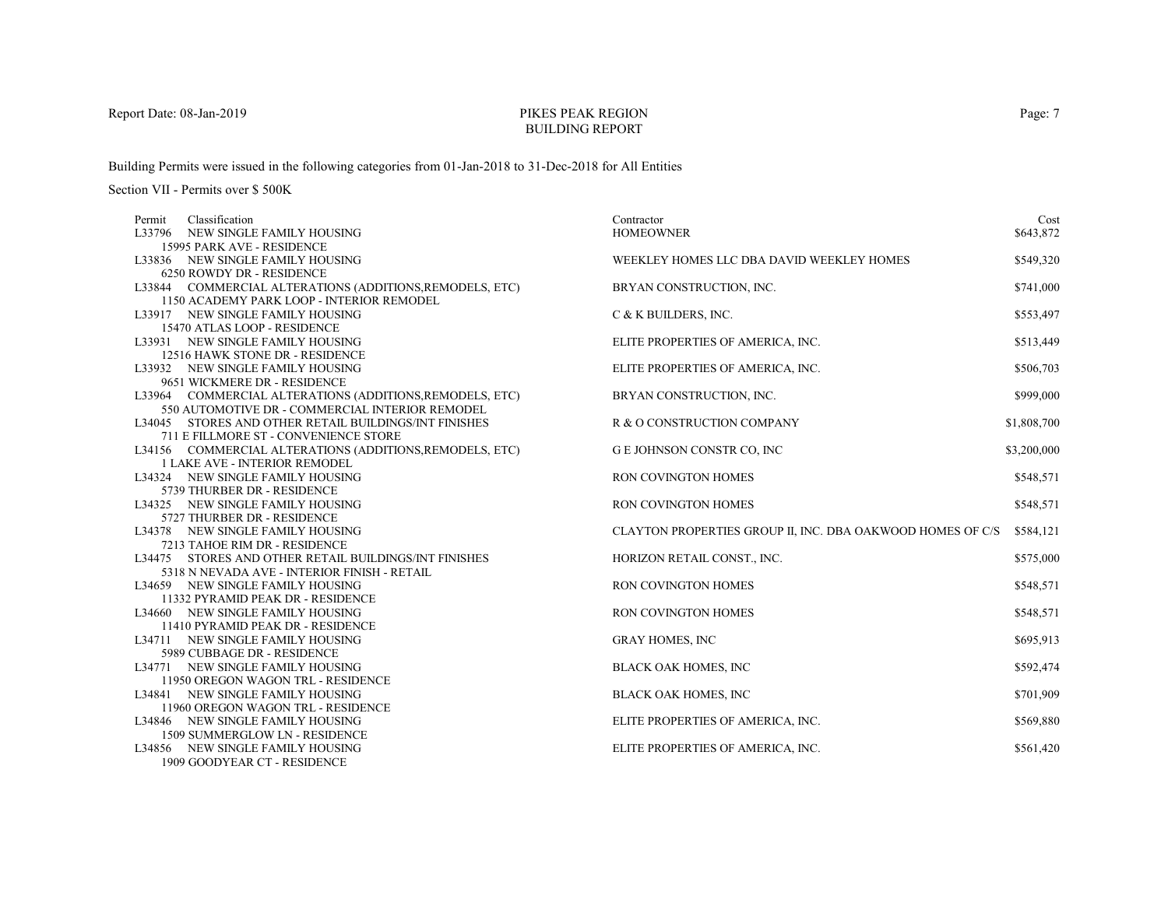# PIKES PEAK REGIONBUILDING REPORT

Building Permits were issued in the following categories from 01-Jan-2018 to 31-Dec-2018 for All Entities

| Permit | Classification                                           | Contractor                                                 | Cost        |
|--------|----------------------------------------------------------|------------------------------------------------------------|-------------|
|        | L33796 NEW SINGLE FAMILY HOUSING                         | <b>HOMEOWNER</b>                                           | \$643,872   |
|        | 15995 PARK AVE - RESIDENCE                               |                                                            |             |
|        | L33836 NEW SINGLE FAMILY HOUSING                         | WEEKLEY HOMES LLC DBA DAVID WEEKLEY HOMES                  | \$549,320   |
|        | 6250 ROWDY DR - RESIDENCE                                |                                                            |             |
|        | L33844 COMMERCIAL ALTERATIONS (ADDITIONS, REMODELS, ETC) | BRYAN CONSTRUCTION, INC.                                   | \$741,000   |
|        | 1150 ACADEMY PARK LOOP - INTERIOR REMODEL                |                                                            |             |
|        | L33917 NEW SINGLE FAMILY HOUSING                         | C & K BUILDERS, INC.                                       | \$553,497   |
|        | 15470 ATLAS LOOP - RESIDENCE                             |                                                            |             |
|        | L33931 NEW SINGLE FAMILY HOUSING                         | ELITE PROPERTIES OF AMERICA, INC.                          | \$513,449   |
|        | 12516 HAWK STONE DR - RESIDENCE                          |                                                            |             |
|        | L33932 NEW SINGLE FAMILY HOUSING                         | ELITE PROPERTIES OF AMERICA, INC.                          | \$506,703   |
|        | 9651 WICKMERE DR - RESIDENCE                             |                                                            |             |
|        | L33964 COMMERCIAL ALTERATIONS (ADDITIONS, REMODELS, ETC) | BRYAN CONSTRUCTION, INC.                                   | \$999,000   |
|        | 550 AUTOMOTIVE DR - COMMERCIAL INTERIOR REMODEL          |                                                            |             |
|        | L34045 STORES AND OTHER RETAIL BUILDINGS/INT FINISHES    | R & O CONSTRUCTION COMPANY                                 | \$1,808,700 |
|        | 711 E FILLMORE ST - CONVENIENCE STORE                    |                                                            |             |
|        | L34156 COMMERCIAL ALTERATIONS (ADDITIONS, REMODELS, ETC) | G E JOHNSON CONSTR CO, INC                                 | \$3,200,000 |
|        | <b>1 LAKE AVE - INTERIOR REMODEL</b>                     |                                                            |             |
|        | L34324 NEW SINGLE FAMILY HOUSING                         | RON COVINGTON HOMES                                        | \$548,571   |
|        | 5739 THURBER DR - RESIDENCE                              |                                                            |             |
|        | L34325 NEW SINGLE FAMILY HOUSING                         | RON COVINGTON HOMES                                        | \$548,571   |
|        | 5727 THURBER DR - RESIDENCE                              |                                                            |             |
|        | L34378 NEW SINGLE FAMILY HOUSING                         | CLAYTON PROPERTIES GROUP II, INC. DBA OAKWOOD HOMES OF C/S | \$584,121   |
|        | 7213 TAHOE RIM DR - RESIDENCE                            |                                                            |             |
|        | L34475 STORES AND OTHER RETAIL BUILDINGS/INT FINISHES    | HORIZON RETAIL CONST., INC.                                | \$575,000   |
|        | 5318 N NEVADA AVE - INTERIOR FINISH - RETAIL             |                                                            |             |
|        | L34659 NEW SINGLE FAMILY HOUSING                         | RON COVINGTON HOMES                                        | \$548,571   |
|        | 11332 PYRAMID PEAK DR - RESIDENCE                        |                                                            |             |
|        | L34660 NEW SINGLE FAMILY HOUSING                         | RON COVINGTON HOMES                                        | \$548,571   |
|        | 11410 PYRAMID PEAK DR - RESIDENCE                        |                                                            |             |
|        | L34711 NEW SINGLE FAMILY HOUSING                         | <b>GRAY HOMES, INC</b>                                     | \$695,913   |
|        | 5989 CUBBAGE DR - RESIDENCE                              |                                                            |             |
|        | L34771 NEW SINGLE FAMILY HOUSING                         | <b>BLACK OAK HOMES, INC</b>                                | \$592,474   |
|        | 11950 OREGON WAGON TRL - RESIDENCE                       |                                                            |             |
|        | L34841 NEW SINGLE FAMILY HOUSING                         | BLACK OAK HOMES, INC                                       | \$701,909   |
|        | 11960 OREGON WAGON TRL - RESIDENCE                       |                                                            |             |
|        | L34846 NEW SINGLE FAMILY HOUSING                         | ELITE PROPERTIES OF AMERICA, INC.                          | \$569,880   |
|        | 1509 SUMMERGLOW LN - RESIDENCE                           |                                                            |             |
|        | L34856 NEW SINGLE FAMILY HOUSING                         | ELITE PROPERTIES OF AMERICA, INC.                          | \$561,420   |
|        | 1909 GOODYEAR CT - RESIDENCE                             |                                                            |             |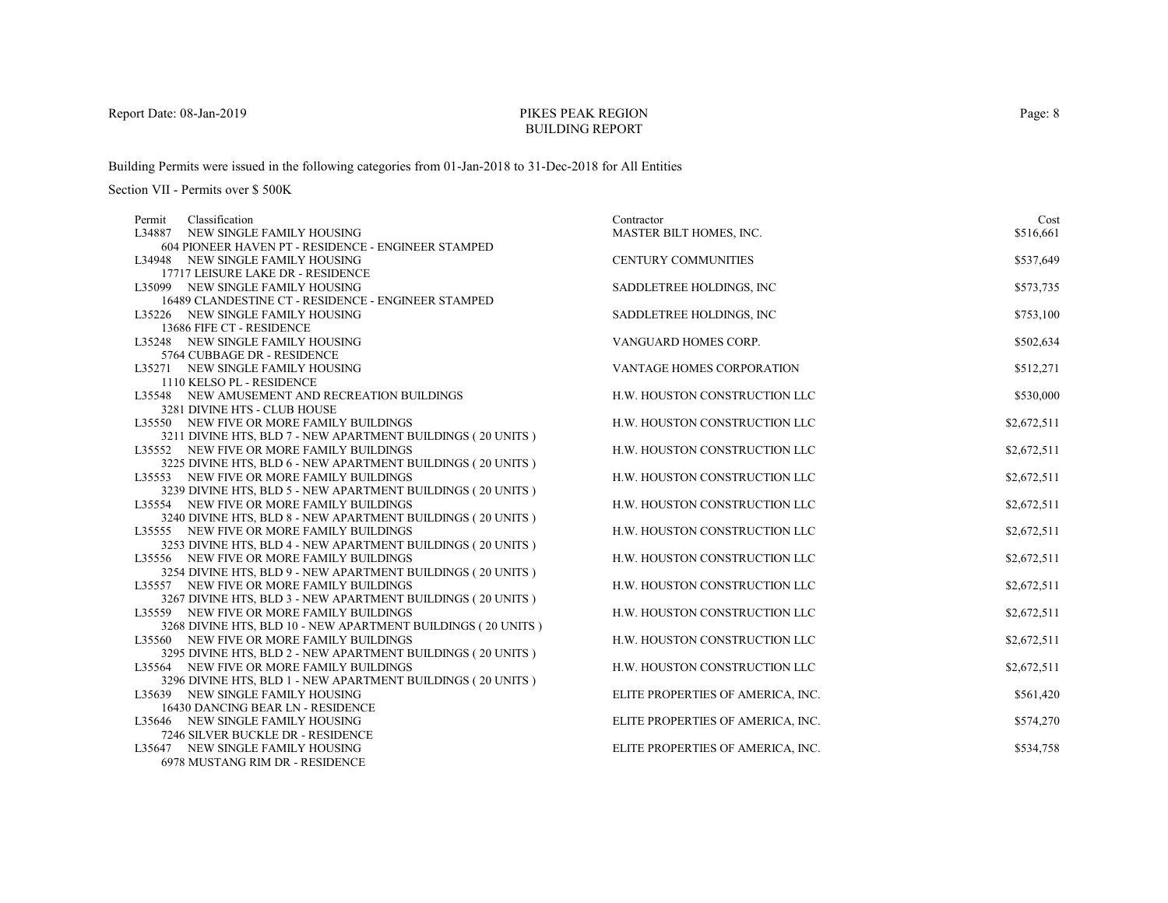# PIKES PEAK REGIONBUILDING REPORT

Building Permits were issued in the following categories from 01-Jan-2018 to 31-Dec-2018 for All Entities

| Classification<br>Permit                                                                                | Contractor                        | Cost        |
|---------------------------------------------------------------------------------------------------------|-----------------------------------|-------------|
| L34887 NEW SINGLE FAMILY HOUSING                                                                        | MASTER BILT HOMES, INC.           | \$516,661   |
| 604 PIONEER HAVEN PT - RESIDENCE - ENGINEER STAMPED                                                     |                                   |             |
| L34948 NEW SINGLE FAMILY HOUSING                                                                        | <b>CENTURY COMMUNITIES</b>        | \$537,649   |
| 17717 LEISURE LAKE DR - RESIDENCE                                                                       |                                   |             |
| L35099 NEW SINGLE FAMILY HOUSING                                                                        | SADDLETREE HOLDINGS, INC.         | \$573,735   |
| 16489 CLANDESTINE CT - RESIDENCE - ENGINEER STAMPED                                                     |                                   |             |
| L35226 NEW SINGLE FAMILY HOUSING                                                                        | SADDLETREE HOLDINGS, INC          | \$753,100   |
| 13686 FIFE CT - RESIDENCE                                                                               |                                   |             |
| L35248 NEW SINGLE FAMILY HOUSING                                                                        | VANGUARD HOMES CORP.              | \$502,634   |
| 5764 CUBBAGE DR - RESIDENCE                                                                             |                                   |             |
| L35271 NEW SINGLE FAMILY HOUSING                                                                        | VANTAGE HOMES CORPORATION         | \$512,271   |
| 1110 KELSO PL - RESIDENCE                                                                               |                                   |             |
| L35548 NEW AMUSEMENT AND RECREATION BUILDINGS                                                           | H.W. HOUSTON CONSTRUCTION LLC     | \$530,000   |
| 3281 DIVINE HTS - CLUB HOUSE                                                                            |                                   |             |
| L35550 NEW FIVE OR MORE FAMILY BUILDINGS                                                                | H.W. HOUSTON CONSTRUCTION LLC     | \$2,672,511 |
| 3211 DIVINE HTS, BLD 7 - NEW APARTMENT BUILDINGS (20 UNITS)                                             |                                   |             |
| L35552 NEW FIVE OR MORE FAMILY BUILDINGS                                                                | H.W. HOUSTON CONSTRUCTION LLC     | \$2,672,511 |
| 3225 DIVINE HTS, BLD 6 - NEW APARTMENT BUILDINGS (20 UNITS)                                             |                                   |             |
| L35553 NEW FIVE OR MORE FAMILY BUILDINGS                                                                | H.W. HOUSTON CONSTRUCTION LLC     | \$2,672,511 |
| 3239 DIVINE HTS, BLD 5 - NEW APARTMENT BUILDINGS (20 UNITS)                                             |                                   |             |
| L35554 NEW FIVE OR MORE FAMILY BUILDINGS                                                                | H.W. HOUSTON CONSTRUCTION LLC     | \$2,672,511 |
| 3240 DIVINE HTS, BLD 8 - NEW APARTMENT BUILDINGS (20 UNITS)                                             |                                   |             |
| L35555 NEW FIVE OR MORE FAMILY BUILDINGS                                                                | H.W. HOUSTON CONSTRUCTION LLC     | \$2,672,511 |
| 3253 DIVINE HTS, BLD 4 - NEW APARTMENT BUILDINGS (20 UNITS)                                             |                                   |             |
| L35556 NEW FIVE OR MORE FAMILY BUILDINGS                                                                | H.W. HOUSTON CONSTRUCTION LLC     | \$2,672,511 |
| 3254 DIVINE HTS, BLD 9 - NEW APARTMENT BUILDINGS (20 UNITS)                                             |                                   |             |
| L35557 NEW FIVE OR MORE FAMILY BUILDINGS                                                                | H.W. HOUSTON CONSTRUCTION LLC     | \$2,672,511 |
| 3267 DIVINE HTS, BLD 3 - NEW APARTMENT BUILDINGS (20 UNITS)                                             |                                   |             |
| L35559 NEW FIVE OR MORE FAMILY BUILDINGS                                                                | H.W. HOUSTON CONSTRUCTION LLC     | \$2,672,511 |
| 3268 DIVINE HTS, BLD 10 - NEW APARTMENT BUILDINGS (20 UNITS )                                           |                                   |             |
| L35560 NEW FIVE OR MORE FAMILY BUILDINGS<br>3295 DIVINE HTS, BLD 2 - NEW APARTMENT BUILDINGS (20 UNITS) | H.W. HOUSTON CONSTRUCTION LLC     | \$2,672,511 |
| L35564 NEW FIVE OR MORE FAMILY BUILDINGS                                                                | H.W. HOUSTON CONSTRUCTION LLC     |             |
| 3296 DIVINE HTS, BLD 1 - NEW APARTMENT BUILDINGS (20 UNITS)                                             |                                   | \$2,672,511 |
| L35639 NEW SINGLE FAMILY HOUSING                                                                        | ELITE PROPERTIES OF AMERICA, INC. | \$561,420   |
| 16430 DANCING BEAR LN - RESIDENCE                                                                       |                                   |             |
| L35646 NEW SINGLE FAMILY HOUSING                                                                        | ELITE PROPERTIES OF AMERICA, INC. | \$574,270   |
| 7246 SILVER BUCKLE DR - RESIDENCE                                                                       |                                   |             |
| L35647 NEW SINGLE FAMILY HOUSING                                                                        | ELITE PROPERTIES OF AMERICA, INC. | \$534,758   |
| 6978 MUSTANG RIM DR - RESIDENCE                                                                         |                                   |             |
|                                                                                                         |                                   |             |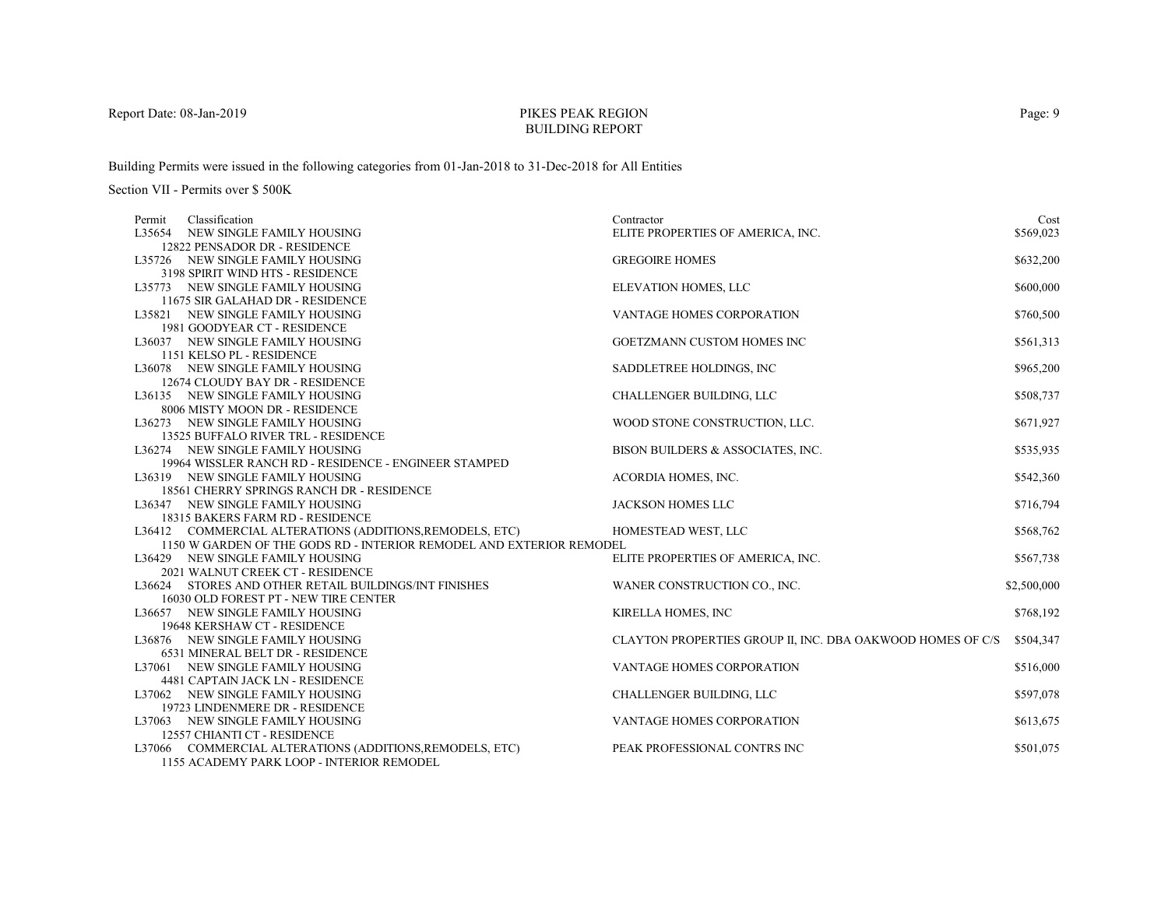# PIKES PEAK REGIONBUILDING REPORT

Building Permits were issued in the following categories from 01-Jan-2018 to 31-Dec-2018 for All Entities

| Permit | Classification                                                       | Contractor                                                 | Cost        |
|--------|----------------------------------------------------------------------|------------------------------------------------------------|-------------|
|        | L35654 NEW SINGLE FAMILY HOUSING                                     | ELITE PROPERTIES OF AMERICA, INC.                          | \$569,023   |
|        | 12822 PENSADOR DR - RESIDENCE                                        |                                                            |             |
|        | L35726 NEW SINGLE FAMILY HOUSING                                     | <b>GREGOIRE HOMES</b>                                      | \$632,200   |
|        | 3198 SPIRIT WIND HTS - RESIDENCE                                     |                                                            |             |
|        | L35773 NEW SINGLE FAMILY HOUSING                                     | ELEVATION HOMES, LLC                                       | \$600,000   |
|        | 11675 SIR GALAHAD DR - RESIDENCE                                     |                                                            |             |
|        | L35821 NEW SINGLE FAMILY HOUSING                                     | VANTAGE HOMES CORPORATION                                  | \$760,500   |
|        | 1981 GOODYEAR CT - RESIDENCE                                         |                                                            |             |
|        | L36037 NEW SINGLE FAMILY HOUSING                                     | GOETZMANN CUSTOM HOMES INC                                 | \$561,313   |
|        | 1151 KELSO PL - RESIDENCE                                            |                                                            |             |
|        | L36078 NEW SINGLE FAMILY HOUSING                                     | SADDLETREE HOLDINGS, INC                                   | \$965,200   |
|        | 12674 CLOUDY BAY DR - RESIDENCE                                      |                                                            |             |
|        | L36135 NEW SINGLE FAMILY HOUSING                                     | <b>CHALLENGER BUILDING, LLC</b>                            | \$508,737   |
|        | 8006 MISTY MOON DR - RESIDENCE                                       |                                                            |             |
|        | L36273 NEW SINGLE FAMILY HOUSING                                     | WOOD STONE CONSTRUCTION, LLC.                              | \$671,927   |
|        | 13525 BUFFALO RIVER TRL - RESIDENCE                                  |                                                            |             |
|        | L36274 NEW SINGLE FAMILY HOUSING                                     | BISON BUILDERS & ASSOCIATES, INC.                          | \$535,935   |
|        | 19964 WISSLER RANCH RD - RESIDENCE - ENGINEER STAMPED                |                                                            |             |
|        | L36319 NEW SINGLE FAMILY HOUSING                                     | ACORDIA HOMES, INC.                                        | \$542,360   |
|        | 18561 CHERRY SPRINGS RANCH DR - RESIDENCE                            |                                                            |             |
|        | L36347 NEW SINGLE FAMILY HOUSING                                     | <b>JACKSON HOMES LLC</b>                                   | \$716,794   |
|        | 18315 BAKERS FARM RD - RESIDENCE                                     |                                                            |             |
|        | L36412 COMMERCIAL ALTERATIONS (ADDITIONS, REMODELS, ETC)             | HOMESTEAD WEST, LLC                                        | \$568,762   |
|        | 1150 W GARDEN OF THE GODS RD - INTERIOR REMODEL AND EXTERIOR REMODEL |                                                            |             |
|        | L36429 NEW SINGLE FAMILY HOUSING                                     | ELITE PROPERTIES OF AMERICA, INC.                          | \$567,738   |
|        | 2021 WALNUT CREEK CT - RESIDENCE                                     |                                                            |             |
|        | L36624 STORES AND OTHER RETAIL BUILDINGS/INT FINISHES                | WANER CONSTRUCTION CO., INC.                               | \$2,500,000 |
|        | 16030 OLD FOREST PT - NEW TIRE CENTER                                |                                                            |             |
|        | L36657 NEW SINGLE FAMILY HOUSING                                     | KIRELLA HOMES, INC                                         | \$768,192   |
|        | 19648 KERSHAW CT - RESIDENCE                                         |                                                            |             |
|        | L36876 NEW SINGLE FAMILY HOUSING                                     | CLAYTON PROPERTIES GROUP II, INC. DBA OAKWOOD HOMES OF C/S | \$504,347   |
|        | 6531 MINERAL BELT DR - RESIDENCE                                     |                                                            |             |
|        | L37061 NEW SINGLE FAMILY HOUSING                                     | VANTAGE HOMES CORPORATION                                  | \$516,000   |
|        | 4481 CAPTAIN JACK LN - RESIDENCE                                     |                                                            |             |
|        | L37062 NEW SINGLE FAMILY HOUSING                                     | <b>CHALLENGER BUILDING, LLC</b>                            | \$597,078   |
|        | 19723 LINDENMERE DR - RESIDENCE                                      |                                                            |             |
|        | L37063 NEW SINGLE FAMILY HOUSING                                     | VANTAGE HOMES CORPORATION                                  | \$613,675   |
|        | 12557 CHIANTI CT - RESIDENCE                                         |                                                            |             |
|        | L37066 COMMERCIAL ALTERATIONS (ADDITIONS, REMODELS, ETC)             | PEAK PROFESSIONAL CONTRS INC                               | \$501,075   |
|        | 1155 ACADEMY PARK LOOP - INTERIOR REMODEL                            |                                                            |             |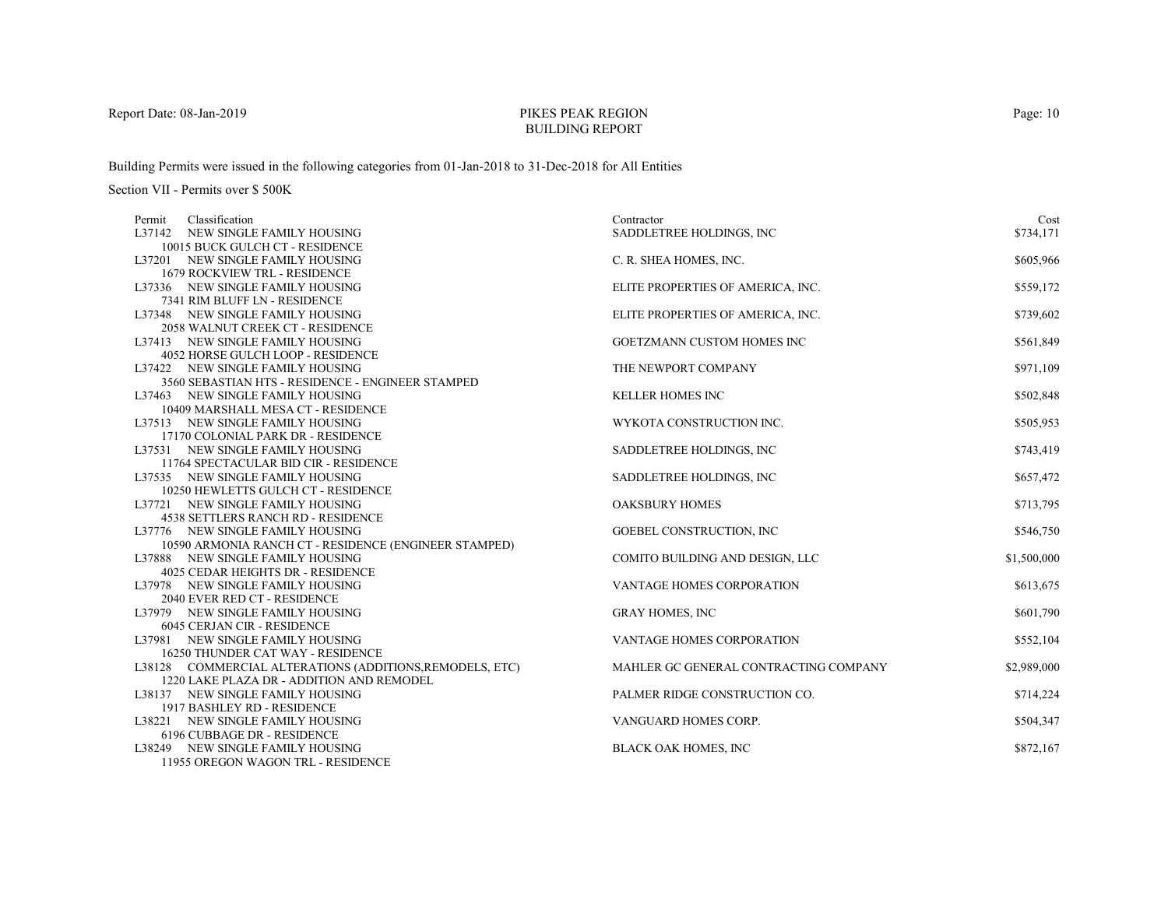# PIKES PEAK REGIONBUILDING REPORT

Building Permits were issued in the following categories from 01-Jan-2018 to 31-Dec-2018 for All Entities

| Classification<br>Permit                                              | Contractor                            | Cost        |
|-----------------------------------------------------------------------|---------------------------------------|-------------|
| L37142 NEW SINGLE FAMILY HOUSING                                      | SADDLETREE HOLDINGS, INC              | \$734,171   |
| 10015 BUCK GULCH CT - RESIDENCE                                       |                                       |             |
| L37201 NEW SINGLE FAMILY HOUSING                                      | C. R. SHEA HOMES, INC.                | \$605,966   |
| <b>1679 ROCKVIEW TRL - RESIDENCE</b>                                  |                                       |             |
| L37336 NEW SINGLE FAMILY HOUSING                                      | ELITE PROPERTIES OF AMERICA, INC.     | \$559,172   |
| 7341 RIM BLUFF LN - RESIDENCE                                         |                                       |             |
| L37348 NEW SINGLE FAMILY HOUSING                                      | ELITE PROPERTIES OF AMERICA, INC.     | \$739,602   |
| 2058 WALNUT CREEK CT - RESIDENCE                                      |                                       |             |
| L37413 NEW SINGLE FAMILY HOUSING                                      | GOETZMANN CUSTOM HOMES INC            | \$561,849   |
| 4052 HORSE GULCH LOOP - RESIDENCE                                     |                                       |             |
| L37422 NEW SINGLE FAMILY HOUSING                                      | THE NEWPORT COMPANY                   | \$971,109   |
| 3560 SEBASTIAN HTS - RESIDENCE - ENGINEER STAMPED                     |                                       |             |
| L37463 NEW SINGLE FAMILY HOUSING                                      | <b>KELLER HOMES INC</b>               | \$502,848   |
| 10409 MARSHALL MESA CT - RESIDENCE                                    |                                       |             |
| L37513 NEW SINGLE FAMILY HOUSING                                      | WYKOTA CONSTRUCTION INC.              | \$505,953   |
| 17170 COLONIAL PARK DR - RESIDENCE                                    |                                       |             |
| L37531 NEW SINGLE FAMILY HOUSING                                      | SADDLETREE HOLDINGS, INC              | \$743,419   |
| 11764 SPECTACULAR BID CIR - RESIDENCE                                 |                                       |             |
| L37535 NEW SINGLE FAMILY HOUSING                                      | SADDLETREE HOLDINGS, INC              | \$657,472   |
| 10250 HEWLETTS GULCH CT - RESIDENCE                                   |                                       |             |
| L37721 NEW SINGLE FAMILY HOUSING                                      | <b>OAKSBURY HOMES</b>                 | \$713,795   |
| 4538 SETTLERS RANCH RD - RESIDENCE                                    |                                       |             |
| L37776 NEW SINGLE FAMILY HOUSING                                      | GOEBEL CONSTRUCTION, INC              | \$546,750   |
| 10590 ARMONIA RANCH CT - RESIDENCE (ENGINEER STAMPED)                 |                                       |             |
| L37888 NEW SINGLE FAMILY HOUSING<br>4025 CEDAR HEIGHTS DR - RESIDENCE | COMITO BUILDING AND DESIGN, LLC       | \$1,500,000 |
| L37978 NEW SINGLE FAMILY HOUSING                                      | VANTAGE HOMES CORPORATION             |             |
| 2040 EVER RED CT - RESIDENCE                                          |                                       | \$613,675   |
| L37979 NEW SINGLE FAMILY HOUSING                                      | <b>GRAY HOMES, INC</b>                | \$601,790   |
| 6045 CERJAN CIR - RESIDENCE                                           |                                       |             |
| L37981 NEW SINGLE FAMILY HOUSING                                      | VANTAGE HOMES CORPORATION             | \$552,104   |
| 16250 THUNDER CAT WAY - RESIDENCE                                     |                                       |             |
| L38128 COMMERCIAL ALTERATIONS (ADDITIONS, REMODELS, ETC)              | MAHLER GC GENERAL CONTRACTING COMPANY | \$2,989,000 |
| 1220 LAKE PLAZA DR - ADDITION AND REMODEL                             |                                       |             |
| L38137 NEW SINGLE FAMILY HOUSING                                      | PALMER RIDGE CONSTRUCTION CO.         | \$714,224   |
| 1917 BASHLEY RD - RESIDENCE                                           |                                       |             |
| L38221 NEW SINGLE FAMILY HOUSING                                      | VANGUARD HOMES CORP.                  | \$504,347   |
| 6196 CUBBAGE DR - RESIDENCE                                           |                                       |             |
| L38249 NEW SINGLE FAMILY HOUSING                                      | <b>BLACK OAK HOMES, INC</b>           | \$872,167   |
| 11955 OREGON WAGON TRL - RESIDENCE                                    |                                       |             |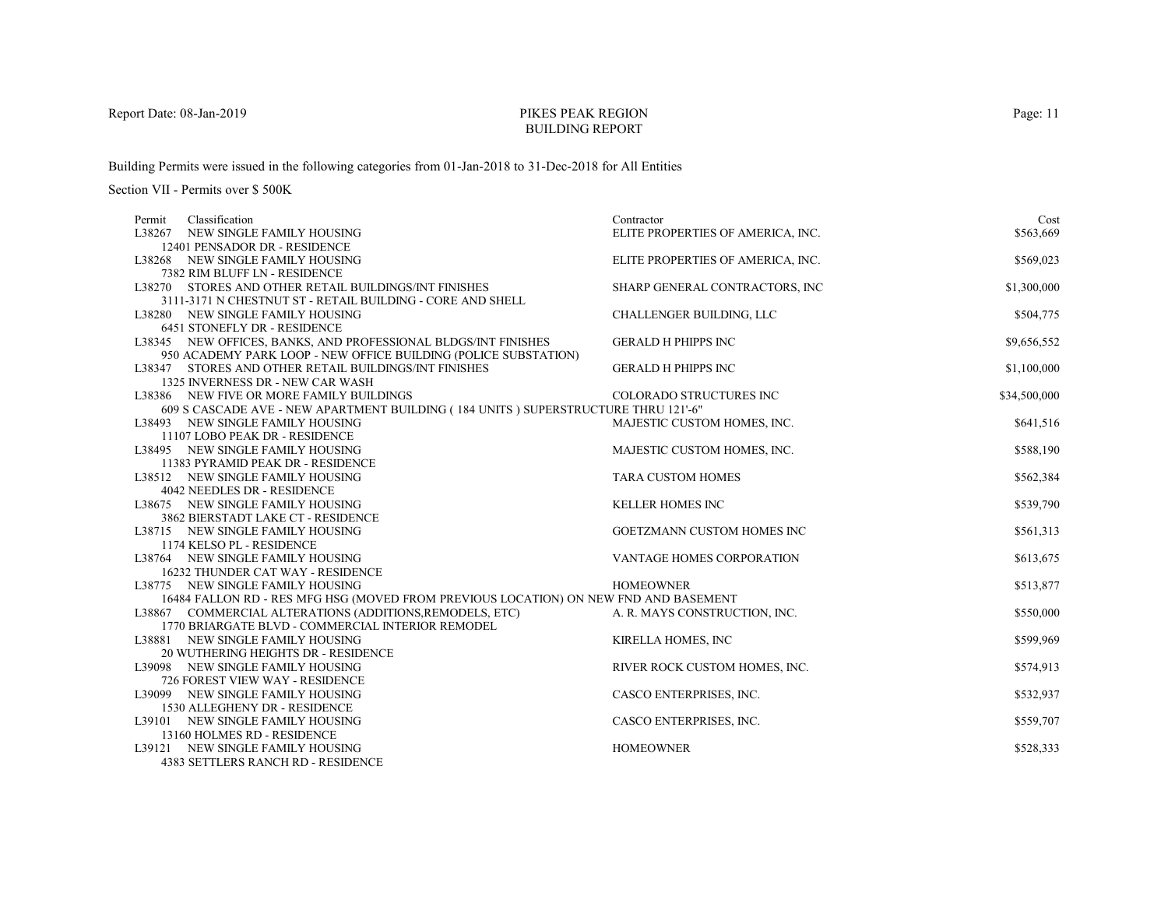# PIKES PEAK REGIONBUILDING REPORT

Building Permits were issued in the following categories from 01-Jan-2018 to 31-Dec-2018 for All Entities

| L38267 NEW SINGLE FAMILY HOUSING<br>ELITE PROPERTIES OF AMERICA, INC.<br>\$563,669<br>12401 PENSADOR DR - RESIDENCE<br>L38268 NEW SINGLE FAMILY HOUSING<br>ELITE PROPERTIES OF AMERICA, INC.<br>\$569,023<br>7382 RIM BLUFF LN - RESIDENCE<br>\$1,300,000<br>L38270 STORES AND OTHER RETAIL BUILDINGS/INT FINISHES<br>SHARP GENERAL CONTRACTORS, INC<br>3111-3171 N CHESTNUT ST - RETAIL BUILDING - CORE AND SHELL<br>CHALLENGER BUILDING, LLC<br>\$504,775<br>L38280 NEW SINGLE FAMILY HOUSING<br>6451 STONEFLY DR - RESIDENCE<br>L38345 NEW OFFICES, BANKS, AND PROFESSIONAL BLDGS/INT FINISHES<br><b>GERALD H PHIPPS INC</b><br>\$9,656,552<br>950 ACADEMY PARK LOOP - NEW OFFICE BUILDING (POLICE SUBSTATION)<br>\$1,100,000<br>L38347 STORES AND OTHER RETAIL BUILDINGS/INT FINISHES<br><b>GERALD H PHIPPS INC</b><br>1325 INVERNESS DR - NEW CAR WASH<br><b>COLORADO STRUCTURES INC</b><br>\$34,500,000<br>L38386 NEW FIVE OR MORE FAMILY BUILDINGS<br>609 S CASCADE AVE - NEW APARTMENT BUILDING (184 UNITS) SUPERSTRUCTURE THRU 121'-6"<br>MAJESTIC CUSTOM HOMES, INC.<br>\$641,516<br>L38493 NEW SINGLE FAMILY HOUSING<br>11107 LOBO PEAK DR - RESIDENCE<br>\$588,190<br>L38495 NEW SINGLE FAMILY HOUSING<br>MAJESTIC CUSTOM HOMES, INC.<br>11383 PYRAMID PEAK DR - RESIDENCE<br><b>TARA CUSTOM HOMES</b><br>\$562,384<br>L38512 NEW SINGLE FAMILY HOUSING<br>4042 NEEDLES DR - RESIDENCE<br>L38675 NEW SINGLE FAMILY HOUSING<br><b>KELLER HOMES INC</b><br>\$539,790<br>3862 BIERSTADT LAKE CT - RESIDENCE<br>L38715 NEW SINGLE FAMILY HOUSING<br>GOETZMANN CUSTOM HOMES INC<br>\$561,313<br>1174 KELSO PL - RESIDENCE<br>L38764 NEW SINGLE FAMILY HOUSING<br>VANTAGE HOMES CORPORATION<br>\$613,675<br>16232 THUNDER CAT WAY - RESIDENCE<br>\$513,877<br>L38775 NEW SINGLE FAMILY HOUSING<br><b>HOMEOWNER</b><br>16484 FALLON RD - RES MFG HSG (MOVED FROM PREVIOUS LOCATION) ON NEW FND AND BASEMENT<br>L38867 COMMERCIAL ALTERATIONS (ADDITIONS, REMODELS, ETC)<br>A. R. MAYS CONSTRUCTION, INC.<br>\$550,000<br>1770 BRIARGATE BLVD - COMMERCIAL INTERIOR REMODEL<br>KIRELLA HOMES, INC<br>\$599,969<br>L38881 NEW SINGLE FAMILY HOUSING |
|--------------------------------------------------------------------------------------------------------------------------------------------------------------------------------------------------------------------------------------------------------------------------------------------------------------------------------------------------------------------------------------------------------------------------------------------------------------------------------------------------------------------------------------------------------------------------------------------------------------------------------------------------------------------------------------------------------------------------------------------------------------------------------------------------------------------------------------------------------------------------------------------------------------------------------------------------------------------------------------------------------------------------------------------------------------------------------------------------------------------------------------------------------------------------------------------------------------------------------------------------------------------------------------------------------------------------------------------------------------------------------------------------------------------------------------------------------------------------------------------------------------------------------------------------------------------------------------------------------------------------------------------------------------------------------------------------------------------------------------------------------------------------------------------------------------------------------------------------------------------------------------------------------------------------------------------------------------------------------------------------------------------------------------------------------------------------------------------------------------------------------------------------------|
|                                                                                                                                                                                                                                                                                                                                                                                                                                                                                                                                                                                                                                                                                                                                                                                                                                                                                                                                                                                                                                                                                                                                                                                                                                                                                                                                                                                                                                                                                                                                                                                                                                                                                                                                                                                                                                                                                                                                                                                                                                                                                                                                                        |
|                                                                                                                                                                                                                                                                                                                                                                                                                                                                                                                                                                                                                                                                                                                                                                                                                                                                                                                                                                                                                                                                                                                                                                                                                                                                                                                                                                                                                                                                                                                                                                                                                                                                                                                                                                                                                                                                                                                                                                                                                                                                                                                                                        |
|                                                                                                                                                                                                                                                                                                                                                                                                                                                                                                                                                                                                                                                                                                                                                                                                                                                                                                                                                                                                                                                                                                                                                                                                                                                                                                                                                                                                                                                                                                                                                                                                                                                                                                                                                                                                                                                                                                                                                                                                                                                                                                                                                        |
|                                                                                                                                                                                                                                                                                                                                                                                                                                                                                                                                                                                                                                                                                                                                                                                                                                                                                                                                                                                                                                                                                                                                                                                                                                                                                                                                                                                                                                                                                                                                                                                                                                                                                                                                                                                                                                                                                                                                                                                                                                                                                                                                                        |
|                                                                                                                                                                                                                                                                                                                                                                                                                                                                                                                                                                                                                                                                                                                                                                                                                                                                                                                                                                                                                                                                                                                                                                                                                                                                                                                                                                                                                                                                                                                                                                                                                                                                                                                                                                                                                                                                                                                                                                                                                                                                                                                                                        |
|                                                                                                                                                                                                                                                                                                                                                                                                                                                                                                                                                                                                                                                                                                                                                                                                                                                                                                                                                                                                                                                                                                                                                                                                                                                                                                                                                                                                                                                                                                                                                                                                                                                                                                                                                                                                                                                                                                                                                                                                                                                                                                                                                        |
|                                                                                                                                                                                                                                                                                                                                                                                                                                                                                                                                                                                                                                                                                                                                                                                                                                                                                                                                                                                                                                                                                                                                                                                                                                                                                                                                                                                                                                                                                                                                                                                                                                                                                                                                                                                                                                                                                                                                                                                                                                                                                                                                                        |
|                                                                                                                                                                                                                                                                                                                                                                                                                                                                                                                                                                                                                                                                                                                                                                                                                                                                                                                                                                                                                                                                                                                                                                                                                                                                                                                                                                                                                                                                                                                                                                                                                                                                                                                                                                                                                                                                                                                                                                                                                                                                                                                                                        |
|                                                                                                                                                                                                                                                                                                                                                                                                                                                                                                                                                                                                                                                                                                                                                                                                                                                                                                                                                                                                                                                                                                                                                                                                                                                                                                                                                                                                                                                                                                                                                                                                                                                                                                                                                                                                                                                                                                                                                                                                                                                                                                                                                        |
|                                                                                                                                                                                                                                                                                                                                                                                                                                                                                                                                                                                                                                                                                                                                                                                                                                                                                                                                                                                                                                                                                                                                                                                                                                                                                                                                                                                                                                                                                                                                                                                                                                                                                                                                                                                                                                                                                                                                                                                                                                                                                                                                                        |
|                                                                                                                                                                                                                                                                                                                                                                                                                                                                                                                                                                                                                                                                                                                                                                                                                                                                                                                                                                                                                                                                                                                                                                                                                                                                                                                                                                                                                                                                                                                                                                                                                                                                                                                                                                                                                                                                                                                                                                                                                                                                                                                                                        |
|                                                                                                                                                                                                                                                                                                                                                                                                                                                                                                                                                                                                                                                                                                                                                                                                                                                                                                                                                                                                                                                                                                                                                                                                                                                                                                                                                                                                                                                                                                                                                                                                                                                                                                                                                                                                                                                                                                                                                                                                                                                                                                                                                        |
|                                                                                                                                                                                                                                                                                                                                                                                                                                                                                                                                                                                                                                                                                                                                                                                                                                                                                                                                                                                                                                                                                                                                                                                                                                                                                                                                                                                                                                                                                                                                                                                                                                                                                                                                                                                                                                                                                                                                                                                                                                                                                                                                                        |
|                                                                                                                                                                                                                                                                                                                                                                                                                                                                                                                                                                                                                                                                                                                                                                                                                                                                                                                                                                                                                                                                                                                                                                                                                                                                                                                                                                                                                                                                                                                                                                                                                                                                                                                                                                                                                                                                                                                                                                                                                                                                                                                                                        |
|                                                                                                                                                                                                                                                                                                                                                                                                                                                                                                                                                                                                                                                                                                                                                                                                                                                                                                                                                                                                                                                                                                                                                                                                                                                                                                                                                                                                                                                                                                                                                                                                                                                                                                                                                                                                                                                                                                                                                                                                                                                                                                                                                        |
|                                                                                                                                                                                                                                                                                                                                                                                                                                                                                                                                                                                                                                                                                                                                                                                                                                                                                                                                                                                                                                                                                                                                                                                                                                                                                                                                                                                                                                                                                                                                                                                                                                                                                                                                                                                                                                                                                                                                                                                                                                                                                                                                                        |
|                                                                                                                                                                                                                                                                                                                                                                                                                                                                                                                                                                                                                                                                                                                                                                                                                                                                                                                                                                                                                                                                                                                                                                                                                                                                                                                                                                                                                                                                                                                                                                                                                                                                                                                                                                                                                                                                                                                                                                                                                                                                                                                                                        |
|                                                                                                                                                                                                                                                                                                                                                                                                                                                                                                                                                                                                                                                                                                                                                                                                                                                                                                                                                                                                                                                                                                                                                                                                                                                                                                                                                                                                                                                                                                                                                                                                                                                                                                                                                                                                                                                                                                                                                                                                                                                                                                                                                        |
|                                                                                                                                                                                                                                                                                                                                                                                                                                                                                                                                                                                                                                                                                                                                                                                                                                                                                                                                                                                                                                                                                                                                                                                                                                                                                                                                                                                                                                                                                                                                                                                                                                                                                                                                                                                                                                                                                                                                                                                                                                                                                                                                                        |
|                                                                                                                                                                                                                                                                                                                                                                                                                                                                                                                                                                                                                                                                                                                                                                                                                                                                                                                                                                                                                                                                                                                                                                                                                                                                                                                                                                                                                                                                                                                                                                                                                                                                                                                                                                                                                                                                                                                                                                                                                                                                                                                                                        |
|                                                                                                                                                                                                                                                                                                                                                                                                                                                                                                                                                                                                                                                                                                                                                                                                                                                                                                                                                                                                                                                                                                                                                                                                                                                                                                                                                                                                                                                                                                                                                                                                                                                                                                                                                                                                                                                                                                                                                                                                                                                                                                                                                        |
|                                                                                                                                                                                                                                                                                                                                                                                                                                                                                                                                                                                                                                                                                                                                                                                                                                                                                                                                                                                                                                                                                                                                                                                                                                                                                                                                                                                                                                                                                                                                                                                                                                                                                                                                                                                                                                                                                                                                                                                                                                                                                                                                                        |
|                                                                                                                                                                                                                                                                                                                                                                                                                                                                                                                                                                                                                                                                                                                                                                                                                                                                                                                                                                                                                                                                                                                                                                                                                                                                                                                                                                                                                                                                                                                                                                                                                                                                                                                                                                                                                                                                                                                                                                                                                                                                                                                                                        |
|                                                                                                                                                                                                                                                                                                                                                                                                                                                                                                                                                                                                                                                                                                                                                                                                                                                                                                                                                                                                                                                                                                                                                                                                                                                                                                                                                                                                                                                                                                                                                                                                                                                                                                                                                                                                                                                                                                                                                                                                                                                                                                                                                        |
|                                                                                                                                                                                                                                                                                                                                                                                                                                                                                                                                                                                                                                                                                                                                                                                                                                                                                                                                                                                                                                                                                                                                                                                                                                                                                                                                                                                                                                                                                                                                                                                                                                                                                                                                                                                                                                                                                                                                                                                                                                                                                                                                                        |
|                                                                                                                                                                                                                                                                                                                                                                                                                                                                                                                                                                                                                                                                                                                                                                                                                                                                                                                                                                                                                                                                                                                                                                                                                                                                                                                                                                                                                                                                                                                                                                                                                                                                                                                                                                                                                                                                                                                                                                                                                                                                                                                                                        |
|                                                                                                                                                                                                                                                                                                                                                                                                                                                                                                                                                                                                                                                                                                                                                                                                                                                                                                                                                                                                                                                                                                                                                                                                                                                                                                                                                                                                                                                                                                                                                                                                                                                                                                                                                                                                                                                                                                                                                                                                                                                                                                                                                        |
|                                                                                                                                                                                                                                                                                                                                                                                                                                                                                                                                                                                                                                                                                                                                                                                                                                                                                                                                                                                                                                                                                                                                                                                                                                                                                                                                                                                                                                                                                                                                                                                                                                                                                                                                                                                                                                                                                                                                                                                                                                                                                                                                                        |
|                                                                                                                                                                                                                                                                                                                                                                                                                                                                                                                                                                                                                                                                                                                                                                                                                                                                                                                                                                                                                                                                                                                                                                                                                                                                                                                                                                                                                                                                                                                                                                                                                                                                                                                                                                                                                                                                                                                                                                                                                                                                                                                                                        |
|                                                                                                                                                                                                                                                                                                                                                                                                                                                                                                                                                                                                                                                                                                                                                                                                                                                                                                                                                                                                                                                                                                                                                                                                                                                                                                                                                                                                                                                                                                                                                                                                                                                                                                                                                                                                                                                                                                                                                                                                                                                                                                                                                        |
| 20 WUTHERING HEIGHTS DR - RESIDENCE                                                                                                                                                                                                                                                                                                                                                                                                                                                                                                                                                                                                                                                                                                                                                                                                                                                                                                                                                                                                                                                                                                                                                                                                                                                                                                                                                                                                                                                                                                                                                                                                                                                                                                                                                                                                                                                                                                                                                                                                                                                                                                                    |
| RIVER ROCK CUSTOM HOMES, INC.<br>\$574,913<br>L39098 NEW SINGLE FAMILY HOUSING                                                                                                                                                                                                                                                                                                                                                                                                                                                                                                                                                                                                                                                                                                                                                                                                                                                                                                                                                                                                                                                                                                                                                                                                                                                                                                                                                                                                                                                                                                                                                                                                                                                                                                                                                                                                                                                                                                                                                                                                                                                                         |
| 726 FOREST VIEW WAY - RESIDENCE                                                                                                                                                                                                                                                                                                                                                                                                                                                                                                                                                                                                                                                                                                                                                                                                                                                                                                                                                                                                                                                                                                                                                                                                                                                                                                                                                                                                                                                                                                                                                                                                                                                                                                                                                                                                                                                                                                                                                                                                                                                                                                                        |
| CASCO ENTERPRISES, INC.<br>\$532,937<br>L39099 NEW SINGLE FAMILY HOUSING                                                                                                                                                                                                                                                                                                                                                                                                                                                                                                                                                                                                                                                                                                                                                                                                                                                                                                                                                                                                                                                                                                                                                                                                                                                                                                                                                                                                                                                                                                                                                                                                                                                                                                                                                                                                                                                                                                                                                                                                                                                                               |
| 1530 ALLEGHENY DR - RESIDENCE                                                                                                                                                                                                                                                                                                                                                                                                                                                                                                                                                                                                                                                                                                                                                                                                                                                                                                                                                                                                                                                                                                                                                                                                                                                                                                                                                                                                                                                                                                                                                                                                                                                                                                                                                                                                                                                                                                                                                                                                                                                                                                                          |
| L39101 NEW SINGLE FAMILY HOUSING<br>CASCO ENTERPRISES, INC.<br>\$559,707                                                                                                                                                                                                                                                                                                                                                                                                                                                                                                                                                                                                                                                                                                                                                                                                                                                                                                                                                                                                                                                                                                                                                                                                                                                                                                                                                                                                                                                                                                                                                                                                                                                                                                                                                                                                                                                                                                                                                                                                                                                                               |
| 13160 HOLMES RD - RESIDENCE                                                                                                                                                                                                                                                                                                                                                                                                                                                                                                                                                                                                                                                                                                                                                                                                                                                                                                                                                                                                                                                                                                                                                                                                                                                                                                                                                                                                                                                                                                                                                                                                                                                                                                                                                                                                                                                                                                                                                                                                                                                                                                                            |
| <b>HOMEOWNER</b><br>L39121 NEW SINGLE FAMILY HOUSING<br>\$528,333                                                                                                                                                                                                                                                                                                                                                                                                                                                                                                                                                                                                                                                                                                                                                                                                                                                                                                                                                                                                                                                                                                                                                                                                                                                                                                                                                                                                                                                                                                                                                                                                                                                                                                                                                                                                                                                                                                                                                                                                                                                                                      |
| <b>4383 SETTLERS RANCH RD - RESIDENCE</b>                                                                                                                                                                                                                                                                                                                                                                                                                                                                                                                                                                                                                                                                                                                                                                                                                                                                                                                                                                                                                                                                                                                                                                                                                                                                                                                                                                                                                                                                                                                                                                                                                                                                                                                                                                                                                                                                                                                                                                                                                                                                                                              |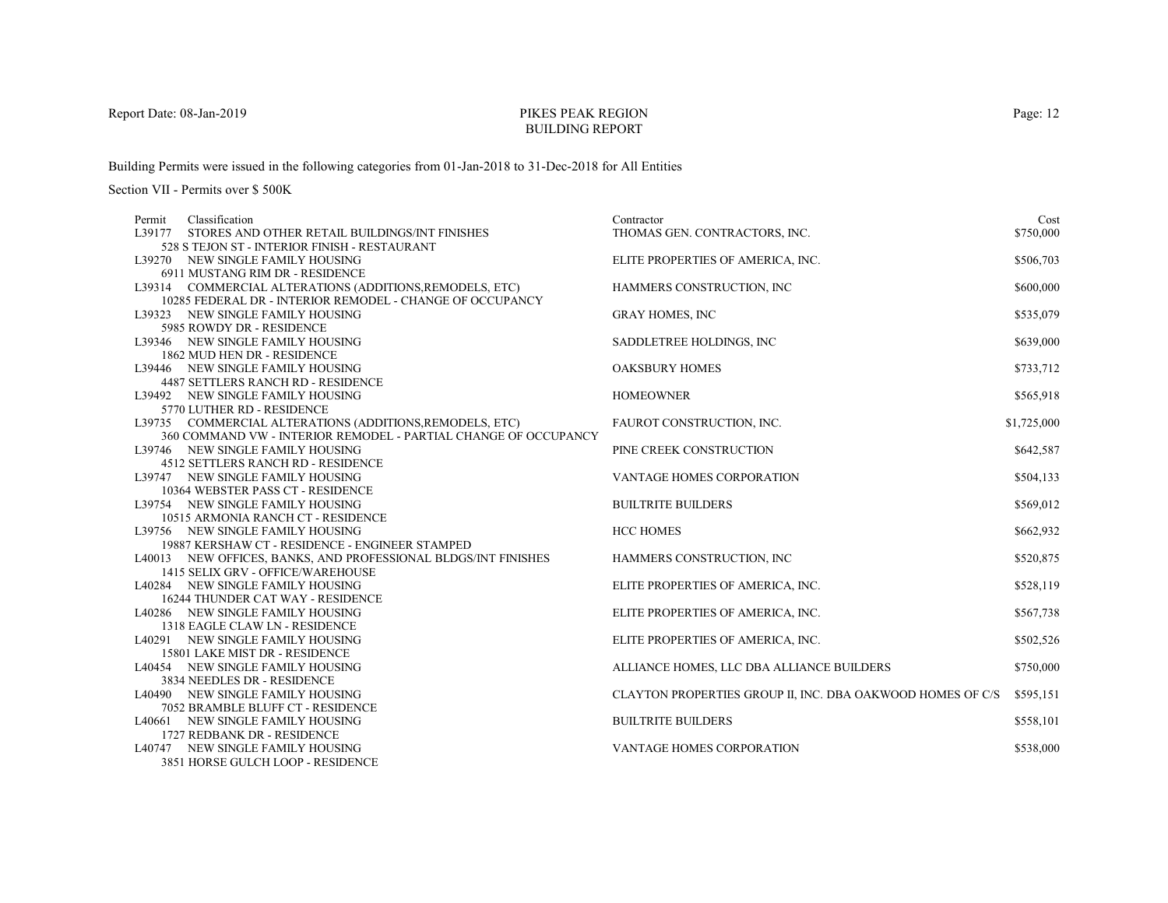# PIKES PEAK REGIONBUILDING REPORT

Building Permits were issued in the following categories from 01-Jan-2018 to 31-Dec-2018 for All Entities

| Permit | Classification                                                  | Contractor                                                 | Cost        |
|--------|-----------------------------------------------------------------|------------------------------------------------------------|-------------|
| L39177 | STORES AND OTHER RETAIL BUILDINGS/INT FINISHES                  | THOMAS GEN. CONTRACTORS, INC.                              | \$750,000   |
|        | 528 S TEJON ST - INTERIOR FINISH - RESTAURANT                   |                                                            |             |
|        | L39270 NEW SINGLE FAMILY HOUSING                                | ELITE PROPERTIES OF AMERICA, INC.                          | \$506,703   |
|        | 6911 MUSTANG RIM DR - RESIDENCE                                 |                                                            |             |
|        | L39314 COMMERCIAL ALTERATIONS (ADDITIONS, REMODELS, ETC)        | HAMMERS CONSTRUCTION, INC.                                 | \$600,000   |
|        | 10285 FEDERAL DR - INTERIOR REMODEL - CHANGE OF OCCUPANCY       |                                                            |             |
|        | L39323 NEW SINGLE FAMILY HOUSING                                | <b>GRAY HOMES, INC</b>                                     | \$535,079   |
|        | 5985 ROWDY DR - RESIDENCE                                       |                                                            |             |
|        | L39346 NEW SINGLE FAMILY HOUSING                                | SADDLETREE HOLDINGS, INC.                                  | \$639,000   |
|        | 1862 MUD HEN DR - RESIDENCE                                     |                                                            |             |
|        | L39446 NEW SINGLE FAMILY HOUSING                                | <b>OAKSBURY HOMES</b>                                      | \$733,712   |
|        | 4487 SETTLERS RANCH RD - RESIDENCE                              |                                                            |             |
|        | L39492 NEW SINGLE FAMILY HOUSING                                | <b>HOMEOWNER</b>                                           | \$565,918   |
|        | 5770 LUTHER RD - RESIDENCE                                      |                                                            |             |
|        | L39735 COMMERCIAL ALTERATIONS (ADDITIONS, REMODELS, ETC)        | FAUROT CONSTRUCTION, INC.                                  | \$1,725,000 |
|        | 360 COMMAND VW - INTERIOR REMODEL - PARTIAL CHANGE OF OCCUPANCY |                                                            |             |
|        | L39746 NEW SINGLE FAMILY HOUSING                                | PINE CREEK CONSTRUCTION                                    | \$642,587   |
|        | <b>4512 SETTLERS RANCH RD - RESIDENCE</b>                       |                                                            |             |
|        | L39747 NEW SINGLE FAMILY HOUSING                                | <b>VANTAGE HOMES CORPORATION</b>                           | \$504,133   |
|        | 10364 WEBSTER PASS CT - RESIDENCE                               |                                                            |             |
|        | L39754 NEW SINGLE FAMILY HOUSING                                | <b>BUILTRITE BUILDERS</b>                                  | \$569,012   |
|        | 10515 ARMONIA RANCH CT - RESIDENCE                              |                                                            |             |
|        | L39756 NEW SINGLE FAMILY HOUSING                                | <b>HCC HOMES</b>                                           | \$662,932   |
|        | 19887 KERSHAW CT - RESIDENCE - ENGINEER STAMPED                 |                                                            |             |
|        | L40013 NEW OFFICES, BANKS, AND PROFESSIONAL BLDGS/INT FINISHES  | HAMMERS CONSTRUCTION, INC.                                 | \$520,875   |
|        | 1415 SELIX GRV - OFFICE/WAREHOUSE                               |                                                            |             |
|        | L40284 NEW SINGLE FAMILY HOUSING                                | ELITE PROPERTIES OF AMERICA, INC.                          | \$528,119   |
|        | 16244 THUNDER CAT WAY - RESIDENCE                               |                                                            |             |
|        | L40286 NEW SINGLE FAMILY HOUSING                                | ELITE PROPERTIES OF AMERICA, INC.                          | \$567,738   |
|        | 1318 EAGLE CLAW LN - RESIDENCE                                  |                                                            |             |
|        | L40291 NEW SINGLE FAMILY HOUSING                                | ELITE PROPERTIES OF AMERICA, INC.                          | \$502,526   |
|        | 15801 LAKE MIST DR - RESIDENCE                                  |                                                            |             |
|        | L40454 NEW SINGLE FAMILY HOUSING                                | ALLIANCE HOMES, LLC DBA ALLIANCE BUILDERS                  | \$750,000   |
|        | 3834 NEEDLES DR - RESIDENCE                                     |                                                            |             |
|        | L40490 NEW SINGLE FAMILY HOUSING                                | CLAYTON PROPERTIES GROUP II, INC. DBA OAKWOOD HOMES OF C/S | \$595,151   |
|        | 7052 BRAMBLE BLUFF CT - RESIDENCE                               |                                                            |             |
|        | L40661 NEW SINGLE FAMILY HOUSING                                | <b>BUILTRITE BUILDERS</b>                                  | \$558,101   |
|        | 1727 REDBANK DR - RESIDENCE                                     |                                                            |             |
|        | L40747 NEW SINGLE FAMILY HOUSING                                | <b>VANTAGE HOMES CORPORATION</b>                           | \$538,000   |
|        | 3851 HORSE GULCH LOOP - RESIDENCE                               |                                                            |             |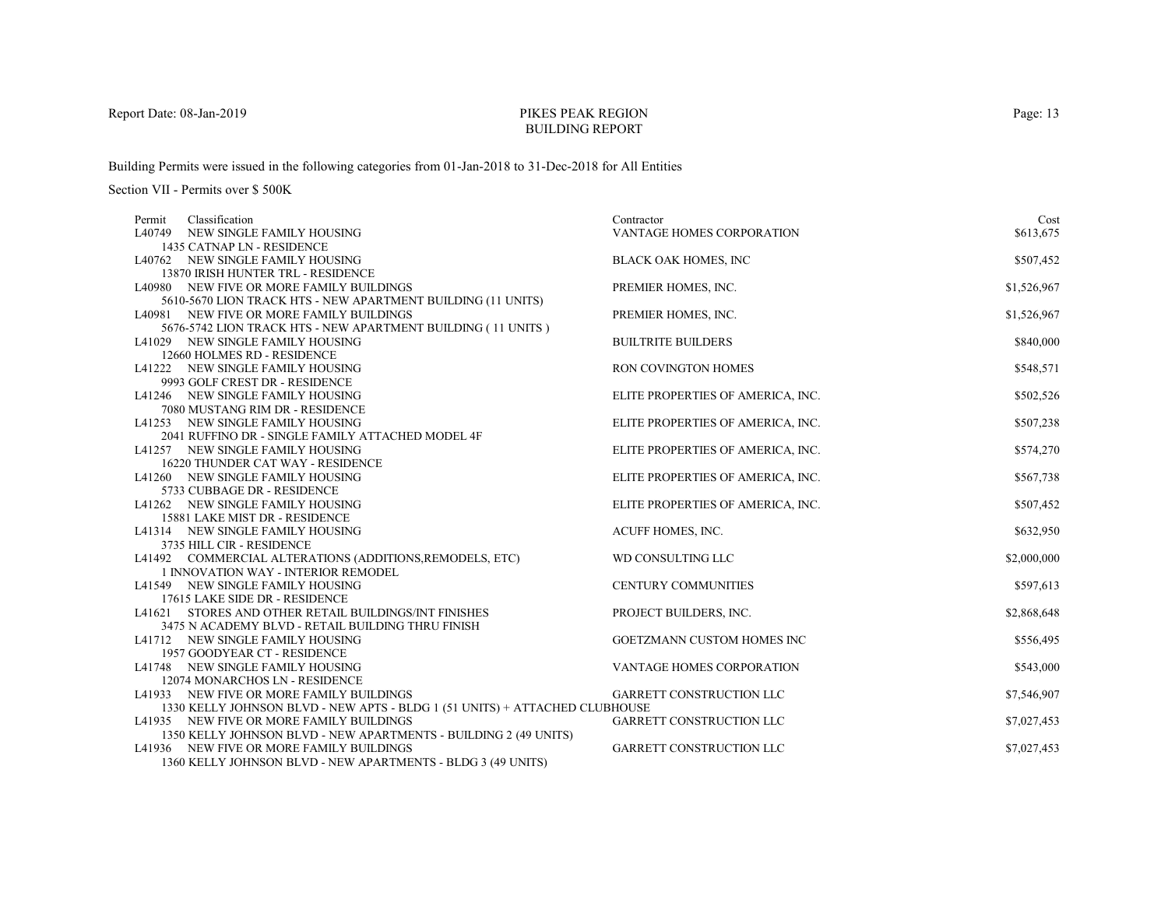# PIKES PEAK REGIONBUILDING REPORT

Building Permits were issued in the following categories from 01-Jan-2018 to 31-Dec-2018 for All Entities

| Classification<br>Permit                                                                        | Contractor                        | Cost        |
|-------------------------------------------------------------------------------------------------|-----------------------------------|-------------|
| L40749 NEW SINGLE FAMILY HOUSING                                                                | VANTAGE HOMES CORPORATION         | \$613,675   |
| 1435 CATNAP LN - RESIDENCE                                                                      |                                   |             |
| L40762 NEW SINGLE FAMILY HOUSING                                                                | <b>BLACK OAK HOMES, INC</b>       | \$507,452   |
| 13870 IRISH HUNTER TRL - RESIDENCE                                                              |                                   |             |
| L40980 NEW FIVE OR MORE FAMILY BUILDINGS                                                        | PREMIER HOMES, INC.               | \$1,526,967 |
| 5610-5670 LION TRACK HTS - NEW APARTMENT BUILDING (11 UNITS)                                    |                                   |             |
| L40981 NEW FIVE OR MORE FAMILY BUILDINGS                                                        | PREMIER HOMES, INC.               | \$1,526,967 |
| 5676-5742 LION TRACK HTS - NEW APARTMENT BUILDING (11 UNITS )                                   |                                   |             |
| L41029 NEW SINGLE FAMILY HOUSING                                                                | <b>BUILTRITE BUILDERS</b>         | \$840,000   |
| 12660 HOLMES RD - RESIDENCE                                                                     |                                   |             |
| L41222 NEW SINGLE FAMILY HOUSING                                                                | RON COVINGTON HOMES               | \$548,571   |
| 9993 GOLF CREST DR - RESIDENCE                                                                  |                                   |             |
| L41246 NEW SINGLE FAMILY HOUSING                                                                | ELITE PROPERTIES OF AMERICA, INC. | \$502,526   |
| 7080 MUSTANG RIM DR - RESIDENCE                                                                 |                                   |             |
| L41253 NEW SINGLE FAMILY HOUSING                                                                | ELITE PROPERTIES OF AMERICA, INC. | \$507,238   |
| 2041 RUFFINO DR - SINGLE FAMILY ATTACHED MODEL 4F                                               |                                   |             |
| L41257 NEW SINGLE FAMILY HOUSING                                                                | ELITE PROPERTIES OF AMERICA, INC. | \$574,270   |
| 16220 THUNDER CAT WAY - RESIDENCE                                                               |                                   |             |
| L41260 NEW SINGLE FAMILY HOUSING                                                                | ELITE PROPERTIES OF AMERICA, INC. | \$567,738   |
| 5733 CUBBAGE DR - RESIDENCE                                                                     |                                   |             |
| L41262 NEW SINGLE FAMILY HOUSING                                                                | ELITE PROPERTIES OF AMERICA, INC. | \$507,452   |
| 15881 LAKE MIST DR - RESIDENCE                                                                  |                                   |             |
| L41314 NEW SINGLE FAMILY HOUSING                                                                | ACUFF HOMES, INC.                 | \$632,950   |
| 3735 HILL CIR - RESIDENCE                                                                       | WD CONSULTING LLC                 |             |
| L41492 COMMERCIAL ALTERATIONS (ADDITIONS, REMODELS, ETC)<br>1 INNOVATION WAY - INTERIOR REMODEL |                                   | \$2,000,000 |
| L41549 NEW SINGLE FAMILY HOUSING                                                                | <b>CENTURY COMMUNITIES</b>        | \$597,613   |
| 17615 LAKE SIDE DR - RESIDENCE                                                                  |                                   |             |
| L41621 STORES AND OTHER RETAIL BUILDINGS/INT FINISHES                                           | PROJECT BUILDERS, INC.            | \$2,868,648 |
| 3475 N ACADEMY BLVD - RETAIL BUILDING THRU FINISH                                               |                                   |             |
| L41712 NEW SINGLE FAMILY HOUSING                                                                | GOETZMANN CUSTOM HOMES INC        | \$556,495   |
| 1957 GOODYEAR CT - RESIDENCE                                                                    |                                   |             |
| L41748 NEW SINGLE FAMILY HOUSING                                                                | VANTAGE HOMES CORPORATION         | \$543,000   |
| 12074 MONARCHOS LN - RESIDENCE                                                                  |                                   |             |
| L41933 NEW FIVE OR MORE FAMILY BUILDINGS                                                        | GARRETT CONSTRUCTION LLC          | \$7,546,907 |
| 1330 KELLY JOHNSON BLVD - NEW APTS - BLDG 1 (51 UNITS) + ATTACHED CLUBHOUSE                     |                                   |             |
| L41935 NEW FIVE OR MORE FAMILY BUILDINGS                                                        | <b>GARRETT CONSTRUCTION LLC</b>   | \$7,027,453 |
| 1350 KELLY JOHNSON BLVD - NEW APARTMENTS - BUILDING 2 (49 UNITS)                                |                                   |             |
| L41936 NEW FIVE OR MORE FAMILY BUILDINGS                                                        | <b>GARRETT CONSTRUCTION LLC</b>   | \$7,027,453 |
| 1360 KELLY JOHNSON BLVD - NEW APARTMENTS - BLDG 3 (49 UNITS)                                    |                                   |             |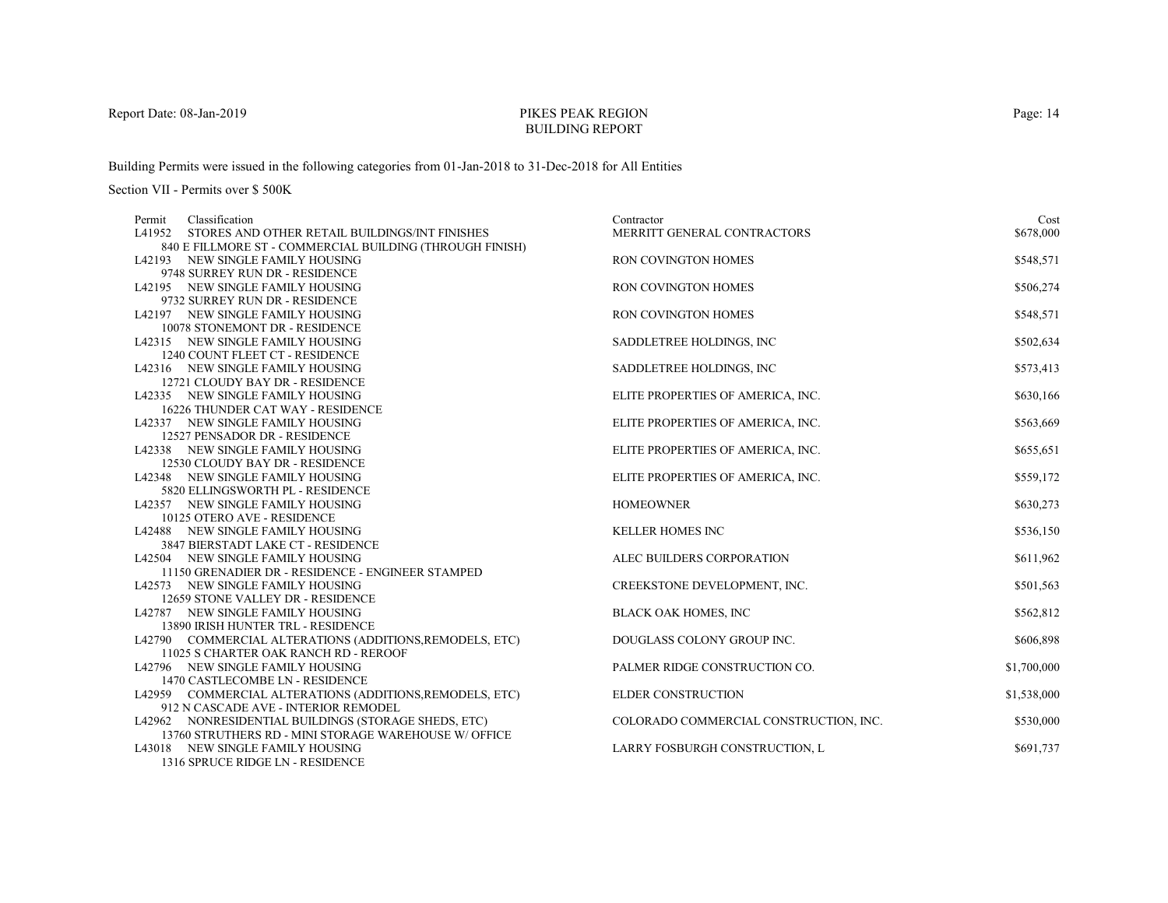# PIKES PEAK REGIONBUILDING REPORT

Building Permits were issued in the following categories from 01-Jan-2018 to 31-Dec-2018 for All Entities

Section VII - Permits over \$ 500K

| Classification<br>Permit                                            | Contractor                             | Cost        |
|---------------------------------------------------------------------|----------------------------------------|-------------|
| L41952 STORES AND OTHER RETAIL BUILDINGS/INT FINISHES               | MERRITT GENERAL CONTRACTORS            | \$678,000   |
| 840 E FILLMORE ST - COMMERCIAL BUILDING (THROUGH FINISH)            |                                        |             |
| L42193 NEW SINGLE FAMILY HOUSING                                    | <b>RON COVINGTON HOMES</b>             | \$548,571   |
| 9748 SURREY RUN DR - RESIDENCE                                      |                                        |             |
| L42195 NEW SINGLE FAMILY HOUSING                                    | <b>RON COVINGTON HOMES</b>             | \$506,274   |
| 9732 SURREY RUN DR - RESIDENCE                                      |                                        |             |
| L42197 NEW SINGLE FAMILY HOUSING                                    | RON COVINGTON HOMES                    | \$548,571   |
| 10078 STONEMONT DR - RESIDENCE                                      |                                        |             |
| L42315 NEW SINGLE FAMILY HOUSING                                    | SADDLETREE HOLDINGS, INC.              | \$502,634   |
| 1240 COUNT FLEET CT - RESIDENCE                                     |                                        |             |
| L42316 NEW SINGLE FAMILY HOUSING                                    | SADDLETREE HOLDINGS, INC.              | \$573,413   |
| 12721 CLOUDY BAY DR - RESIDENCE                                     |                                        |             |
| L42335 NEW SINGLE FAMILY HOUSING                                    | ELITE PROPERTIES OF AMERICA, INC.      | \$630,166   |
| 16226 THUNDER CAT WAY - RESIDENCE                                   |                                        |             |
| L42337 NEW SINGLE FAMILY HOUSING                                    | ELITE PROPERTIES OF AMERICA, INC.      | \$563,669   |
| 12527 PENSADOR DR - RESIDENCE                                       |                                        |             |
| L42338 NEW SINGLE FAMILY HOUSING                                    | ELITE PROPERTIES OF AMERICA, INC.      | \$655,651   |
| 12530 CLOUDY BAY DR - RESIDENCE                                     |                                        |             |
| L42348 NEW SINGLE FAMILY HOUSING                                    | ELITE PROPERTIES OF AMERICA, INC.      | \$559,172   |
| 5820 ELLINGSWORTH PL - RESIDENCE                                    |                                        |             |
| L42357 NEW SINGLE FAMILY HOUSING                                    | <b>HOMEOWNER</b>                       | \$630,273   |
| 10125 OTERO AVE - RESIDENCE                                         |                                        |             |
| L42488 NEW SINGLE FAMILY HOUSING                                    | <b>KELLER HOMES INC</b>                | \$536,150   |
| 3847 BIERSTADT LAKE CT - RESIDENCE                                  |                                        |             |
| L42504 NEW SINGLE FAMILY HOUSING                                    | ALEC BUILDERS CORPORATION              | \$611,962   |
| 11150 GRENADIER DR - RESIDENCE - ENGINEER STAMPED                   |                                        |             |
| L42573 NEW SINGLE FAMILY HOUSING                                    | CREEKSTONE DEVELOPMENT, INC.           | \$501,563   |
| 12659 STONE VALLEY DR - RESIDENCE                                   |                                        |             |
| L42787 NEW SINGLE FAMILY HOUSING                                    | <b>BLACK OAK HOMES, INC</b>            | \$562,812   |
| 13890 IRISH HUNTER TRL - RESIDENCE                                  |                                        |             |
| L42790 COMMERCIAL ALTERATIONS (ADDITIONS, REMODELS, ETC)            | DOUGLASS COLONY GROUP INC.             | \$606,898   |
| 11025 S CHARTER OAK RANCH RD - REROOF                               |                                        |             |
| L42796 NEW SINGLE FAMILY HOUSING                                    | PALMER RIDGE CONSTRUCTION CO.          | \$1,700,000 |
| 1470 CASTLECOMBE LN - RESIDENCE                                     |                                        |             |
| L42959 COMMERCIAL ALTERATIONS (ADDITIONS, REMODELS, ETC)            | <b>ELDER CONSTRUCTION</b>              | \$1,538,000 |
| 912 N CASCADE AVE - INTERIOR REMODEL                                |                                        |             |
| L42962 NONRESIDENTIAL BUILDINGS (STORAGE SHEDS, ETC)                | COLORADO COMMERCIAL CONSTRUCTION, INC. | \$530,000   |
| 13760 STRUTHERS RD - MINI STORAGE WAREHOUSE W/ OFFICE               |                                        |             |
| L43018 NEW SINGLE FAMILY HOUSING<br>1216 CRRITCE RIDGE LM RECIDEMEN | LARRY FOSBURGH CONSTRUCTION, L         | \$691,737   |
|                                                                     |                                        |             |

1316 SPRUCE RIDGE LN - RESIDENCE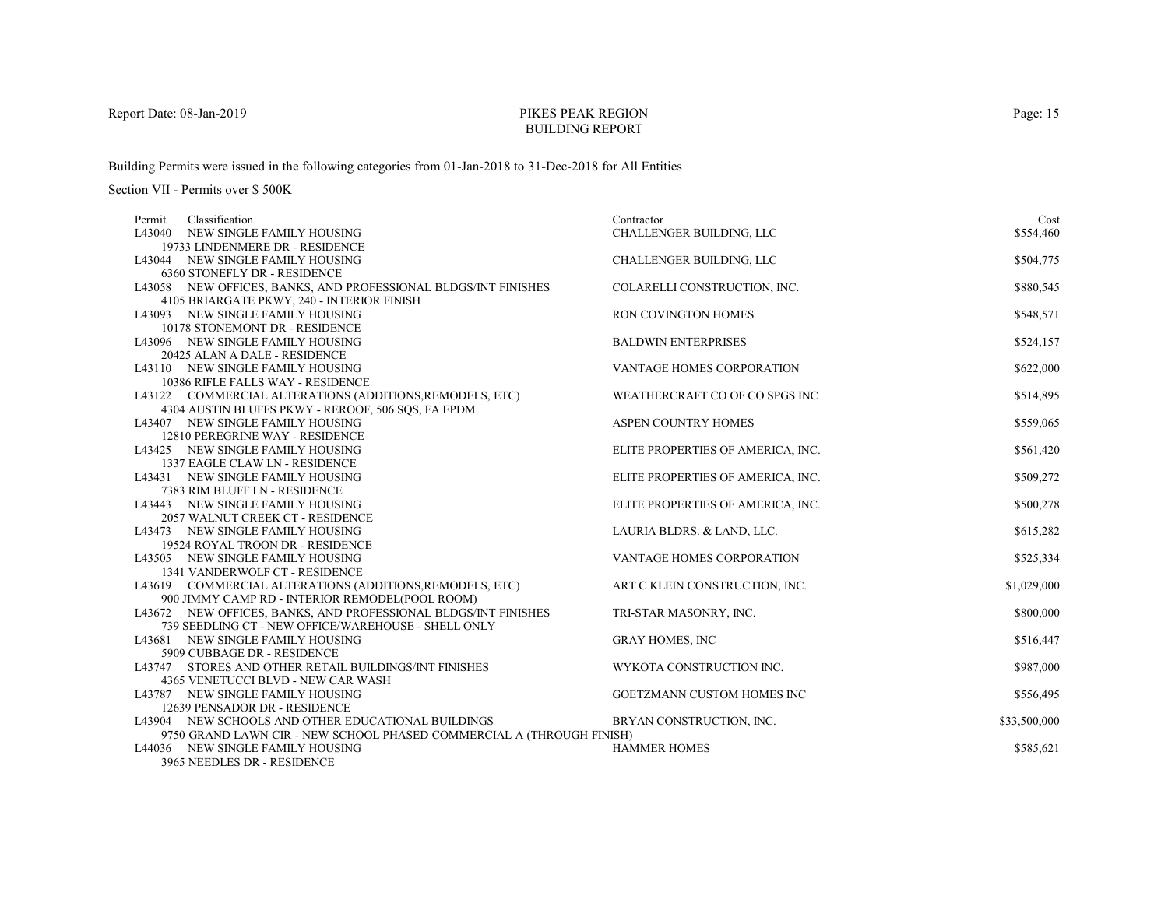# PIKES PEAK REGIONBUILDING REPORT

Building Permits were issued in the following categories from 01-Jan-2018 to 31-Dec-2018 for All Entities

| Classification<br>Permit                                              | Contractor                        | Cost         |
|-----------------------------------------------------------------------|-----------------------------------|--------------|
| L43040 NEW SINGLE FAMILY HOUSING                                      | CHALLENGER BUILDING, LLC          | \$554,460    |
| 19733 LINDENMERE DR - RESIDENCE                                       |                                   |              |
| L43044 NEW SINGLE FAMILY HOUSING                                      | CHALLENGER BUILDING, LLC          | \$504,775    |
| 6360 STONEFLY DR - RESIDENCE                                          |                                   |              |
| L43058 NEW OFFICES, BANKS, AND PROFESSIONAL BLDGS/INT FINISHES        | COLARELLI CONSTRUCTION, INC.      | \$880,545    |
| 4105 BRIARGATE PKWY, 240 - INTERIOR FINISH                            |                                   |              |
| L43093 NEW SINGLE FAMILY HOUSING                                      | <b>RON COVINGTON HOMES</b>        | \$548,571    |
| 10178 STONEMONT DR - RESIDENCE                                        |                                   |              |
| L43096 NEW SINGLE FAMILY HOUSING                                      | <b>BALDWIN ENTERPRISES</b>        | \$524,157    |
| 20425 ALAN A DALE - RESIDENCE                                         |                                   |              |
| L43110 NEW SINGLE FAMILY HOUSING                                      | VANTAGE HOMES CORPORATION         | \$622,000    |
| 10386 RIFLE FALLS WAY - RESIDENCE                                     |                                   |              |
| L43122 COMMERCIAL ALTERATIONS (ADDITIONS, REMODELS, ETC)              | WEATHERCRAFT CO OF CO SPGS INC    | \$514,895    |
| 4304 AUSTIN BLUFFS PKWY - REROOF, 506 SOS, FA EPDM                    |                                   |              |
| L43407 NEW SINGLE FAMILY HOUSING                                      | <b>ASPEN COUNTRY HOMES</b>        | \$559,065    |
| 12810 PEREGRINE WAY - RESIDENCE                                       |                                   |              |
| L43425 NEW SINGLE FAMILY HOUSING                                      | ELITE PROPERTIES OF AMERICA, INC. | \$561,420    |
| 1337 EAGLE CLAW LN - RESIDENCE                                        |                                   |              |
| L43431 NEW SINGLE FAMILY HOUSING                                      | ELITE PROPERTIES OF AMERICA, INC. | \$509,272    |
| 7383 RIM BLUFF LN - RESIDENCE                                         |                                   |              |
| L43443 NEW SINGLE FAMILY HOUSING                                      | ELITE PROPERTIES OF AMERICA, INC. | \$500,278    |
| 2057 WALNUT CREEK CT - RESIDENCE                                      |                                   |              |
| L43473 NEW SINGLE FAMILY HOUSING<br>19524 ROYAL TROON DR - RESIDENCE  | LAURIA BLDRS. & LAND, LLC.        | \$615,282    |
|                                                                       |                                   |              |
| L43505 NEW SINGLE FAMILY HOUSING<br>1341 VANDERWOLF CT - RESIDENCE    | VANTAGE HOMES CORPORATION         | \$525,334    |
| L43619 COMMERCIAL ALTERATIONS (ADDITIONS, REMODELS, ETC)              | ART C KLEIN CONSTRUCTION, INC.    | \$1,029,000  |
| 900 JIMMY CAMP RD - INTERIOR REMODEL(POOL ROOM)                       |                                   |              |
| L43672 NEW OFFICES, BANKS, AND PROFESSIONAL BLDGS/INT FINISHES        | TRI-STAR MASONRY, INC.            | \$800,000    |
| 739 SEEDLING CT - NEW OFFICE/WAREHOUSE - SHELL ONLY                   |                                   |              |
| L43681 NEW SINGLE FAMILY HOUSING                                      | <b>GRAY HOMES, INC</b>            | \$516,447    |
| 5909 CUBBAGE DR - RESIDENCE                                           |                                   |              |
| L43747 STORES AND OTHER RETAIL BUILDINGS/INT FINISHES                 | WYKOTA CONSTRUCTION INC.          | \$987,000    |
| 4365 VENETUCCI BLVD - NEW CAR WASH                                    |                                   |              |
| L43787 NEW SINGLE FAMILY HOUSING                                      | GOETZMANN CUSTOM HOMES INC        | \$556,495    |
| 12639 PENSADOR DR - RESIDENCE                                         |                                   |              |
| L43904 NEW SCHOOLS AND OTHER EDUCATIONAL BUILDINGS                    | BRYAN CONSTRUCTION, INC.          | \$33,500,000 |
| 9750 GRAND LAWN CIR - NEW SCHOOL PHASED COMMERCIAL A (THROUGH FINISH) |                                   |              |
| L44036 NEW SINGLE FAMILY HOUSING                                      | <b>HAMMER HOMES</b>               | \$585,621    |
| 3965 NEEDLES DR - RESIDENCE                                           |                                   |              |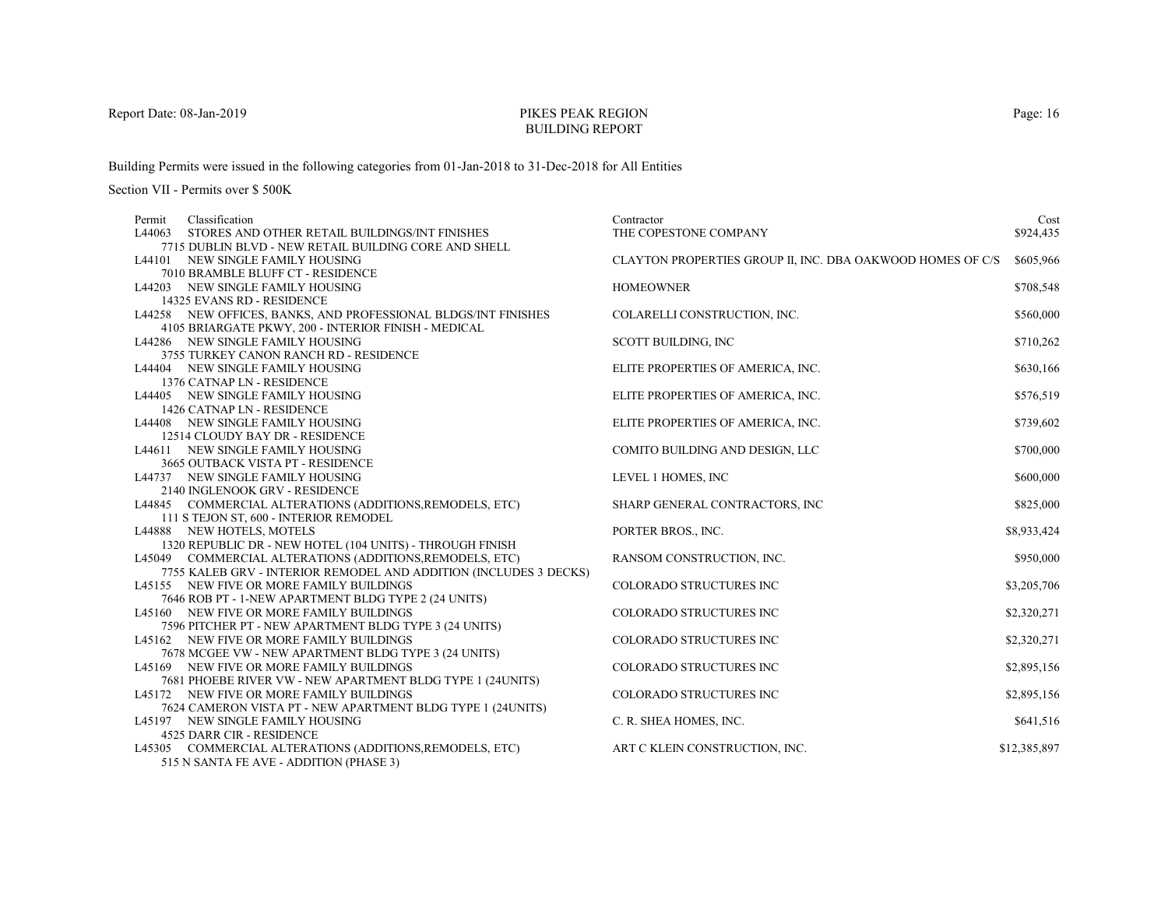# PIKES PEAK REGIONBUILDING REPORT

Building Permits were issued in the following categories from 01-Jan-2018 to 31-Dec-2018 for All Entities

| Classification<br>Permit                                          | Contractor                                                 | Cost         |
|-------------------------------------------------------------------|------------------------------------------------------------|--------------|
| L44063<br>STORES AND OTHER RETAIL BUILDINGS/INT FINISHES          | THE COPESTONE COMPANY                                      | \$924,435    |
| 7715 DUBLIN BLVD - NEW RETAIL BUILDING CORE AND SHELL             |                                                            |              |
| L44101 NEW SINGLE FAMILY HOUSING                                  | CLAYTON PROPERTIES GROUP II, INC. DBA OAKWOOD HOMES OF C/S | \$605,966    |
| 7010 BRAMBLE BLUFF CT - RESIDENCE                                 |                                                            |              |
| L44203 NEW SINGLE FAMILY HOUSING                                  | <b>HOMEOWNER</b>                                           | \$708,548    |
| 14325 EVANS RD - RESIDENCE                                        |                                                            |              |
| L44258 NEW OFFICES, BANKS, AND PROFESSIONAL BLDGS/INT FINISHES    | COLARELLI CONSTRUCTION, INC.                               | \$560,000    |
| 4105 BRIARGATE PKWY, 200 - INTERIOR FINISH - MEDICAL              |                                                            |              |
| L44286 NEW SINGLE FAMILY HOUSING                                  | <b>SCOTT BUILDING, INC</b>                                 | \$710,262    |
| 3755 TURKEY CANON RANCH RD - RESIDENCE                            |                                                            |              |
| L44404 NEW SINGLE FAMILY HOUSING                                  | ELITE PROPERTIES OF AMERICA, INC.                          | \$630,166    |
| 1376 CATNAP LN - RESIDENCE                                        |                                                            |              |
| L44405 NEW SINGLE FAMILY HOUSING                                  | ELITE PROPERTIES OF AMERICA, INC.                          | \$576,519    |
| 1426 CATNAP LN - RESIDENCE                                        |                                                            |              |
| L44408 NEW SINGLE FAMILY HOUSING                                  | ELITE PROPERTIES OF AMERICA, INC.                          | \$739,602    |
| 12514 CLOUDY BAY DR - RESIDENCE                                   |                                                            |              |
| L44611 NEW SINGLE FAMILY HOUSING                                  | COMITO BUILDING AND DESIGN, LLC                            | \$700,000    |
| 3665 OUTBACK VISTA PT - RESIDENCE                                 |                                                            |              |
| L44737 NEW SINGLE FAMILY HOUSING                                  | LEVEL 1 HOMES, INC                                         | \$600,000    |
| 2140 INGLENOOK GRV - RESIDENCE                                    |                                                            |              |
| L44845 COMMERCIAL ALTERATIONS (ADDITIONS, REMODELS, ETC)          | SHARP GENERAL CONTRACTORS, INC                             | \$825,000    |
| 111 S TEJON ST, 600 - INTERIOR REMODEL                            |                                                            |              |
| L44888 NEW HOTELS, MOTELS                                         | PORTER BROS., INC.                                         | \$8,933,424  |
| 1320 REPUBLIC DR - NEW HOTEL (104 UNITS) - THROUGH FINISH         |                                                            |              |
| L45049 COMMERCIAL ALTERATIONS (ADDITIONS, REMODELS, ETC)          | RANSOM CONSTRUCTION, INC.                                  | \$950,000    |
| 7755 KALEB GRV - INTERIOR REMODEL AND ADDITION (INCLUDES 3 DECKS) |                                                            |              |
| L45155 NEW FIVE OR MORE FAMILY BUILDINGS                          | <b>COLORADO STRUCTURES INC</b>                             | \$3,205,706  |
| 7646 ROB PT - 1-NEW APARTMENT BLDG TYPE 2 (24 UNITS)              |                                                            |              |
| L45160 NEW FIVE OR MORE FAMILY BUILDINGS                          | COLORADO STRUCTURES INC                                    | \$2,320,271  |
| 7596 PITCHER PT - NEW APARTMENT BLDG TYPE 3 (24 UNITS)            |                                                            |              |
| L45162 NEW FIVE OR MORE FAMILY BUILDINGS                          | COLORADO STRUCTURES INC                                    | \$2,320,271  |
| 7678 MCGEE VW - NEW APARTMENT BLDG TYPE 3 (24 UNITS)              |                                                            |              |
| L45169 NEW FIVE OR MORE FAMILY BUILDINGS                          | COLORADO STRUCTURES INC                                    | \$2,895,156  |
| 7681 PHOEBE RIVER VW - NEW APARTMENT BLDG TYPE 1 (24UNITS)        |                                                            |              |
| L45172 NEW FIVE OR MORE FAMILY BUILDINGS                          | COLORADO STRUCTURES INC                                    | \$2,895,156  |
| 7624 CAMERON VISTA PT - NEW APARTMENT BLDG TYPE 1 (24UNITS)       |                                                            |              |
| L45197 NEW SINGLE FAMILY HOUSING                                  | C. R. SHEA HOMES, INC.                                     | \$641,516    |
| 4525 DARR CIR - RESIDENCE                                         |                                                            |              |
| L45305 COMMERCIAL ALTERATIONS (ADDITIONS, REMODELS, ETC)          | ART C KLEIN CONSTRUCTION, INC.                             | \$12,385,897 |
| 515 N SANTA FE AVE - ADDITION (PHASE 3)                           |                                                            |              |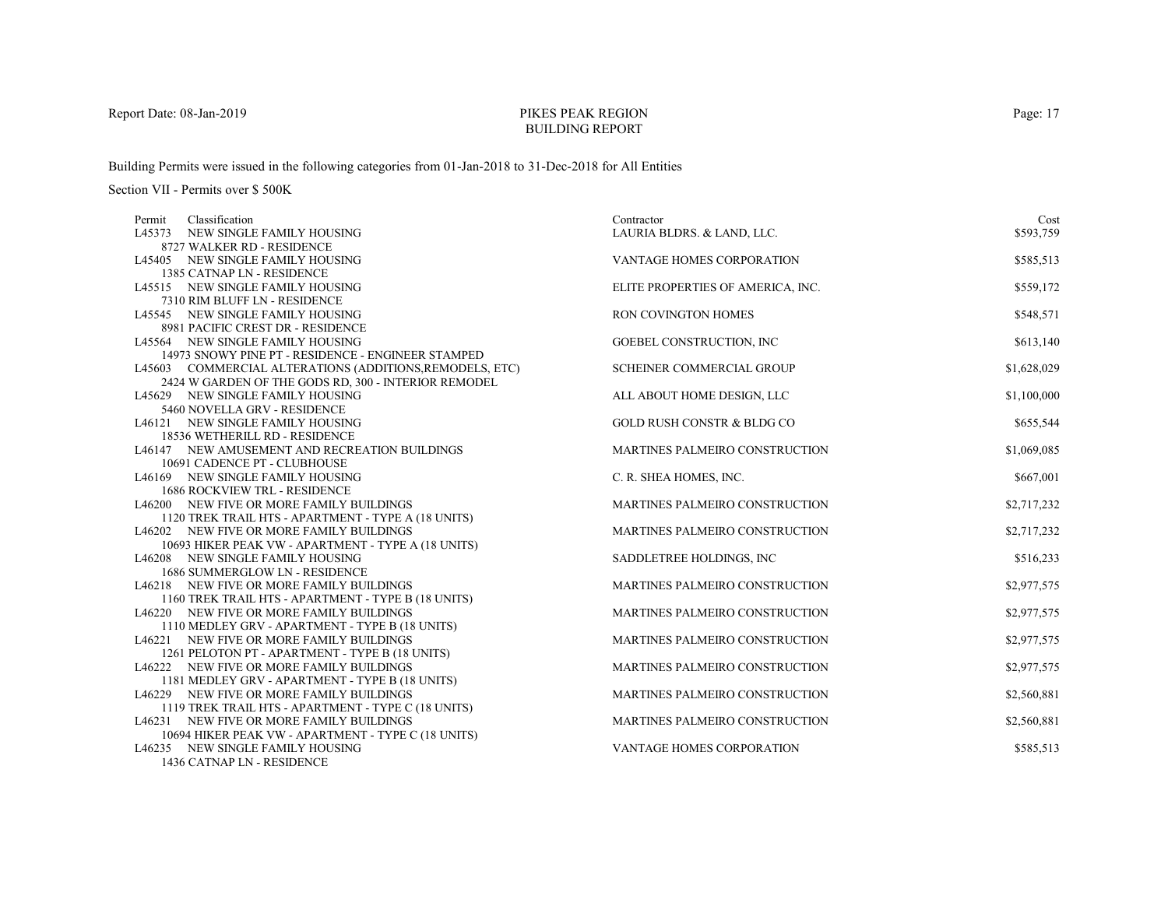# PIKES PEAK REGIONBUILDING REPORT

Building Permits were issued in the following categories from 01-Jan-2018 to 31-Dec-2018 for All Entities

Section VII - Permits over \$ 500K

| Classification<br>Permit                                                                        | Contractor                            | Cost        |
|-------------------------------------------------------------------------------------------------|---------------------------------------|-------------|
| L45373 NEW SINGLE FAMILY HOUSING                                                                | LAURIA BLDRS. & LAND, LLC.            | \$593,759   |
| 8727 WALKER RD - RESIDENCE                                                                      |                                       |             |
| L45405 NEW SINGLE FAMILY HOUSING                                                                | VANTAGE HOMES CORPORATION             | \$585,513   |
| 1385 CATNAP LN - RESIDENCE                                                                      |                                       |             |
| L45515 NEW SINGLE FAMILY HOUSING                                                                | ELITE PROPERTIES OF AMERICA, INC.     | \$559,172   |
| 7310 RIM BLUFF LN - RESIDENCE                                                                   |                                       |             |
| L45545 NEW SINGLE FAMILY HOUSING                                                                | RON COVINGTON HOMES                   | \$548,571   |
| 8981 PACIFIC CREST DR - RESIDENCE                                                               |                                       |             |
| L45564 NEW SINGLE FAMILY HOUSING                                                                | GOEBEL CONSTRUCTION, INC              | \$613,140   |
| 14973 SNOWY PINE PT - RESIDENCE - ENGINEER STAMPED                                              |                                       |             |
| L45603 COMMERCIAL ALTERATIONS (ADDITIONS, REMODELS, ETC)                                        | SCHEINER COMMERCIAL GROUP             | \$1,628,029 |
| 2424 W GARDEN OF THE GODS RD, 300 - INTERIOR REMODEL                                            |                                       |             |
| L45629 NEW SINGLE FAMILY HOUSING                                                                | ALL ABOUT HOME DESIGN, LLC            | \$1,100,000 |
| 5460 NOVELLA GRV - RESIDENCE                                                                    |                                       |             |
| L46121 NEW SINGLE FAMILY HOUSING                                                                | <b>GOLD RUSH CONSTR &amp; BLDG CO</b> | \$655,544   |
| 18536 WETHERILL RD - RESIDENCE                                                                  |                                       |             |
| L46147 NEW AMUSEMENT AND RECREATION BUILDINGS                                                   | MARTINES PALMEIRO CONSTRUCTION        | \$1,069,085 |
| 10691 CADENCE PT - CLUBHOUSE<br>L46169 NEW SINGLE FAMILY HOUSING                                | C. R. SHEA HOMES, INC.                |             |
| <b>1686 ROCKVIEW TRL - RESIDENCE</b>                                                            |                                       | \$667,001   |
|                                                                                                 | MARTINES PALMEIRO CONSTRUCTION        |             |
| L46200 NEW FIVE OR MORE FAMILY BUILDINGS<br>1120 TREK TRAIL HTS - APARTMENT - TYPE A (18 UNITS) |                                       | \$2,717,232 |
| L46202 NEW FIVE OR MORE FAMILY BUILDINGS                                                        | MARTINES PALMEIRO CONSTRUCTION        | \$2,717,232 |
| 10693 HIKER PEAK VW - APARTMENT - TYPE A (18 UNITS)                                             |                                       |             |
| L46208 NEW SINGLE FAMILY HOUSING                                                                | SADDLETREE HOLDINGS, INC              | \$516,233   |
| 1686 SUMMERGLOW LN - RESIDENCE                                                                  |                                       |             |
| L46218 NEW FIVE OR MORE FAMILY BUILDINGS                                                        | MARTINES PALMEIRO CONSTRUCTION        | \$2,977,575 |
| 1160 TREK TRAIL HTS - APARTMENT - TYPE B (18 UNITS)                                             |                                       |             |
| L46220 NEW FIVE OR MORE FAMILY BUILDINGS                                                        | MARTINES PALMEIRO CONSTRUCTION        | \$2,977,575 |
| 1110 MEDLEY GRV - APARTMENT - TYPE B (18 UNITS)                                                 |                                       |             |
| L46221 NEW FIVE OR MORE FAMILY BUILDINGS                                                        | MARTINES PALMEIRO CONSTRUCTION        | \$2,977,575 |
| 1261 PELOTON PT - APARTMENT - TYPE B (18 UNITS)                                                 |                                       |             |
| L46222 NEW FIVE OR MORE FAMILY BUILDINGS                                                        | MARTINES PALMEIRO CONSTRUCTION        | \$2,977,575 |
| 1181 MEDLEY GRV - APARTMENT - TYPE B (18 UNITS)                                                 |                                       |             |
| L46229 NEW FIVE OR MORE FAMILY BUILDINGS                                                        | MARTINES PALMEIRO CONSTRUCTION        | \$2,560,881 |
| 1119 TREK TRAIL HTS - APARTMENT - TYPE C (18 UNITS)                                             |                                       |             |
| L46231 NEW FIVE OR MORE FAMILY BUILDINGS                                                        | MARTINES PALMEIRO CONSTRUCTION        | \$2,560,881 |
| 10694 HIKER PEAK VW - APARTMENT - TYPE C (18 UNITS)                                             |                                       |             |
| L46235 NEW SINGLE FAMILY HOUSING                                                                | VANTAGE HOMES CORPORATION             | \$585,513   |
| 1436 CATNAP LN - RESIDENCE                                                                      |                                       |             |

Page: 17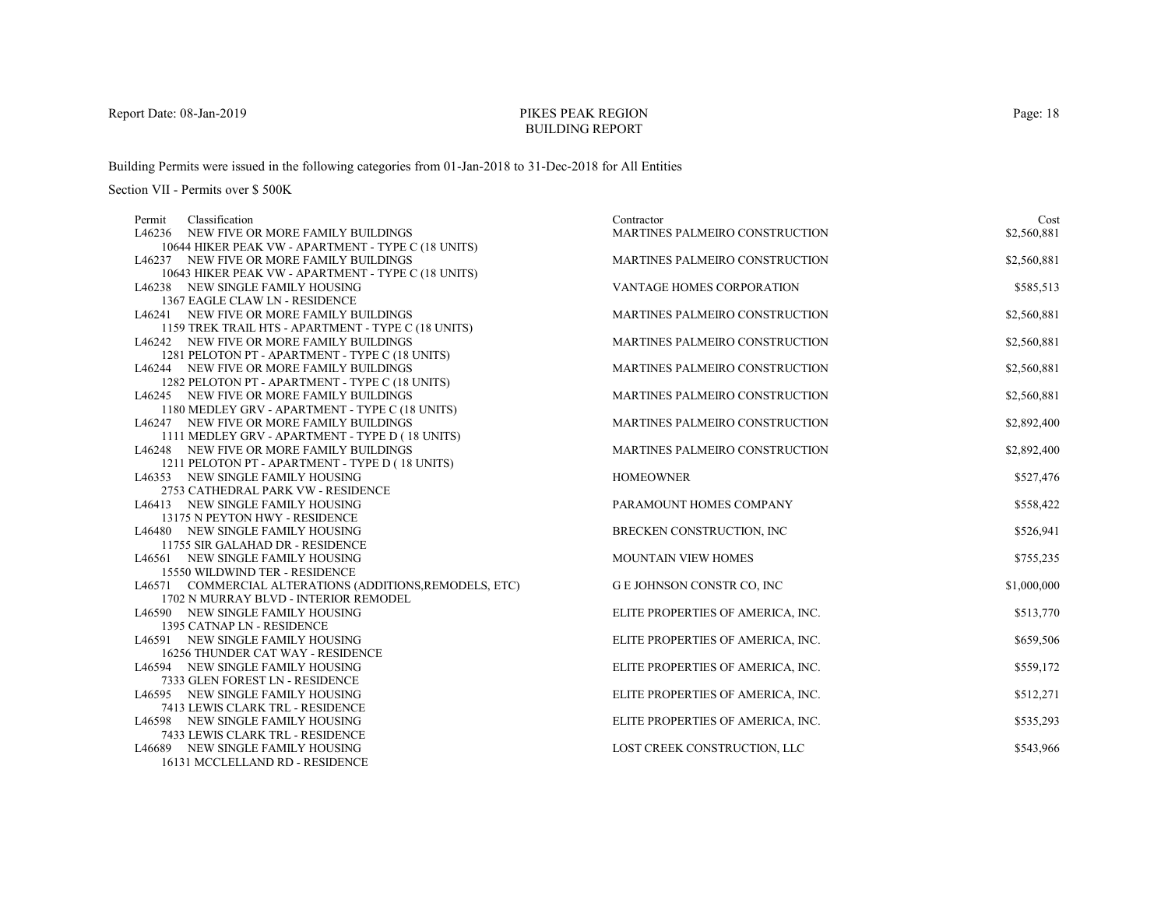# PIKES PEAK REGIONBUILDING REPORT

Building Permits were issued in the following categories from 01-Jan-2018 to 31-Dec-2018 for All Entities

| Classification<br>Permit                                             | Contractor                        | Cost        |
|----------------------------------------------------------------------|-----------------------------------|-------------|
| L46236 NEW FIVE OR MORE FAMILY BUILDINGS                             | MARTINES PALMEIRO CONSTRUCTION    | \$2,560,881 |
| 10644 HIKER PEAK VW - APARTMENT - TYPE C (18 UNITS)                  |                                   |             |
| L46237 NEW FIVE OR MORE FAMILY BUILDINGS                             | MARTINES PALMEIRO CONSTRUCTION    | \$2,560,881 |
| 10643 HIKER PEAK VW - APARTMENT - TYPE C (18 UNITS)                  |                                   |             |
| L46238 NEW SINGLE FAMILY HOUSING                                     | <b>VANTAGE HOMES CORPORATION</b>  | \$585,513   |
| 1367 EAGLE CLAW LN - RESIDENCE                                       |                                   |             |
| L46241 NEW FIVE OR MORE FAMILY BUILDINGS                             | MARTINES PALMEIRO CONSTRUCTION    | \$2,560,881 |
| 1159 TREK TRAIL HTS - APARTMENT - TYPE C (18 UNITS)                  |                                   |             |
| L46242 NEW FIVE OR MORE FAMILY BUILDINGS                             | MARTINES PALMEIRO CONSTRUCTION    | \$2,560,881 |
| 1281 PELOTON PT - APARTMENT - TYPE C (18 UNITS)                      |                                   |             |
| L46244 NEW FIVE OR MORE FAMILY BUILDINGS                             | MARTINES PALMEIRO CONSTRUCTION    | \$2,560,881 |
| 1282 PELOTON PT - APARTMENT - TYPE C (18 UNITS)                      |                                   |             |
| L46245 NEW FIVE OR MORE FAMILY BUILDINGS                             | MARTINES PALMEIRO CONSTRUCTION    | \$2,560,881 |
| 1180 MEDLEY GRV - APARTMENT - TYPE C (18 UNITS)                      |                                   |             |
| L46247 NEW FIVE OR MORE FAMILY BUILDINGS                             | MARTINES PALMEIRO CONSTRUCTION    | \$2,892,400 |
| 1111 MEDLEY GRV - APARTMENT - TYPE D (18 UNITS)                      |                                   |             |
| L46248 NEW FIVE OR MORE FAMILY BUILDINGS                             | MARTINES PALMEIRO CONSTRUCTION    | \$2,892,400 |
| 1211 PELOTON PT - APARTMENT - TYPE D (18 UNITS)                      |                                   |             |
| L46353 NEW SINGLE FAMILY HOUSING                                     | <b>HOMEOWNER</b>                  | \$527,476   |
| 2753 CATHEDRAL PARK VW - RESIDENCE                                   |                                   |             |
| L46413 NEW SINGLE FAMILY HOUSING                                     | PARAMOUNT HOMES COMPANY           | \$558,422   |
| 13175 N PEYTON HWY - RESIDENCE                                       |                                   |             |
| L46480 NEW SINGLE FAMILY HOUSING                                     | BRECKEN CONSTRUCTION, INC         | \$526,941   |
| 11755 SIR GALAHAD DR - RESIDENCE<br>L46561 NEW SINGLE FAMILY HOUSING | <b>MOUNTAIN VIEW HOMES</b>        | \$755,235   |
| 15550 WILDWIND TER - RESIDENCE                                       |                                   |             |
| L46571 COMMERCIAL ALTERATIONS (ADDITIONS, REMODELS, ETC)             | G E JOHNSON CONSTR CO, INC        | \$1,000,000 |
| 1702 N MURRAY BLVD - INTERIOR REMODEL                                |                                   |             |
| L46590 NEW SINGLE FAMILY HOUSING                                     | ELITE PROPERTIES OF AMERICA, INC. | \$513,770   |
| 1395 CATNAP LN - RESIDENCE                                           |                                   |             |
| L46591 NEW SINGLE FAMILY HOUSING                                     | ELITE PROPERTIES OF AMERICA, INC. | \$659,506   |
| 16256 THUNDER CAT WAY - RESIDENCE                                    |                                   |             |
| L46594 NEW SINGLE FAMILY HOUSING                                     | ELITE PROPERTIES OF AMERICA, INC. | \$559,172   |
| 7333 GLEN FOREST LN - RESIDENCE                                      |                                   |             |
| L46595 NEW SINGLE FAMILY HOUSING                                     | ELITE PROPERTIES OF AMERICA, INC. | \$512,271   |
| 7413 LEWIS CLARK TRL - RESIDENCE                                     |                                   |             |
| L46598 NEW SINGLE FAMILY HOUSING                                     | ELITE PROPERTIES OF AMERICA, INC. | \$535,293   |
| 7433 LEWIS CLARK TRL - RESIDENCE                                     |                                   |             |
| L46689 NEW SINGLE FAMILY HOUSING                                     | LOST CREEK CONSTRUCTION, LLC      | \$543,966   |
| 16131 MCCLELLAND RD - RESIDENCE                                      |                                   |             |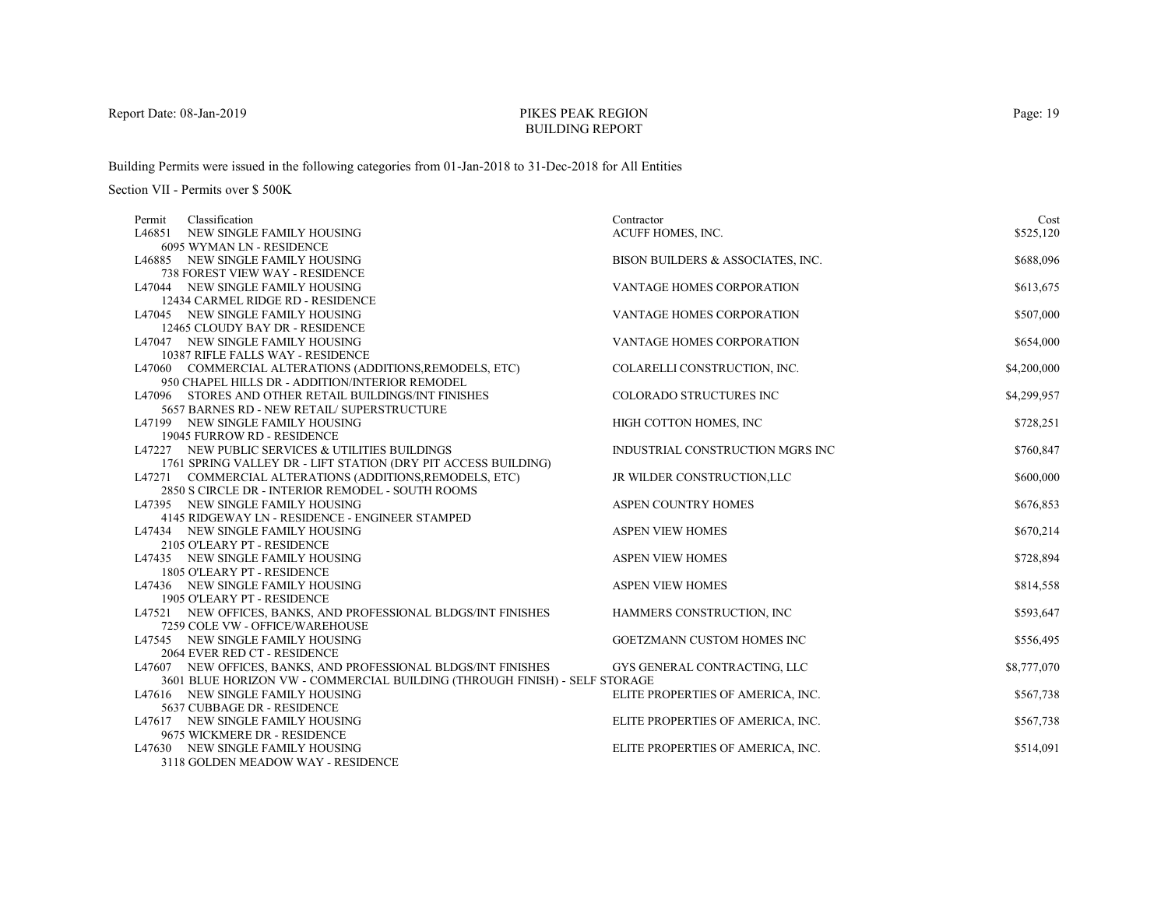# PIKES PEAK REGIONBUILDING REPORT

Building Permits were issued in the following categories from 01-Jan-2018 to 31-Dec-2018 for All Entities

Section VII - Permits over \$ 500K

| Classification<br>Permit                                                            | Contractor                        | Cost        |
|-------------------------------------------------------------------------------------|-----------------------------------|-------------|
| L46851 NEW SINGLE FAMILY HOUSING                                                    | ACUFF HOMES, INC.                 | \$525,120   |
| 6095 WYMAN LN - RESIDENCE                                                           |                                   |             |
| L46885 NEW SINGLE FAMILY HOUSING                                                    | BISON BUILDERS & ASSOCIATES, INC. | \$688,096   |
| 738 FOREST VIEW WAY - RESIDENCE                                                     |                                   |             |
| L47044 NEW SINGLE FAMILY HOUSING                                                    | VANTAGE HOMES CORPORATION         | \$613,675   |
| 12434 CARMEL RIDGE RD - RESIDENCE                                                   |                                   |             |
| L47045 NEW SINGLE FAMILY HOUSING                                                    | VANTAGE HOMES CORPORATION         | \$507,000   |
| 12465 CLOUDY BAY DR - RESIDENCE                                                     |                                   |             |
| L47047 NEW SINGLE FAMILY HOUSING                                                    | <b>VANTAGE HOMES CORPORATION</b>  | \$654,000   |
| 10387 RIFLE FALLS WAY - RESIDENCE                                                   |                                   |             |
| L47060 COMMERCIAL ALTERATIONS (ADDITIONS, REMODELS, ETC)                            | COLARELLI CONSTRUCTION, INC.      | \$4,200,000 |
| 950 CHAPEL HILLS DR - ADDITION/INTERIOR REMODEL                                     |                                   |             |
| L47096 STORES AND OTHER RETAIL BUILDINGS/INT FINISHES                               | COLORADO STRUCTURES INC           | \$4,299,957 |
| 5657 BARNES RD - NEW RETAIL/ SUPERSTRUCTURE                                         |                                   |             |
| L47199 NEW SINGLE FAMILY HOUSING                                                    | HIGH COTTON HOMES, INC            | \$728,251   |
| 19045 FURROW RD - RESIDENCE                                                         |                                   |             |
| L47227 NEW PUBLIC SERVICES & UTILITIES BUILDINGS                                    | INDUSTRIAL CONSTRUCTION MGRS INC  | \$760,847   |
| 1761 SPRING VALLEY DR - LIFT STATION (DRY PIT ACCESS BUILDING)                      |                                   |             |
| L47271 COMMERCIAL ALTERATIONS (ADDITIONS, REMODELS, ETC)                            | JR WILDER CONSTRUCTION, LLC       | \$600,000   |
| 2850 S CIRCLE DR - INTERIOR REMODEL - SOUTH ROOMS                                   |                                   |             |
| L47395 NEW SINGLE FAMILY HOUSING<br>4145 RIDGEWAY LN - RESIDENCE - ENGINEER STAMPED | <b>ASPEN COUNTRY HOMES</b>        | \$676,853   |
| L47434 NEW SINGLE FAMILY HOUSING                                                    | <b>ASPEN VIEW HOMES</b>           | \$670,214   |
| 2105 O'LEARY PT - RESIDENCE                                                         |                                   |             |
| L47435 NEW SINGLE FAMILY HOUSING                                                    | <b>ASPEN VIEW HOMES</b>           | \$728,894   |
| 1805 O'LEARY PT - RESIDENCE                                                         |                                   |             |
| L47436 NEW SINGLE FAMILY HOUSING                                                    | <b>ASPEN VIEW HOMES</b>           | \$814,558   |
| 1905 O'LEARY PT - RESIDENCE                                                         |                                   |             |
| L47521 NEW OFFICES, BANKS, AND PROFESSIONAL BLDGS/INT FINISHES                      | HAMMERS CONSTRUCTION, INC         | \$593,647   |
| 7259 COLE VW - OFFICE/WAREHOUSE                                                     |                                   |             |
| L47545 NEW SINGLE FAMILY HOUSING                                                    | <b>GOETZMANN CUSTOM HOMES INC</b> | \$556,495   |
| 2064 EVER RED CT - RESIDENCE                                                        |                                   |             |
| L47607 NEW OFFICES, BANKS, AND PROFESSIONAL BLDGS/INT FINISHES                      | GYS GENERAL CONTRACTING, LLC      | \$8,777,070 |
| 3601 BLUE HORIZON VW - COMMERCIAL BUILDING (THROUGH FINISH) - SELF STORAGE          |                                   |             |
| L47616 NEW SINGLE FAMILY HOUSING                                                    | ELITE PROPERTIES OF AMERICA, INC. | \$567,738   |
| 5637 CUBBAGE DR - RESIDENCE                                                         |                                   |             |
| L47617 NEW SINGLE FAMILY HOUSING                                                    | ELITE PROPERTIES OF AMERICA, INC. | \$567,738   |
| 9675 WICKMERE DR - RESIDENCE                                                        |                                   |             |
| L47630 NEW SINGLE FAMILY HOUSING                                                    | ELITE PROPERTIES OF AMERICA, INC. | \$514,091   |
| 2118 COLDEN MEADOW WAY DECIDEMENT                                                   |                                   |             |

3118 GOLDEN MEADOW WAY - RESIDENCE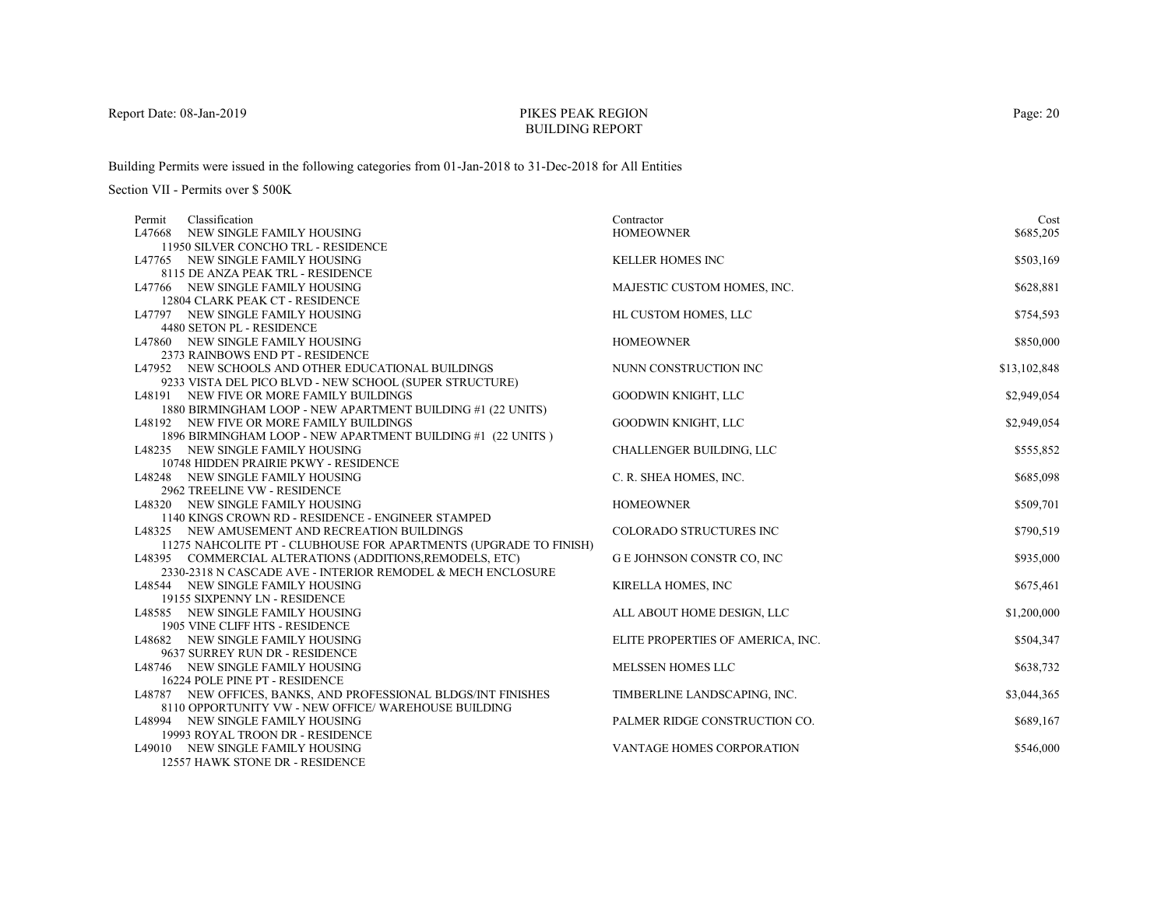# PIKES PEAK REGIONBUILDING REPORT

Building Permits were issued in the following categories from 01-Jan-2018 to 31-Dec-2018 for All Entities

| Classification<br>Permit                                            | Contractor                        | Cost         |
|---------------------------------------------------------------------|-----------------------------------|--------------|
| NEW SINGLE FAMILY HOUSING<br>L47668                                 | <b>HOMEOWNER</b>                  | \$685,205    |
| 11950 SILVER CONCHO TRL - RESIDENCE                                 |                                   |              |
| L47765 NEW SINGLE FAMILY HOUSING                                    | <b>KELLER HOMES INC</b>           | \$503,169    |
| 8115 DE ANZA PEAK TRL - RESIDENCE                                   |                                   |              |
| L47766 NEW SINGLE FAMILY HOUSING                                    | MAJESTIC CUSTOM HOMES, INC.       | \$628,881    |
| 12804 CLARK PEAK CT - RESIDENCE                                     |                                   |              |
| L47797 NEW SINGLE FAMILY HOUSING                                    | HL CUSTOM HOMES, LLC              | \$754,593    |
| 4480 SETON PL - RESIDENCE                                           |                                   |              |
| L47860 NEW SINGLE FAMILY HOUSING                                    | <b>HOMEOWNER</b>                  | \$850,000    |
| 2373 RAINBOWS END PT - RESIDENCE                                    |                                   |              |
| L47952 NEW SCHOOLS AND OTHER EDUCATIONAL BUILDINGS                  | NUNN CONSTRUCTION INC             | \$13,102,848 |
| 9233 VISTA DEL PICO BLVD - NEW SCHOOL (SUPER STRUCTURE)             |                                   |              |
| L48191 NEW FIVE OR MORE FAMILY BUILDINGS                            | <b>GOODWIN KNIGHT, LLC</b>        | \$2,949,054  |
| 1880 BIRMINGHAM LOOP - NEW APARTMENT BUILDING #1 (22 UNITS)         |                                   |              |
| L48192 NEW FIVE OR MORE FAMILY BUILDINGS                            | GOODWIN KNIGHT, LLC               | \$2,949,054  |
| 1896 BIRMINGHAM LOOP - NEW APARTMENT BUILDING #1 (22 UNITS)         |                                   |              |
| L48235 NEW SINGLE FAMILY HOUSING                                    | CHALLENGER BUILDING, LLC          | \$555,852    |
| 10748 HIDDEN PRAIRIE PKWY - RESIDENCE                               |                                   |              |
| L48248 NEW SINGLE FAMILY HOUSING                                    | C. R. SHEA HOMES, INC.            | \$685,098    |
| 2962 TREELINE VW - RESIDENCE                                        |                                   |              |
| L48320 NEW SINGLE FAMILY HOUSING                                    | <b>HOMEOWNER</b>                  | \$509,701    |
| 1140 KINGS CROWN RD - RESIDENCE - ENGINEER STAMPED                  |                                   |              |
| L48325 NEW AMUSEMENT AND RECREATION BUILDINGS                       | COLORADO STRUCTURES INC           | \$790,519    |
| 11275 NAHCOLITE PT - CLUBHOUSE FOR APARTMENTS (UPGRADE TO FINISH)   |                                   |              |
| L48395 COMMERCIAL ALTERATIONS (ADDITIONS, REMODELS, ETC)            | <b>G E JOHNSON CONSTR CO, INC</b> | \$935,000    |
| 2330-2318 N CASCADE AVE - INTERIOR REMODEL & MECH ENCLOSURE         |                                   |              |
| L48544 NEW SINGLE FAMILY HOUSING                                    | KIRELLA HOMES, INC                | \$675,461    |
| 19155 SIXPENNY LN - RESIDENCE                                       |                                   |              |
| L48585 NEW SINGLE FAMILY HOUSING<br>1905 VINE CLIFF HTS - RESIDENCE | ALL ABOUT HOME DESIGN, LLC        | \$1,200,000  |
| L48682 NEW SINGLE FAMILY HOUSING                                    | ELITE PROPERTIES OF AMERICA, INC. | \$504,347    |
| 9637 SURREY RUN DR - RESIDENCE                                      |                                   |              |
| L48746 NEW SINGLE FAMILY HOUSING                                    | MELSSEN HOMES LLC                 | \$638,732    |
| 16224 POLE PINE PT - RESIDENCE                                      |                                   |              |
| L48787 NEW OFFICES, BANKS, AND PROFESSIONAL BLDGS/INT FINISHES      | TIMBERLINE LANDSCAPING, INC.      | \$3,044,365  |
| 8110 OPPORTUNITY VW - NEW OFFICE/ WAREHOUSE BUILDING                |                                   |              |
| L48994 NEW SINGLE FAMILY HOUSING                                    | PALMER RIDGE CONSTRUCTION CO.     | \$689,167    |
| 19993 ROYAL TROON DR - RESIDENCE                                    |                                   |              |
| L49010 NEW SINGLE FAMILY HOUSING                                    | VANTAGE HOMES CORPORATION         | \$546,000    |
| 12557 HAWK STONE DR - RESIDENCE                                     |                                   |              |
|                                                                     |                                   |              |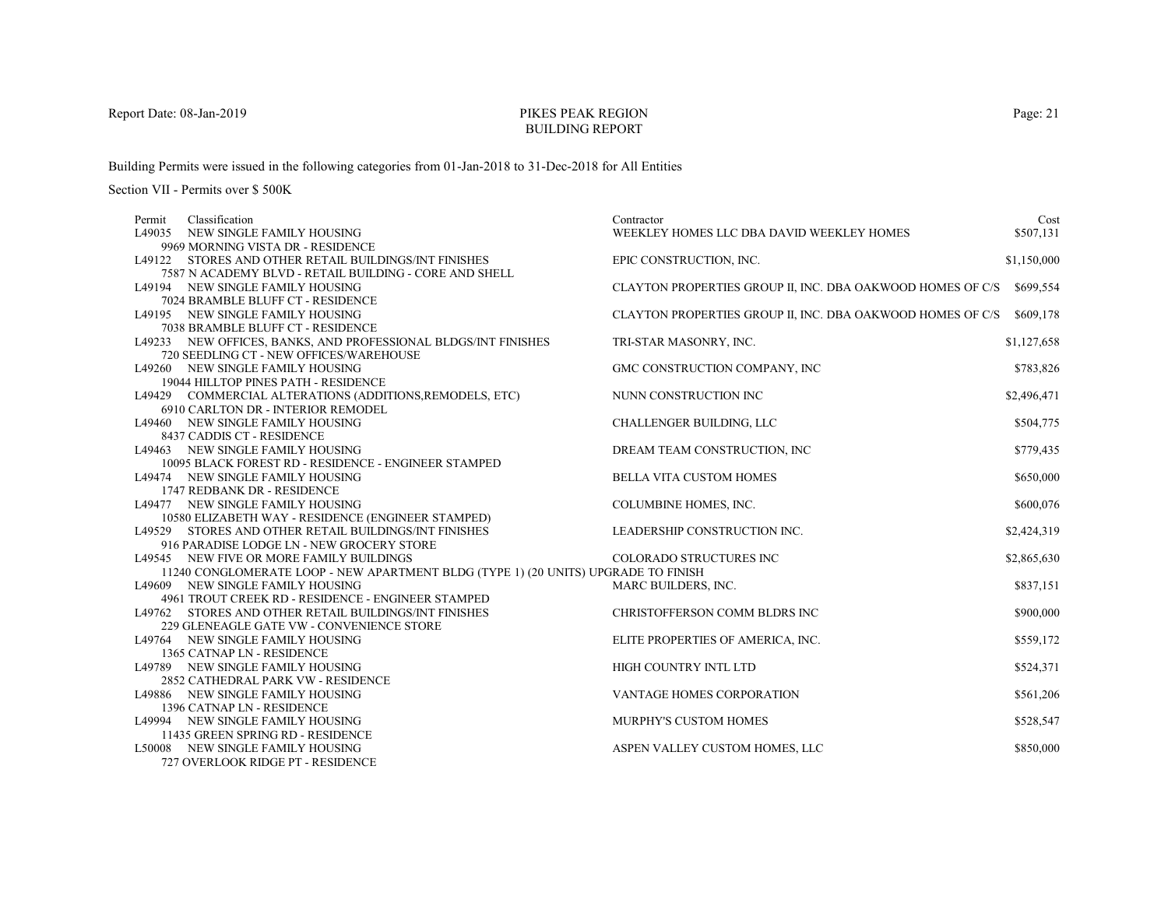# PIKES PEAK REGIONBUILDING REPORT

Building Permits were issued in the following categories from 01-Jan-2018 to 31-Dec-2018 for All Entities

| Classification<br>Permit                                                           | Contractor                                                 | Cost        |
|------------------------------------------------------------------------------------|------------------------------------------------------------|-------------|
| L49035 NEW SINGLE FAMILY HOUSING                                                   | WEEKLEY HOMES LLC DBA DAVID WEEKLEY HOMES                  | \$507,131   |
| 9969 MORNING VISTA DR - RESIDENCE                                                  |                                                            |             |
| L49122 STORES AND OTHER RETAIL BUILDINGS/INT FINISHES                              | EPIC CONSTRUCTION, INC.                                    | \$1,150,000 |
| 7587 N ACADEMY BLVD - RETAIL BUILDING - CORE AND SHELL                             |                                                            |             |
| L49194 NEW SINGLE FAMILY HOUSING                                                   | CLAYTON PROPERTIES GROUP II, INC. DBA OAKWOOD HOMES OF C/S | \$699,554   |
| 7024 BRAMBLE BLUFF CT - RESIDENCE                                                  |                                                            |             |
| L49195 NEW SINGLE FAMILY HOUSING                                                   | CLAYTON PROPERTIES GROUP II, INC. DBA OAKWOOD HOMES OF C/S | \$609,178   |
| 7038 BRAMBLE BLUFF CT - RESIDENCE                                                  |                                                            |             |
| L49233 NEW OFFICES, BANKS, AND PROFESSIONAL BLDGS/INT FINISHES                     | TRI-STAR MASONRY, INC.                                     | \$1,127,658 |
| 720 SEEDLING CT - NEW OFFICES/WAREHOUSE                                            |                                                            |             |
| L49260 NEW SINGLE FAMILY HOUSING                                                   | GMC CONSTRUCTION COMPANY, INC                              | \$783,826   |
| 19044 HILLTOP PINES PATH - RESIDENCE                                               |                                                            |             |
| L49429 COMMERCIAL ALTERATIONS (ADDITIONS, REMODELS, ETC)                           | NUNN CONSTRUCTION INC                                      | \$2,496,471 |
| 6910 CARLTON DR - INTERIOR REMODEL                                                 |                                                            |             |
| L49460 NEW SINGLE FAMILY HOUSING                                                   | <b>CHALLENGER BUILDING, LLC</b>                            | \$504,775   |
| 8437 CADDIS CT - RESIDENCE                                                         |                                                            |             |
| L49463 NEW SINGLE FAMILY HOUSING                                                   | DREAM TEAM CONSTRUCTION, INC                               | \$779,435   |
| 10095 BLACK FOREST RD - RESIDENCE - ENGINEER STAMPED                               |                                                            |             |
| L49474 NEW SINGLE FAMILY HOUSING                                                   | <b>BELLA VITA CUSTOM HOMES</b>                             | \$650,000   |
| 1747 REDBANK DR - RESIDENCE                                                        |                                                            |             |
| L49477 NEW SINGLE FAMILY HOUSING                                                   | COLUMBINE HOMES, INC.                                      | \$600,076   |
| 10580 ELIZABETH WAY - RESIDENCE (ENGINEER STAMPED)                                 |                                                            |             |
| L49529 STORES AND OTHER RETAIL BUILDINGS/INT FINISHES                              | LEADERSHIP CONSTRUCTION INC.                               | \$2,424,319 |
| 916 PARADISE LODGE LN - NEW GROCERY STORE                                          |                                                            |             |
| L49545 NEW FIVE OR MORE FAMILY BUILDINGS                                           | COLORADO STRUCTURES INC                                    | \$2,865,630 |
| 11240 CONGLOMERATE LOOP - NEW APARTMENT BLDG (TYPE 1) (20 UNITS) UPGRADE TO FINISH |                                                            |             |
| L49609 NEW SINGLE FAMILY HOUSING                                                   | MARC BUILDERS, INC.                                        | \$837,151   |
| 4961 TROUT CREEK RD - RESIDENCE - ENGINEER STAMPED                                 |                                                            |             |
| L49762 STORES AND OTHER RETAIL BUILDINGS/INT FINISHES                              | CHRISTOFFERSON COMM BLDRS INC                              | \$900,000   |
| 229 GLENEAGLE GATE VW - CONVENIENCE STORE                                          |                                                            |             |
| L49764 NEW SINGLE FAMILY HOUSING                                                   | ELITE PROPERTIES OF AMERICA, INC.                          | \$559,172   |
| 1365 CATNAP LN - RESIDENCE                                                         |                                                            |             |
| L49789 NEW SINGLE FAMILY HOUSING                                                   | HIGH COUNTRY INTL LTD                                      | \$524,371   |
| 2852 CATHEDRAL PARK VW - RESIDENCE                                                 |                                                            |             |
| L49886 NEW SINGLE FAMILY HOUSING                                                   | VANTAGE HOMES CORPORATION                                  | \$561,206   |
| 1396 CATNAP LN - RESIDENCE                                                         |                                                            |             |
| L49994 NEW SINGLE FAMILY HOUSING                                                   | <b>MURPHY'S CUSTOM HOMES</b>                               | \$528,547   |
| 11435 GREEN SPRING RD - RESIDENCE                                                  |                                                            |             |
| L50008 NEW SINGLE FAMILY HOUSING                                                   | ASPEN VALLEY CUSTOM HOMES, LLC                             | \$850,000   |
| 727 OVERLOOK RIDGE PT - RESIDENCE                                                  |                                                            |             |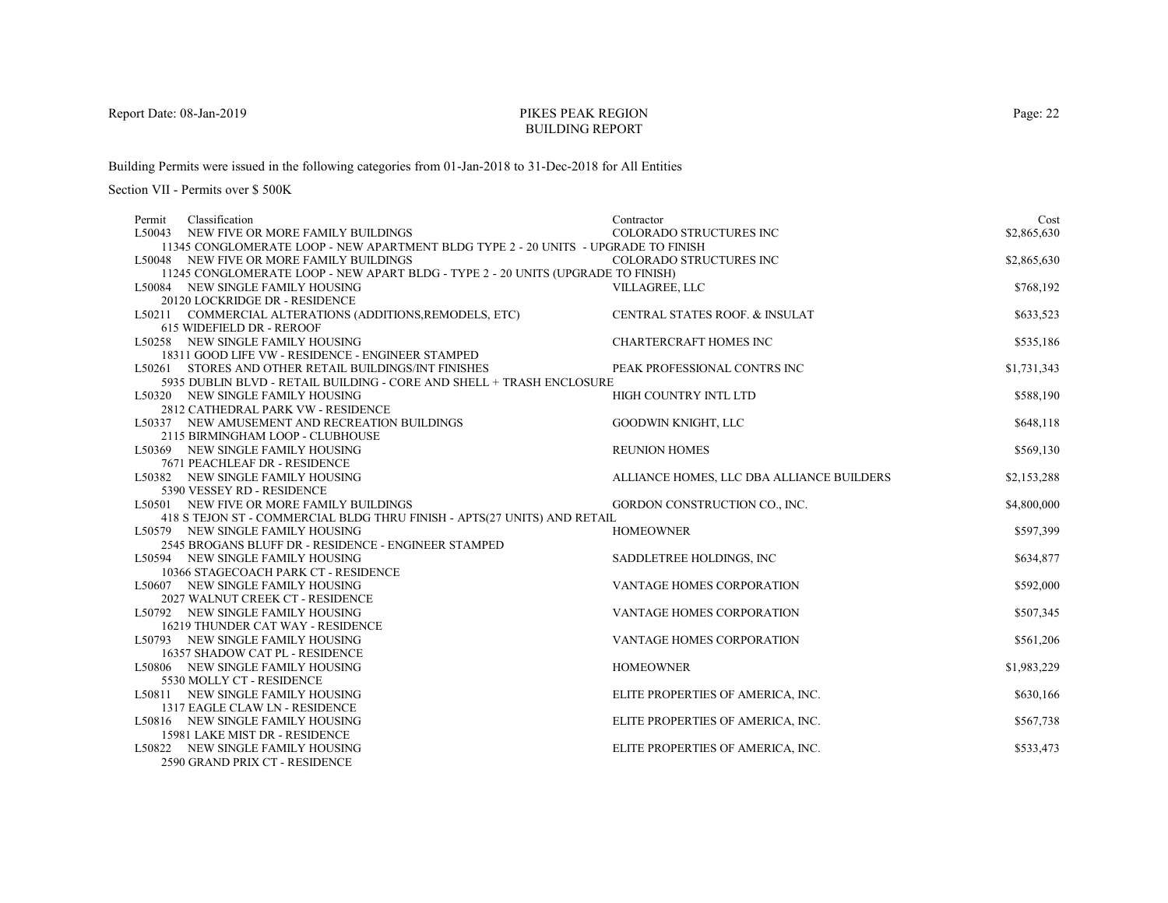# PIKES PEAK REGIONBUILDING REPORT

Building Permits were issued in the following categories from 01-Jan-2018 to 31-Dec-2018 for All Entities

| Classification<br>Permit                                                                 | Contractor                                | Cost        |
|------------------------------------------------------------------------------------------|-------------------------------------------|-------------|
| L50043 NEW FIVE OR MORE FAMILY BUILDINGS                                                 | <b>COLORADO STRUCTURES INC</b>            | \$2,865,630 |
| 11345 CONGLOMERATE LOOP - NEW APARTMENT BLDG TYPE 2 - 20 UNITS - UPGRADE TO FINISH       |                                           |             |
| L50048 NEW FIVE OR MORE FAMILY BUILDINGS                                                 | <b>COLORADO STRUCTURES INC</b>            | \$2,865,630 |
| 11245 CONGLOMERATE LOOP - NEW APART BLDG - TYPE 2 - 20 UNITS (UPGRADE TO FINISH)         |                                           |             |
| L50084 NEW SINGLE FAMILY HOUSING                                                         | VILLAGREE, LLC                            | \$768,192   |
| 20120 LOCKRIDGE DR - RESIDENCE                                                           |                                           |             |
| L50211 COMMERCIAL ALTERATIONS (ADDITIONS, REMODELS, ETC)                                 | CENTRAL STATES ROOF. & INSULAT            | \$633,523   |
| 615 WIDEFIELD DR - REROOF                                                                |                                           |             |
| L50258 NEW SINGLE FAMILY HOUSING                                                         | <b>CHARTERCRAFT HOMES INC</b>             | \$535,186   |
| 18311 GOOD LIFE VW - RESIDENCE - ENGINEER STAMPED                                        |                                           |             |
| L50261 STORES AND OTHER RETAIL BUILDINGS/INT FINISHES                                    | PEAK PROFESSIONAL CONTRS INC              | \$1,731,343 |
| 5935 DUBLIN BLVD - RETAIL BUILDING - CORE AND SHELL + TRASH ENCLOSURE                    |                                           |             |
| L50320 NEW SINGLE FAMILY HOUSING                                                         | HIGH COUNTRY INTL LTD                     | \$588,190   |
| 2812 CATHEDRAL PARK VW - RESIDENCE                                                       |                                           |             |
| L50337 NEW AMUSEMENT AND RECREATION BUILDINGS                                            | GOODWIN KNIGHT, LLC                       | \$648,118   |
| 2115 BIRMINGHAM LOOP - CLUBHOUSE                                                         |                                           |             |
| L50369 NEW SINGLE FAMILY HOUSING                                                         | <b>REUNION HOMES</b>                      | \$569,130   |
| 7671 PEACHLEAF DR - RESIDENCE                                                            |                                           |             |
| L50382 NEW SINGLE FAMILY HOUSING                                                         | ALLIANCE HOMES, LLC DBA ALLIANCE BUILDERS | \$2,153,288 |
| 5390 VESSEY RD - RESIDENCE                                                               |                                           |             |
| L50501 NEW FIVE OR MORE FAMILY BUILDINGS                                                 | GORDON CONSTRUCTION CO., INC.             | \$4,800,000 |
| 418 S TEJON ST - COMMERCIAL BLDG THRU FINISH - APTS(27 UNITS) AND RETAIL                 |                                           |             |
| L50579 NEW SINGLE FAMILY HOUSING                                                         | <b>HOMEOWNER</b>                          | \$597,399   |
| 2545 BROGANS BLUFF DR - RESIDENCE - ENGINEER STAMPED<br>L50594 NEW SINGLE FAMILY HOUSING |                                           |             |
| 10366 STAGECOACH PARK CT - RESIDENCE                                                     | SADDLETREE HOLDINGS, INC                  | \$634,877   |
| L50607 NEW SINGLE FAMILY HOUSING                                                         | VANTAGE HOMES CORPORATION                 | \$592,000   |
| 2027 WALNUT CREEK CT - RESIDENCE                                                         |                                           |             |
| L50792 NEW SINGLE FAMILY HOUSING                                                         | VANTAGE HOMES CORPORATION                 | \$507,345   |
| 16219 THUNDER CAT WAY - RESIDENCE                                                        |                                           |             |
| L50793 NEW SINGLE FAMILY HOUSING                                                         | VANTAGE HOMES CORPORATION                 | \$561,206   |
| 16357 SHADOW CAT PL - RESIDENCE                                                          |                                           |             |
| L50806 NEW SINGLE FAMILY HOUSING                                                         | <b>HOMEOWNER</b>                          | \$1,983,229 |
| 5530 MOLLY CT - RESIDENCE                                                                |                                           |             |
| L50811 NEW SINGLE FAMILY HOUSING                                                         | ELITE PROPERTIES OF AMERICA, INC.         | \$630,166   |
| 1317 EAGLE CLAW LN - RESIDENCE                                                           |                                           |             |
| L50816 NEW SINGLE FAMILY HOUSING                                                         | ELITE PROPERTIES OF AMERICA, INC.         | \$567,738   |
| 15981 LAKE MIST DR - RESIDENCE                                                           |                                           |             |
| L50822 NEW SINGLE FAMILY HOUSING                                                         | ELITE PROPERTIES OF AMERICA, INC.         | \$533,473   |
| 2590 GRAND PRIX CT - RESIDENCE                                                           |                                           |             |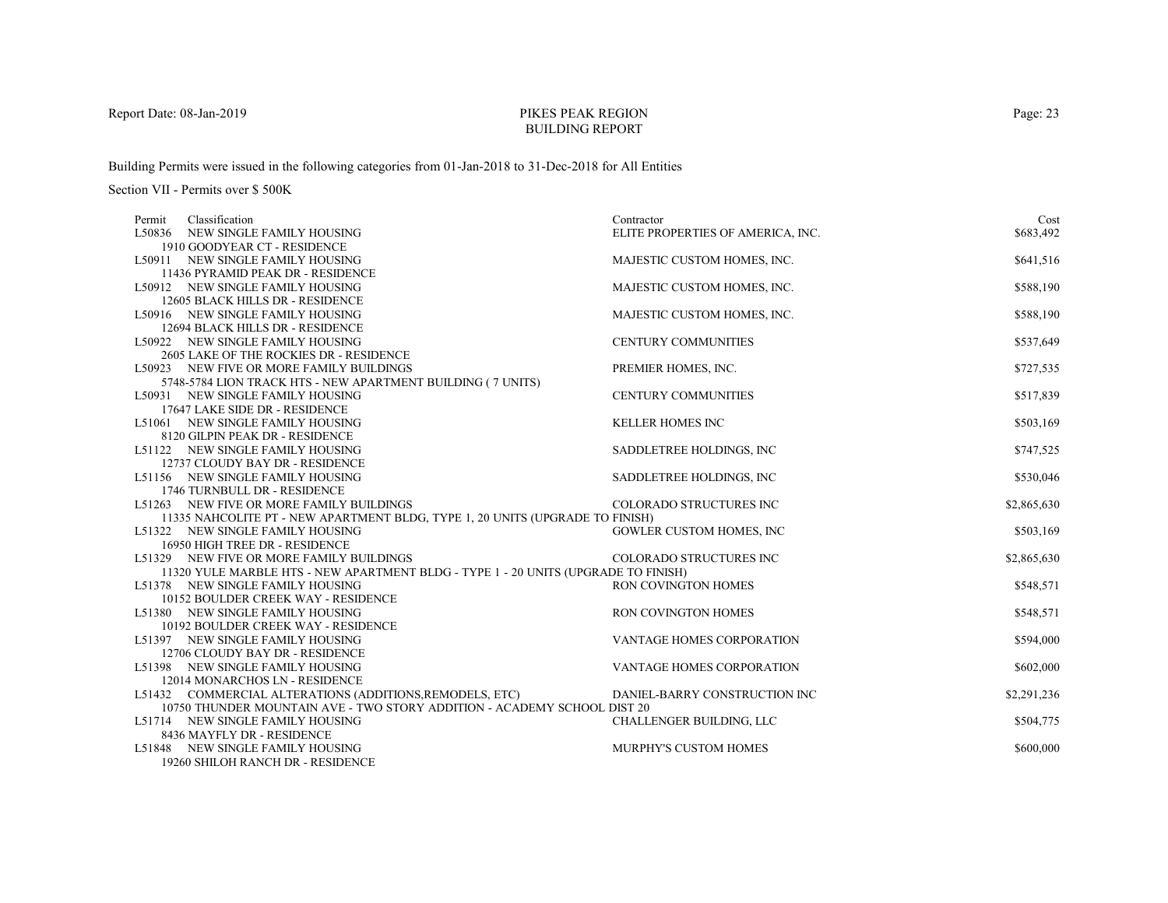# PIKES PEAK REGIONBUILDING REPORT

Building Permits were issued in the following categories from 01-Jan-2018 to 31-Dec-2018 for All Entities

| Classification<br>Permit                                                           | Contractor                        | Cost        |
|------------------------------------------------------------------------------------|-----------------------------------|-------------|
| L50836 NEW SINGLE FAMILY HOUSING                                                   | ELITE PROPERTIES OF AMERICA, INC. | \$683,492   |
| 1910 GOODYEAR CT - RESIDENCE                                                       |                                   |             |
| L50911 NEW SINGLE FAMILY HOUSING                                                   | MAJESTIC CUSTOM HOMES, INC.       | \$641,516   |
| 11436 PYRAMID PEAK DR - RESIDENCE                                                  |                                   |             |
| L50912 NEW SINGLE FAMILY HOUSING                                                   | MAJESTIC CUSTOM HOMES, INC.       | \$588,190   |
| 12605 BLACK HILLS DR - RESIDENCE                                                   |                                   |             |
| L50916 NEW SINGLE FAMILY HOUSING                                                   | MAJESTIC CUSTOM HOMES, INC.       | \$588,190   |
| 12694 BLACK HILLS DR - RESIDENCE                                                   |                                   |             |
| L50922 NEW SINGLE FAMILY HOUSING                                                   | <b>CENTURY COMMUNITIES</b>        | \$537,649   |
| 2605 LAKE OF THE ROCKIES DR - RESIDENCE                                            |                                   |             |
| L50923 NEW FIVE OR MORE FAMILY BUILDINGS                                           | PREMIER HOMES, INC.               | \$727,535   |
| 5748-5784 LION TRACK HTS - NEW APARTMENT BUILDING (7 UNITS)                        |                                   |             |
| L50931 NEW SINGLE FAMILY HOUSING                                                   | <b>CENTURY COMMUNITIES</b>        | \$517,839   |
| 17647 LAKE SIDE DR - RESIDENCE                                                     |                                   |             |
| L51061 NEW SINGLE FAMILY HOUSING                                                   | <b>KELLER HOMES INC</b>           | \$503,169   |
| 8120 GILPIN PEAK DR - RESIDENCE                                                    |                                   |             |
| L51122 NEW SINGLE FAMILY HOUSING                                                   | SADDLETREE HOLDINGS, INC          | \$747,525   |
| 12737 CLOUDY BAY DR - RESIDENCE                                                    |                                   |             |
| L51156 NEW SINGLE FAMILY HOUSING                                                   | SADDLETREE HOLDINGS, INC          | \$530,046   |
| 1746 TURNBULL DR - RESIDENCE                                                       |                                   |             |
| L51263 NEW FIVE OR MORE FAMILY BUILDINGS                                           | COLORADO STRUCTURES INC           | \$2,865,630 |
| 11335 NAHCOLITE PT - NEW APARTMENT BLDG, TYPE 1, 20 UNITS (UPGRADE TO FINISH)      |                                   |             |
| L51322 NEW SINGLE FAMILY HOUSING<br>16950 HIGH TREE DR - RESIDENCE                 | <b>GOWLER CUSTOM HOMES, INC</b>   | \$503,169   |
| L51329 NEW FIVE OR MORE FAMILY BUILDINGS                                           | COLORADO STRUCTURES INC           | \$2,865,630 |
| 11320 YULE MARBLE HTS - NEW APARTMENT BLDG - TYPE 1 - 20 UNITS (UPGRADE TO FINISH) |                                   |             |
| L51378 NEW SINGLE FAMILY HOUSING                                                   | RON COVINGTON HOMES               | \$548,571   |
| 10152 BOULDER CREEK WAY - RESIDENCE                                                |                                   |             |
| L51380 NEW SINGLE FAMILY HOUSING                                                   | RON COVINGTON HOMES               | \$548,571   |
| 10192 BOULDER CREEK WAY - RESIDENCE                                                |                                   |             |
| L51397 NEW SINGLE FAMILY HOUSING                                                   | VANTAGE HOMES CORPORATION         | \$594,000   |
| 12706 CLOUDY BAY DR - RESIDENCE                                                    |                                   |             |
| L51398 NEW SINGLE FAMILY HOUSING                                                   | VANTAGE HOMES CORPORATION         | \$602,000   |
| 12014 MONARCHOS LN - RESIDENCE                                                     |                                   |             |
| L51432 COMMERCIAL ALTERATIONS (ADDITIONS, REMODELS, ETC)                           | DANIEL-BARRY CONSTRUCTION INC     | \$2,291,236 |
| 10750 THUNDER MOUNTAIN AVE - TWO STORY ADDITION - ACADEMY SCHOOL DIST 20           |                                   |             |
| L51714 NEW SINGLE FAMILY HOUSING                                                   | CHALLENGER BUILDING, LLC          | \$504,775   |
| 8436 MAYFLY DR - RESIDENCE                                                         |                                   |             |
| L51848 NEW SINGLE FAMILY HOUSING                                                   | <b>MURPHY'S CUSTOM HOMES</b>      | \$600,000   |
| 19260 SHILOH RANCH DR - RESIDENCE                                                  |                                   |             |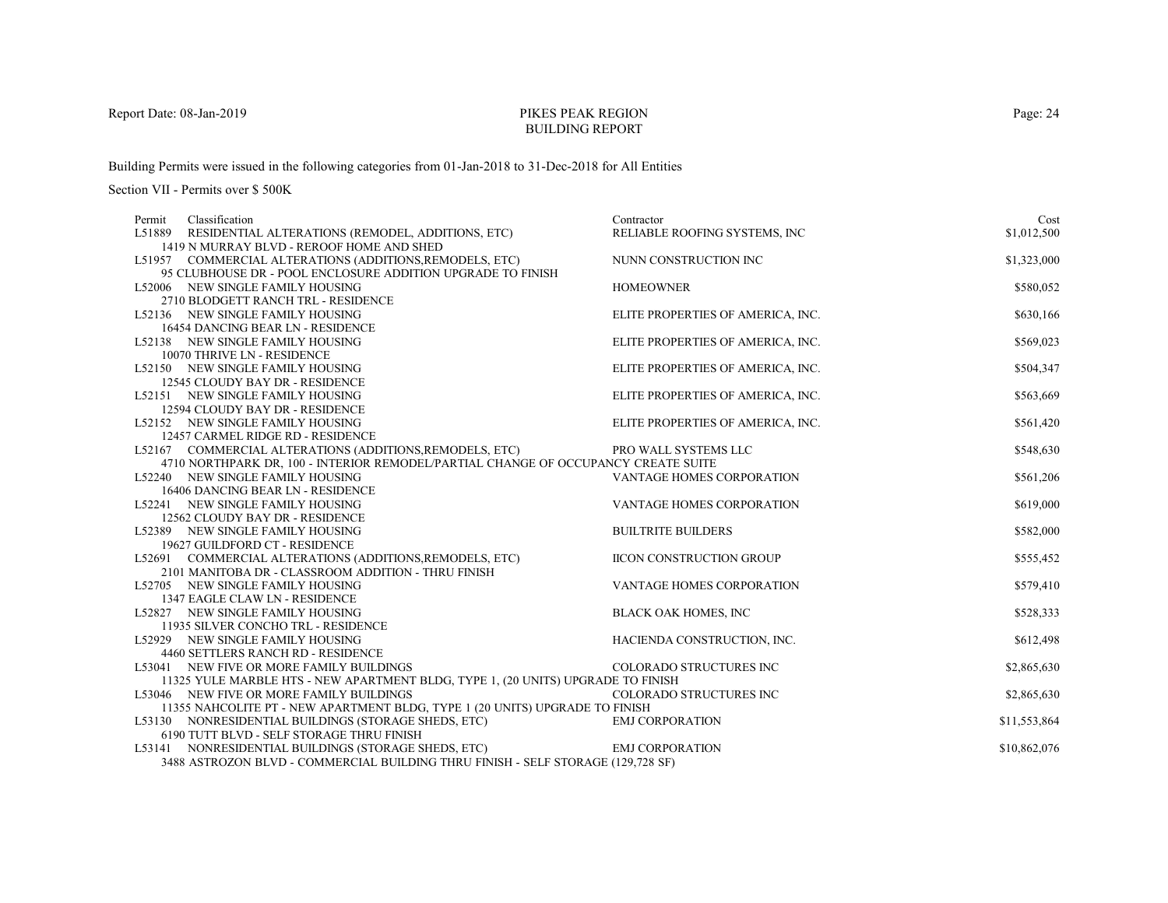# PIKES PEAK REGIONBUILDING REPORT

Building Permits were issued in the following categories from 01-Jan-2018 to 31-Dec-2018 for All Entities

| Classification<br>Permit                                                                                                                       | Contractor                        | Cost         |
|------------------------------------------------------------------------------------------------------------------------------------------------|-----------------------------------|--------------|
| L51889 RESIDENTIAL ALTERATIONS (REMODEL, ADDITIONS, ETC)                                                                                       | RELIABLE ROOFING SYSTEMS, INC     | \$1,012,500  |
| 1419 N MURRAY BLVD - REROOF HOME AND SHED                                                                                                      |                                   |              |
| L51957 COMMERCIAL ALTERATIONS (ADDITIONS, REMODELS, ETC)                                                                                       | NUNN CONSTRUCTION INC             | \$1,323,000  |
| 95 CLUBHOUSE DR - POOL ENCLOSURE ADDITION UPGRADE TO FINISH                                                                                    |                                   |              |
| L52006 NEW SINGLE FAMILY HOUSING                                                                                                               | <b>HOMEOWNER</b>                  | \$580,052    |
| 2710 BLODGETT RANCH TRL - RESIDENCE                                                                                                            |                                   |              |
| L52136 NEW SINGLE FAMILY HOUSING                                                                                                               | ELITE PROPERTIES OF AMERICA, INC. | \$630,166    |
| 16454 DANCING BEAR LN - RESIDENCE                                                                                                              |                                   |              |
| L52138 NEW SINGLE FAMILY HOUSING                                                                                                               | ELITE PROPERTIES OF AMERICA, INC. | \$569,023    |
| 10070 THRIVE LN - RESIDENCE                                                                                                                    |                                   |              |
| L52150 NEW SINGLE FAMILY HOUSING                                                                                                               | ELITE PROPERTIES OF AMERICA, INC. | \$504,347    |
| 12545 CLOUDY BAY DR - RESIDENCE                                                                                                                |                                   |              |
| L52151 NEW SINGLE FAMILY HOUSING                                                                                                               | ELITE PROPERTIES OF AMERICA, INC. | \$563,669    |
| 12594 CLOUDY BAY DR - RESIDENCE                                                                                                                |                                   |              |
| L52152 NEW SINGLE FAMILY HOUSING                                                                                                               | ELITE PROPERTIES OF AMERICA, INC. | \$561,420    |
| 12457 CARMEL RIDGE RD - RESIDENCE                                                                                                              |                                   |              |
| L52167 COMMERCIAL ALTERATIONS (ADDITIONS, REMODELS, ETC)<br>4710 NORTHPARK DR, 100 - INTERIOR REMODEL/PARTIAL CHANGE OF OCCUPANCY CREATE SUITE | PRO WALL SYSTEMS LLC              | \$548,630    |
| L52240 NEW SINGLE FAMILY HOUSING                                                                                                               | <b>VANTAGE HOMES CORPORATION</b>  | \$561,206    |
| 16406 DANCING BEAR LN - RESIDENCE                                                                                                              |                                   |              |
| L52241 NEW SINGLE FAMILY HOUSING                                                                                                               | VANTAGE HOMES CORPORATION         | \$619,000    |
| 12562 CLOUDY BAY DR - RESIDENCE                                                                                                                |                                   |              |
| L52389 NEW SINGLE FAMILY HOUSING                                                                                                               | <b>BUILTRITE BUILDERS</b>         | \$582,000    |
| 19627 GUILDFORD CT - RESIDENCE                                                                                                                 |                                   |              |
| L52691 COMMERCIAL ALTERATIONS (ADDITIONS, REMODELS, ETC)                                                                                       | <b>IICON CONSTRUCTION GROUP</b>   | \$555,452    |
| 2101 MANITOBA DR - CLASSROOM ADDITION - THRU FINISH                                                                                            |                                   |              |
| L52705 NEW SINGLE FAMILY HOUSING                                                                                                               | VANTAGE HOMES CORPORATION         | \$579,410    |
| 1347 EAGLE CLAW LN - RESIDENCE                                                                                                                 |                                   |              |
| L52827 NEW SINGLE FAMILY HOUSING                                                                                                               | <b>BLACK OAK HOMES, INC</b>       | \$528,333    |
| 11935 SILVER CONCHO TRL - RESIDENCE                                                                                                            |                                   |              |
| L52929 NEW SINGLE FAMILY HOUSING                                                                                                               | HACIENDA CONSTRUCTION, INC.       | \$612,498    |
| 4460 SETTLERS RANCH RD - RESIDENCE                                                                                                             |                                   |              |
| L53041 NEW FIVE OR MORE FAMILY BUILDINGS                                                                                                       | <b>COLORADO STRUCTURES INC</b>    | \$2,865,630  |
| 11325 YULE MARBLE HTS - NEW APARTMENT BLDG, TYPE 1, (20 UNITS) UPGRADE TO FINISH                                                               |                                   |              |
| L53046 NEW FIVE OR MORE FAMILY BUILDINGS                                                                                                       | COLORADO STRUCTURES INC           | \$2,865,630  |
| 11355 NAHCOLITE PT - NEW APARTMENT BLDG, TYPE 1 (20 UNITS) UPGRADE TO FINISH                                                                   |                                   |              |
| L53130 NONRESIDENTIAL BUILDINGS (STORAGE SHEDS, ETC)                                                                                           | <b>EMJ CORPORATION</b>            | \$11,553,864 |
| 6190 TUTT BLVD - SELF STORAGE THRU FINISH                                                                                                      |                                   |              |
| L53141 NONRESIDENTIAL BUILDINGS (STORAGE SHEDS, ETC)                                                                                           | <b>EMJ CORPORATION</b>            | \$10,862,076 |
| 3488 ASTROZON BLVD - COMMERCIAL BUILDING THRU FINISH - SELF STORAGE (129,728 SF)                                                               |                                   |              |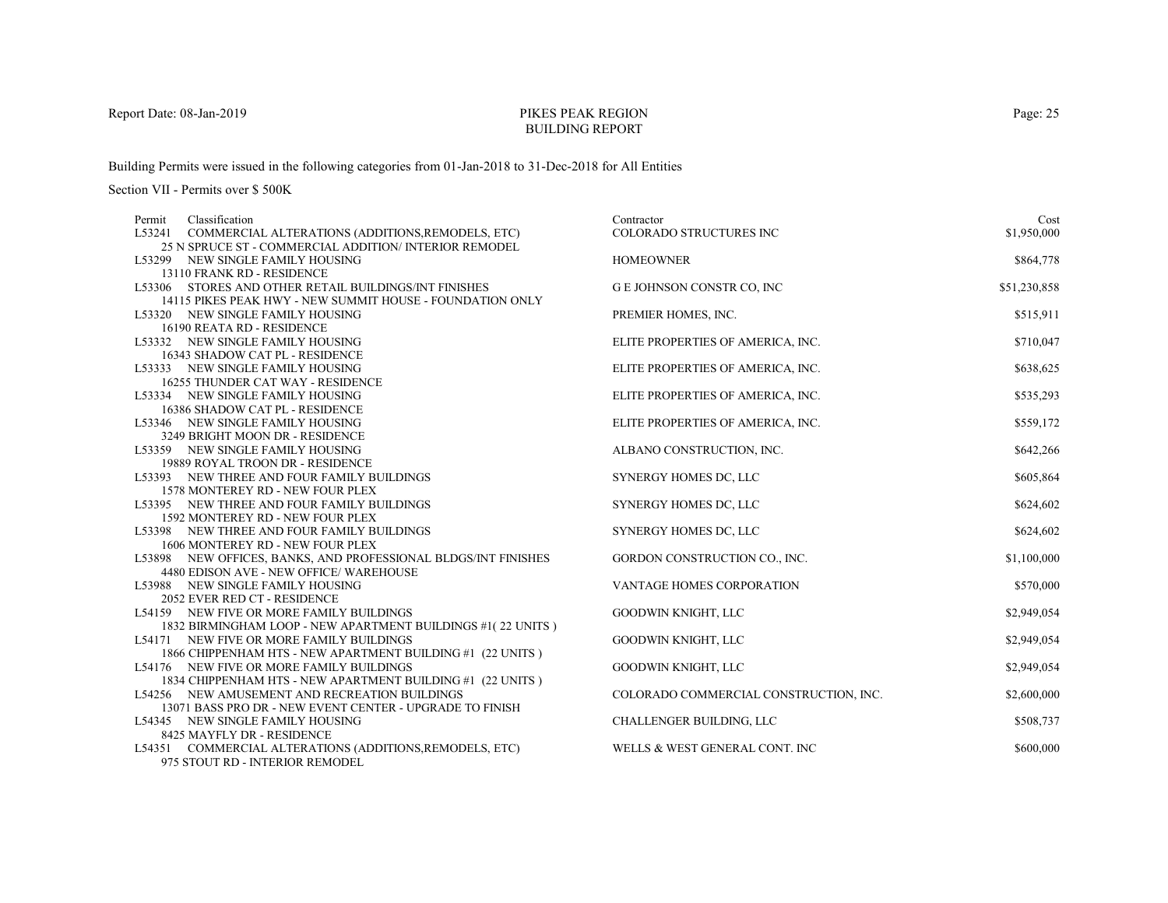# PIKES PEAK REGIONBUILDING REPORT

Building Permits were issued in the following categories from 01-Jan-2018 to 31-Dec-2018 for All Entities

Section VII - Permits over \$ 500K

| Classification<br>Permit                                                                                   | Contractor                             | Cost         |
|------------------------------------------------------------------------------------------------------------|----------------------------------------|--------------|
| L53241 COMMERCIAL ALTERATIONS (ADDITIONS, REMODELS, ETC)                                                   | <b>COLORADO STRUCTURES INC</b>         | \$1,950,000  |
| 25 N SPRUCE ST - COMMERCIAL ADDITION/INTERIOR REMODEL                                                      |                                        |              |
| L53299 NEW SINGLE FAMILY HOUSING                                                                           | <b>HOMEOWNER</b>                       | \$864,778    |
| 13110 FRANK RD - RESIDENCE                                                                                 |                                        |              |
| L53306 STORES AND OTHER RETAIL BUILDINGS/INT FINISHES                                                      | <b>G E JOHNSON CONSTR CO, INC</b>      | \$51,230,858 |
| 14115 PIKES PEAK HWY - NEW SUMMIT HOUSE - FOUNDATION ONLY                                                  |                                        |              |
| L53320 NEW SINGLE FAMILY HOUSING                                                                           | PREMIER HOMES, INC.                    | \$515,911    |
| 16190 REATA RD - RESIDENCE                                                                                 |                                        |              |
| L53332 NEW SINGLE FAMILY HOUSING                                                                           | ELITE PROPERTIES OF AMERICA, INC.      | \$710,047    |
| 16343 SHADOW CAT PL - RESIDENCE                                                                            |                                        |              |
| L53333 NEW SINGLE FAMILY HOUSING                                                                           | ELITE PROPERTIES OF AMERICA, INC.      | \$638,625    |
| 16255 THUNDER CAT WAY - RESIDENCE                                                                          |                                        |              |
| L53334 NEW SINGLE FAMILY HOUSING                                                                           | ELITE PROPERTIES OF AMERICA, INC.      | \$535,293    |
| 16386 SHADOW CAT PL - RESIDENCE                                                                            |                                        |              |
| L53346 NEW SINGLE FAMILY HOUSING                                                                           | ELITE PROPERTIES OF AMERICA, INC.      | \$559,172    |
| 3249 BRIGHT MOON DR - RESIDENCE                                                                            |                                        |              |
| L53359 NEW SINGLE FAMILY HOUSING                                                                           | ALBANO CONSTRUCTION, INC.              | \$642,266    |
| 19889 ROYAL TROON DR - RESIDENCE                                                                           |                                        |              |
| L53393 NEW THREE AND FOUR FAMILY BUILDINGS                                                                 | SYNERGY HOMES DC, LLC                  | \$605,864    |
| 1578 MONTEREY RD - NEW FOUR PLEX                                                                           |                                        |              |
| L53395 NEW THREE AND FOUR FAMILY BUILDINGS                                                                 | SYNERGY HOMES DC, LLC                  | \$624,602    |
| 1592 MONTEREY RD - NEW FOUR PLEX                                                                           |                                        |              |
| L53398 NEW THREE AND FOUR FAMILY BUILDINGS                                                                 | SYNERGY HOMES DC, LLC                  | \$624,602    |
| 1606 MONTEREY RD - NEW FOUR PLEX                                                                           |                                        |              |
| L53898 NEW OFFICES, BANKS, AND PROFESSIONAL BLDGS/INT FINISHES                                             | GORDON CONSTRUCTION CO., INC.          | \$1,100,000  |
| 4480 EDISON AVE - NEW OFFICE/ WAREHOUSE                                                                    |                                        |              |
| L53988 NEW SINGLE FAMILY HOUSING                                                                           | VANTAGE HOMES CORPORATION              | \$570,000    |
| 2052 EVER RED CT - RESIDENCE                                                                               |                                        |              |
| L54159 NEW FIVE OR MORE FAMILY BUILDINGS                                                                   | GOODWIN KNIGHT, LLC                    | \$2,949,054  |
| 1832 BIRMINGHAM LOOP - NEW APARTMENT BUILDINGS #1(22 UNITS)                                                |                                        |              |
| L54171 NEW FIVE OR MORE FAMILY BUILDINGS                                                                   | GOODWIN KNIGHT, LLC                    | \$2,949,054  |
| 1866 CHIPPENHAM HTS - NEW APARTMENT BUILDING #1 (22 UNITS)                                                 |                                        |              |
| L54176 NEW FIVE OR MORE FAMILY BUILDINGS                                                                   | GOODWIN KNIGHT, LLC                    | \$2,949,054  |
| 1834 CHIPPENHAM HTS - NEW APARTMENT BUILDING #1 (22 UNITS)                                                 |                                        |              |
| L54256 NEW AMUSEMENT AND RECREATION BUILDINGS                                                              | COLORADO COMMERCIAL CONSTRUCTION, INC. | \$2,600,000  |
| 13071 BASS PRO DR - NEW EVENT CENTER - UPGRADE TO FINISH                                                   |                                        |              |
| L54345 NEW SINGLE FAMILY HOUSING                                                                           | CHALLENGER BUILDING, LLC               | \$508,737    |
| 8425 MAYFLY DR - RESIDENCE                                                                                 |                                        |              |
| L54351 COMMERCIAL ALTERATIONS (ADDITIONS, REMODELS, ETC)<br>$075$ etailt bn $\blacksquare$ between benoner | WELLS & WEST GENERAL CONT. INC         | \$600,000    |

975 STOUT RD - INTERIOR REMODEL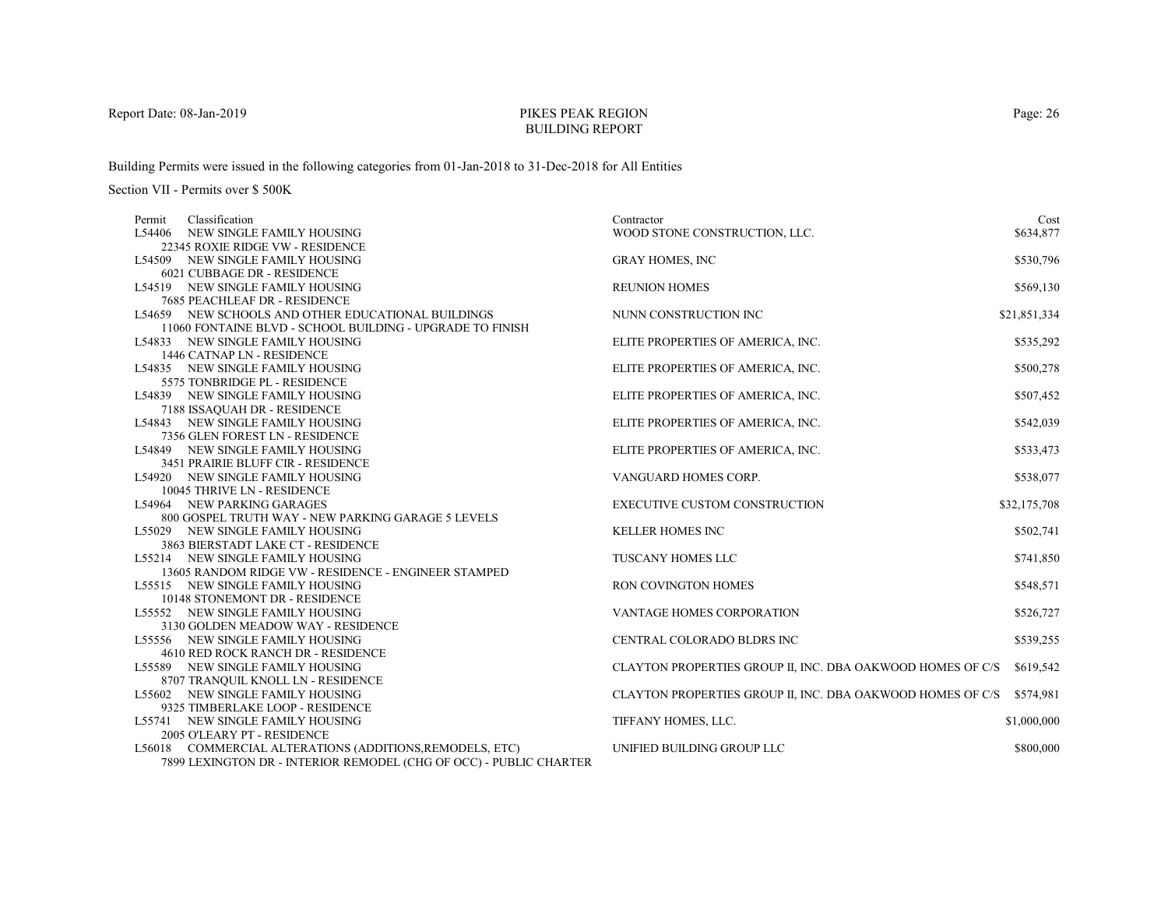# PIKES PEAK REGIONBUILDING REPORT

Building Permits were issued in the following categories from 01-Jan-2018 to 31-Dec-2018 for All Entities

| Permit | Classification                                                       | Contractor                                                 | Cost         |
|--------|----------------------------------------------------------------------|------------------------------------------------------------|--------------|
| L54406 | NEW SINGLE FAMILY HOUSING                                            | WOOD STONE CONSTRUCTION, LLC.                              | \$634,877    |
|        | 22345 ROXIE RIDGE VW - RESIDENCE                                     |                                                            |              |
|        | L54509 NEW SINGLE FAMILY HOUSING                                     | <b>GRAY HOMES, INC</b>                                     | \$530,796    |
|        | 6021 CUBBAGE DR - RESIDENCE                                          |                                                            |              |
|        | L54519 NEW SINGLE FAMILY HOUSING                                     | <b>REUNION HOMES</b>                                       | \$569,130    |
|        | 7685 PEACHLEAF DR - RESIDENCE                                        |                                                            |              |
|        | L54659 NEW SCHOOLS AND OTHER EDUCATIONAL BUILDINGS                   | NUNN CONSTRUCTION INC                                      | \$21,851,334 |
|        | 11060 FONTAINE BLVD - SCHOOL BUILDING - UPGRADE TO FINISH            |                                                            |              |
|        | L54833 NEW SINGLE FAMILY HOUSING                                     | ELITE PROPERTIES OF AMERICA, INC.                          | \$535,292    |
|        | 1446 CATNAP LN - RESIDENCE                                           |                                                            |              |
|        | L54835 NEW SINGLE FAMILY HOUSING                                     | ELITE PROPERTIES OF AMERICA, INC.                          | \$500,278    |
|        | 5575 TONBRIDGE PL - RESIDENCE                                        |                                                            |              |
|        | L54839 NEW SINGLE FAMILY HOUSING                                     | ELITE PROPERTIES OF AMERICA, INC.                          | \$507,452    |
|        | 7188 ISSAQUAH DR - RESIDENCE                                         |                                                            |              |
|        | L54843 NEW SINGLE FAMILY HOUSING                                     | ELITE PROPERTIES OF AMERICA, INC.                          | \$542,039    |
|        | 7356 GLEN FOREST LN - RESIDENCE                                      |                                                            |              |
|        | L54849 NEW SINGLE FAMILY HOUSING                                     | ELITE PROPERTIES OF AMERICA, INC.                          | \$533,473    |
|        | 3451 PRAIRIE BLUFF CIR - RESIDENCE                                   |                                                            |              |
|        | L54920 NEW SINGLE FAMILY HOUSING                                     | VANGUARD HOMES CORP.                                       | \$538,077    |
|        | 10045 THRIVE LN - RESIDENCE                                          |                                                            |              |
|        | L54964 NEW PARKING GARAGES                                           | <b>EXECUTIVE CUSTOM CONSTRUCTION</b>                       | \$32,175,708 |
|        | 800 GOSPEL TRUTH WAY - NEW PARKING GARAGE 5 LEVELS                   |                                                            |              |
|        | L55029 NEW SINGLE FAMILY HOUSING                                     | <b>KELLER HOMES INC</b>                                    | \$502,741    |
|        | 3863 BIERSTADT LAKE CT - RESIDENCE                                   |                                                            |              |
|        | L55214 NEW SINGLE FAMILY HOUSING                                     | <b>TUSCANY HOMES LLC</b>                                   | \$741,850    |
|        | 13605 RANDOM RIDGE VW - RESIDENCE - ENGINEER STAMPED                 |                                                            |              |
|        | L55515 NEW SINGLE FAMILY HOUSING                                     | <b>RON COVINGTON HOMES</b>                                 | \$548,571    |
|        | 10148 STONEMONT DR - RESIDENCE                                       |                                                            |              |
|        | L55552 NEW SINGLE FAMILY HOUSING                                     | VANTAGE HOMES CORPORATION                                  | \$526,727    |
|        | 3130 GOLDEN MEADOW WAY - RESIDENCE                                   |                                                            |              |
|        | L55556 NEW SINGLE FAMILY HOUSING                                     | <b>CENTRAL COLORADO BLDRS INC</b>                          | \$539,255    |
|        | 4610 RED ROCK RANCH DR - RESIDENCE                                   |                                                            |              |
|        | L55589 NEW SINGLE FAMILY HOUSING                                     | CLAYTON PROPERTIES GROUP II, INC. DBA OAKWOOD HOMES OF C/S | \$619,542    |
|        | 8707 TRANQUIL KNOLL LN - RESIDENCE                                   |                                                            |              |
|        | L55602 NEW SINGLE FAMILY HOUSING                                     | CLAYTON PROPERTIES GROUP II, INC. DBA OAKWOOD HOMES OF C/S | \$574,981    |
|        |                                                                      |                                                            |              |
|        | 9325 TIMBERLAKE LOOP - RESIDENCE<br>L55741 NEW SINGLE FAMILY HOUSING | TIFFANY HOMES, LLC.                                        | \$1,000,000  |
|        |                                                                      |                                                            |              |
|        | 2005 O'LEARY PT - RESIDENCE                                          |                                                            |              |
|        | L56018 COMMERCIAL ALTERATIONS (ADDITIONS, REMODELS, ETC)             | UNIFIED BUILDING GROUP LLC                                 | \$800,000    |
|        | 7899 LEXINGTON DR - INTERIOR REMODEL (CHG OF OCC) - PUBLIC CHARTER   |                                                            |              |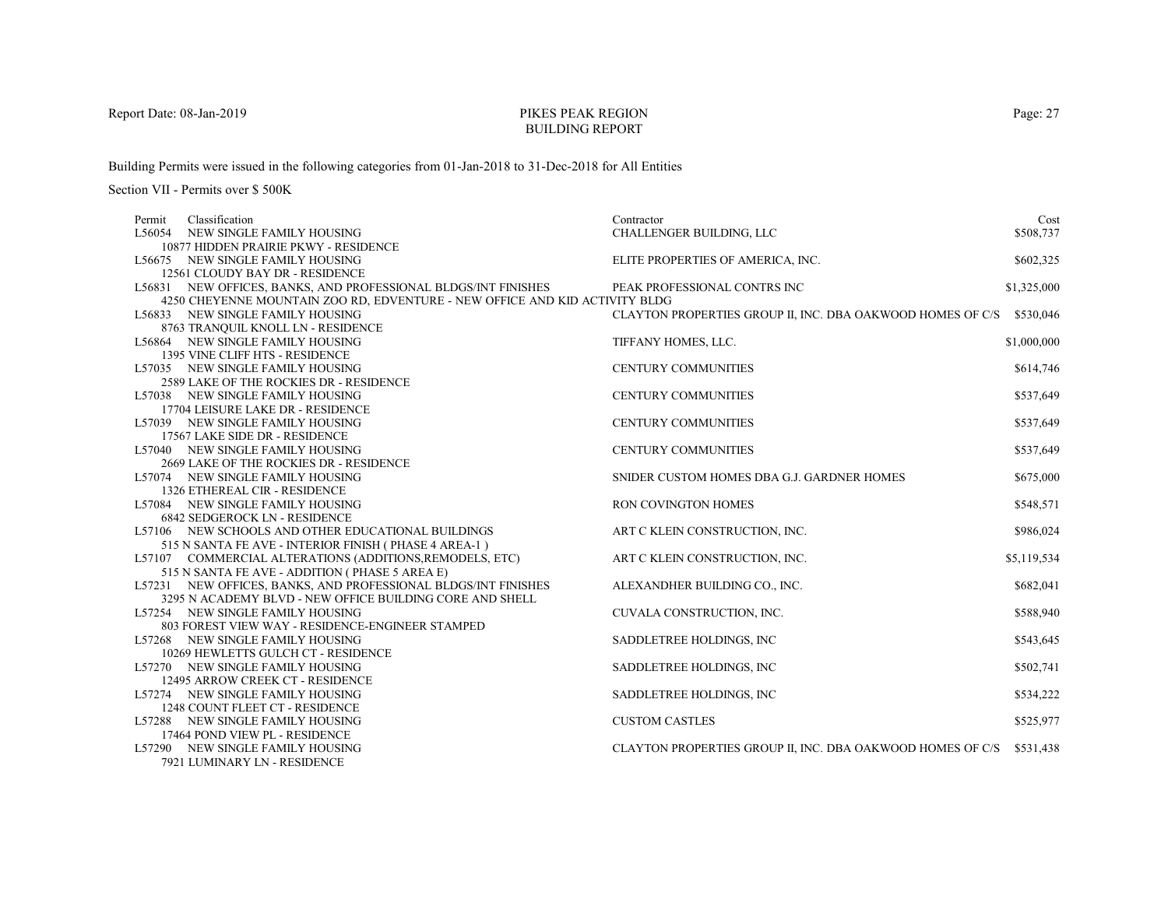# PIKES PEAK REGIONBUILDING REPORT

Building Permits were issued in the following categories from 01-Jan-2018 to 31-Dec-2018 for All Entities

| Permit | Classification                                                                             | Contractor                                                 | Cost        |
|--------|--------------------------------------------------------------------------------------------|------------------------------------------------------------|-------------|
|        | L56054 NEW SINGLE FAMILY HOUSING                                                           | CHALLENGER BUILDING, LLC                                   | \$508,737   |
|        | 10877 HIDDEN PRAIRIE PKWY - RESIDENCE                                                      |                                                            |             |
|        | L56675 NEW SINGLE FAMILY HOUSING                                                           | ELITE PROPERTIES OF AMERICA, INC.                          | \$602,325   |
|        | 12561 CLOUDY BAY DR - RESIDENCE                                                            |                                                            |             |
|        | L56831 NEW OFFICES, BANKS, AND PROFESSIONAL BLDGS/INT FINISHES                             | PEAK PROFESSIONAL CONTRS INC                               | \$1,325,000 |
|        | 4250 CHEYENNE MOUNTAIN ZOO RD, EDVENTURE - NEW OFFICE AND KID ACTIVITY BLDG                |                                                            |             |
|        | L56833 NEW SINGLE FAMILY HOUSING                                                           | CLAYTON PROPERTIES GROUP II, INC. DBA OAKWOOD HOMES OF C/S | \$530,046   |
|        | 8763 TRANQUIL KNOLL LN - RESIDENCE                                                         |                                                            |             |
|        | L56864 NEW SINGLE FAMILY HOUSING                                                           | TIFFANY HOMES, LLC.                                        | \$1,000,000 |
|        | 1395 VINE CLIFF HTS - RESIDENCE                                                            |                                                            |             |
|        | L57035 NEW SINGLE FAMILY HOUSING                                                           | <b>CENTURY COMMUNITIES</b>                                 | \$614,746   |
|        | 2589 LAKE OF THE ROCKIES DR - RESIDENCE                                                    |                                                            |             |
|        | L57038 NEW SINGLE FAMILY HOUSING                                                           | <b>CENTURY COMMUNITIES</b>                                 | \$537,649   |
|        | 17704 LEISURE LAKE DR - RESIDENCE                                                          |                                                            |             |
|        | L57039 NEW SINGLE FAMILY HOUSING                                                           | <b>CENTURY COMMUNITIES</b>                                 | \$537,649   |
|        | 17567 LAKE SIDE DR - RESIDENCE                                                             |                                                            |             |
|        | L57040 NEW SINGLE FAMILY HOUSING                                                           | <b>CENTURY COMMUNITIES</b>                                 | \$537,649   |
|        | 2669 LAKE OF THE ROCKIES DR - RESIDENCE                                                    |                                                            |             |
|        | L57074 NEW SINGLE FAMILY HOUSING                                                           | SNIDER CUSTOM HOMES DBA G.J. GARDNER HOMES                 | \$675,000   |
|        | 1326 ETHEREAL CIR - RESIDENCE                                                              |                                                            |             |
|        | L57084 NEW SINGLE FAMILY HOUSING                                                           | RON COVINGTON HOMES                                        | \$548,571   |
|        | <b>6842 SEDGEROCK LN - RESIDENCE</b><br>L57106 NEW SCHOOLS AND OTHER EDUCATIONAL BUILDINGS |                                                            | \$986,024   |
|        | 515 N SANTA FE AVE - INTERIOR FINISH (PHASE 4 AREA-1)                                      | ART C KLEIN CONSTRUCTION, INC.                             |             |
|        | L57107 COMMERCIAL ALTERATIONS (ADDITIONS, REMODELS, ETC)                                   | ART C KLEIN CONSTRUCTION, INC.                             | \$5,119,534 |
|        | 515 N SANTA FE AVE - ADDITION (PHASE 5 AREA E)                                             |                                                            |             |
|        | L57231 NEW OFFICES, BANKS, AND PROFESSIONAL BLDGS/INT FINISHES                             | ALEXANDHER BUILDING CO., INC.                              | \$682,041   |
|        | 3295 N ACADEMY BLVD - NEW OFFICE BUILDING CORE AND SHELL                                   |                                                            |             |
|        | L57254 NEW SINGLE FAMILY HOUSING                                                           | CUVALA CONSTRUCTION, INC.                                  | \$588,940   |
|        | 803 FOREST VIEW WAY - RESIDENCE-ENGINEER STAMPED                                           |                                                            |             |
|        | L57268 NEW SINGLE FAMILY HOUSING                                                           | SADDLETREE HOLDINGS, INC                                   | \$543,645   |
|        | 10269 HEWLETTS GULCH CT - RESIDENCE                                                        |                                                            |             |
|        | L57270 NEW SINGLE FAMILY HOUSING                                                           | SADDLETREE HOLDINGS, INC.                                  | \$502,741   |
|        | 12495 ARROW CREEK CT - RESIDENCE                                                           |                                                            |             |
|        | L57274 NEW SINGLE FAMILY HOUSING                                                           | SADDLETREE HOLDINGS, INC                                   | \$534,222   |
|        | 1248 COUNT FLEET CT - RESIDENCE                                                            |                                                            |             |
|        | L57288 NEW SINGLE FAMILY HOUSING                                                           | <b>CUSTOM CASTLES</b>                                      | \$525,977   |
|        | 17464 POND VIEW PL - RESIDENCE                                                             |                                                            |             |
|        | L57290 NEW SINGLE FAMILY HOUSING                                                           | CLAYTON PROPERTIES GROUP II, INC. DBA OAKWOOD HOMES OF C/S | \$531,438   |
|        | 7921 LUMINARY LN - RESIDENCE                                                               |                                                            |             |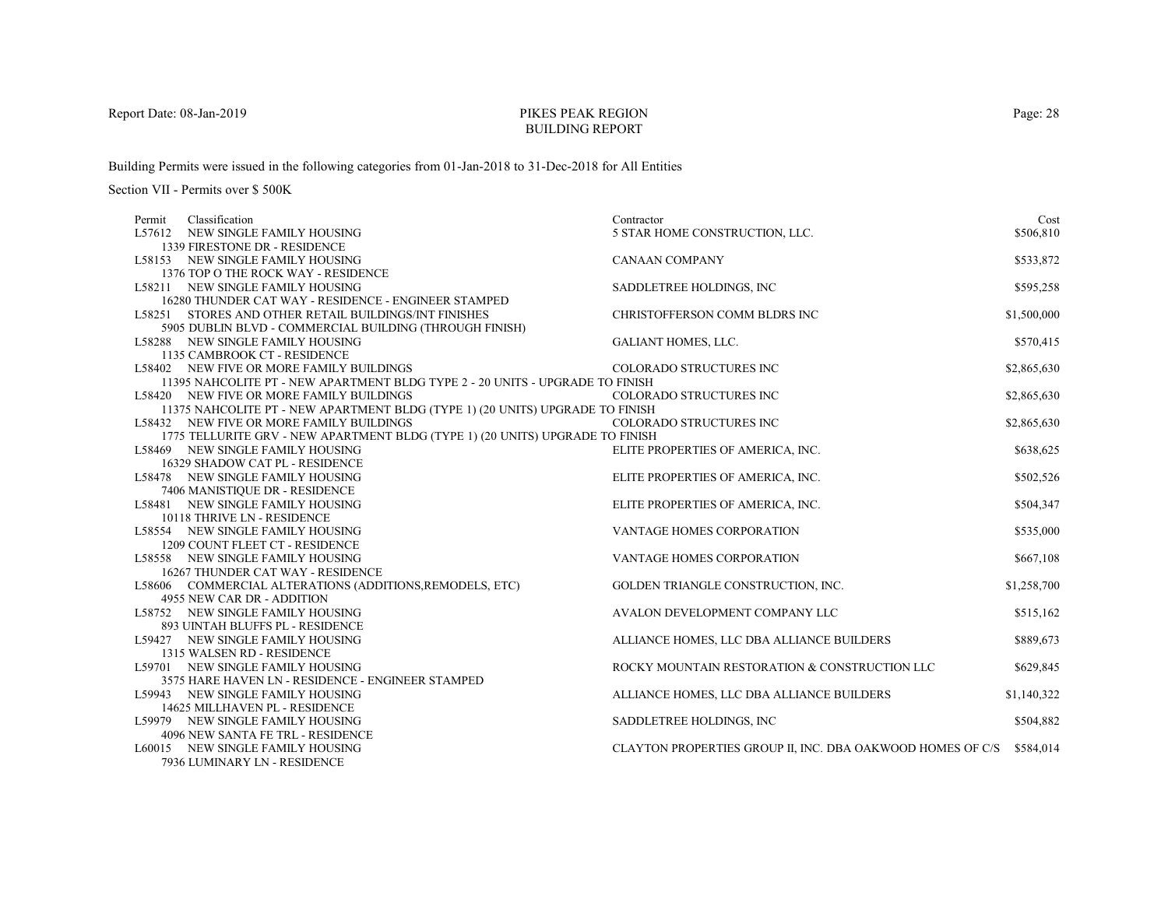# PIKES PEAK REGIONBUILDING REPORT

Building Permits were issued in the following categories from 01-Jan-2018 to 31-Dec-2018 for All Entities

| Permit | Classification                                                                | Contractor                                                 | Cost        |
|--------|-------------------------------------------------------------------------------|------------------------------------------------------------|-------------|
|        | L57612 NEW SINGLE FAMILY HOUSING                                              | 5 STAR HOME CONSTRUCTION, LLC.                             | \$506,810   |
|        | 1339 FIRESTONE DR - RESIDENCE                                                 |                                                            |             |
|        | L58153 NEW SINGLE FAMILY HOUSING                                              | <b>CANAAN COMPANY</b>                                      | \$533,872   |
|        | 1376 TOP O THE ROCK WAY - RESIDENCE                                           |                                                            |             |
|        | L58211 NEW SINGLE FAMILY HOUSING                                              | SADDLETREE HOLDINGS, INC                                   | \$595,258   |
|        | 16280 THUNDER CAT WAY - RESIDENCE - ENGINEER STAMPED                          |                                                            |             |
|        | L58251 STORES AND OTHER RETAIL BUILDINGS/INT FINISHES                         | CHRISTOFFERSON COMM BLDRS INC                              | \$1,500,000 |
|        | 5905 DUBLIN BLVD - COMMERCIAL BUILDING (THROUGH FINISH)                       |                                                            |             |
|        | L58288 NEW SINGLE FAMILY HOUSING                                              | GALIANT HOMES, LLC.                                        | \$570,415   |
|        | 1135 CAMBROOK CT - RESIDENCE                                                  |                                                            |             |
|        | L58402 NEW FIVE OR MORE FAMILY BUILDINGS                                      | COLORADO STRUCTURES INC                                    | \$2,865,630 |
|        | 11395 NAHCOLITE PT - NEW APARTMENT BLDG TYPE 2 - 20 UNITS - UPGRADE TO FINISH |                                                            |             |
|        | L58420 NEW FIVE OR MORE FAMILY BUILDINGS                                      | COLORADO STRUCTURES INC                                    | \$2,865,630 |
|        | 11375 NAHCOLITE PT - NEW APARTMENT BLDG (TYPE 1) (20 UNITS) UPGRADE TO FINISH |                                                            |             |
|        | L58432 NEW FIVE OR MORE FAMILY BUILDINGS                                      | COLORADO STRUCTURES INC                                    | \$2,865,630 |
|        | 1775 TELLURITE GRV - NEW APARTMENT BLDG (TYPE 1) (20 UNITS) UPGRADE TO FINISH |                                                            |             |
|        | L58469 NEW SINGLE FAMILY HOUSING                                              | ELITE PROPERTIES OF AMERICA, INC.                          | \$638,625   |
|        | 16329 SHADOW CAT PL - RESIDENCE                                               |                                                            |             |
|        | L58478 NEW SINGLE FAMILY HOUSING                                              | ELITE PROPERTIES OF AMERICA, INC.                          | \$502,526   |
|        | 7406 MANISTIQUE DR - RESIDENCE                                                |                                                            |             |
|        | L58481 NEW SINGLE FAMILY HOUSING                                              | ELITE PROPERTIES OF AMERICA, INC.                          | \$504,347   |
|        | 10118 THRIVE LN - RESIDENCE                                                   |                                                            |             |
|        | L58554 NEW SINGLE FAMILY HOUSING                                              | VANTAGE HOMES CORPORATION                                  | \$535,000   |
|        | 1209 COUNT FLEET CT - RESIDENCE                                               |                                                            |             |
|        | L58558 NEW SINGLE FAMILY HOUSING                                              | VANTAGE HOMES CORPORATION                                  | \$667,108   |
|        | 16267 THUNDER CAT WAY - RESIDENCE                                             |                                                            |             |
|        | L58606 COMMERCIAL ALTERATIONS (ADDITIONS, REMODELS, ETC)                      | GOLDEN TRIANGLE CONSTRUCTION, INC.                         | \$1,258,700 |
|        | 4955 NEW CAR DR - ADDITION                                                    |                                                            |             |
|        | L58752 NEW SINGLE FAMILY HOUSING                                              | AVALON DEVELOPMENT COMPANY LLC                             | \$515,162   |
|        | 893 UINTAH BLUFFS PL - RESIDENCE                                              |                                                            |             |
|        | L59427 NEW SINGLE FAMILY HOUSING                                              | ALLIANCE HOMES, LLC DBA ALLIANCE BUILDERS                  | \$889,673   |
|        | 1315 WALSEN RD - RESIDENCE                                                    |                                                            |             |
|        | L59701 NEW SINGLE FAMILY HOUSING                                              | ROCKY MOUNTAIN RESTORATION & CONSTRUCTION LLC              | \$629,845   |
|        | 3575 HARE HAVEN LN - RESIDENCE - ENGINEER STAMPED                             |                                                            |             |
|        | L59943 NEW SINGLE FAMILY HOUSING                                              | ALLIANCE HOMES, LLC DBA ALLIANCE BUILDERS                  | \$1,140,322 |
|        | 14625 MILLHAVEN PL - RESIDENCE                                                |                                                            |             |
|        | L59979 NEW SINGLE FAMILY HOUSING                                              | SADDLETREE HOLDINGS, INC                                   | \$504,882   |
|        | 4096 NEW SANTA FE TRL - RESIDENCE                                             |                                                            |             |
|        | L60015 NEW SINGLE FAMILY HOUSING                                              | CLAYTON PROPERTIES GROUP II, INC. DBA OAKWOOD HOMES OF C/S | \$584,014   |
|        | 7936 LUMINARY LN - RESIDENCE                                                  |                                                            |             |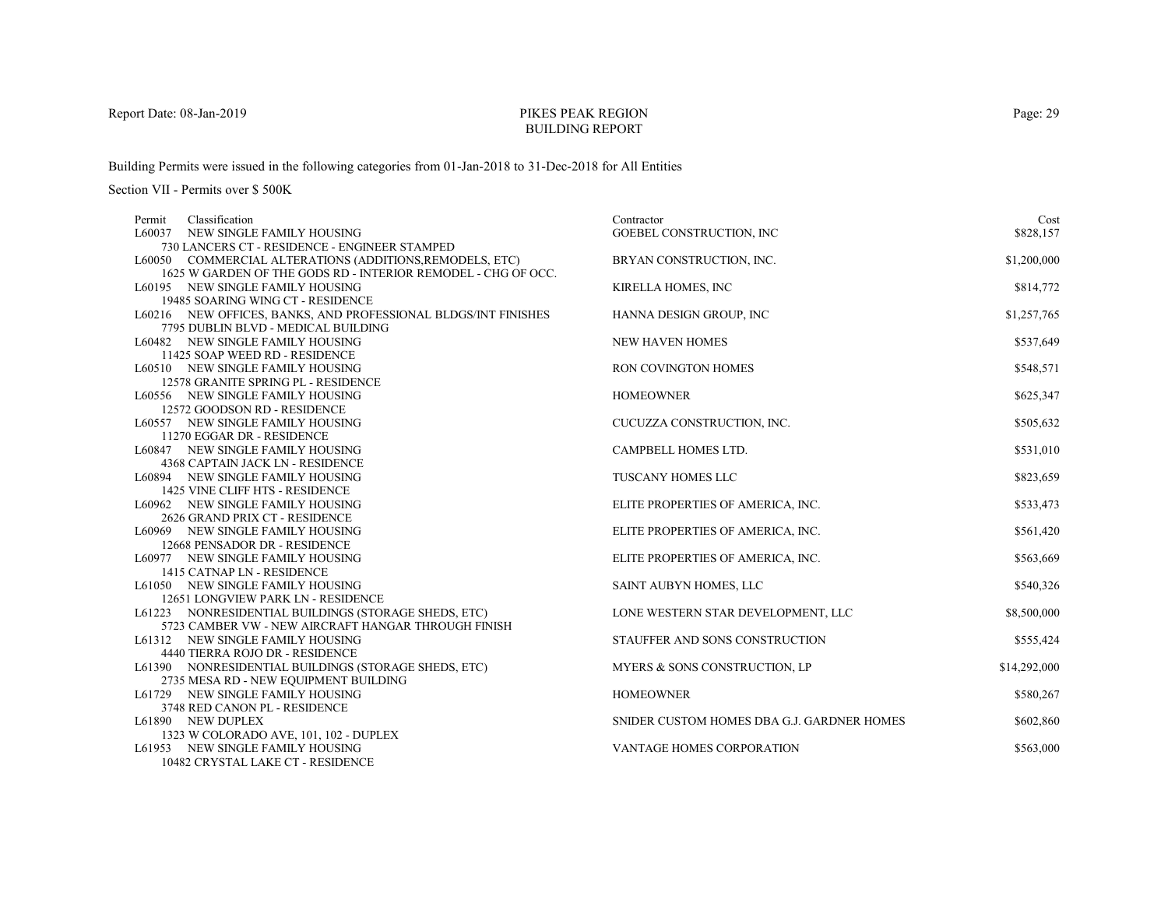# PIKES PEAK REGIONBUILDING REPORT

Building Permits were issued in the following categories from 01-Jan-2018 to 31-Dec-2018 for All Entities

| Classification<br>Permit                                       | Contractor                                 | Cost         |
|----------------------------------------------------------------|--------------------------------------------|--------------|
| L60037 NEW SINGLE FAMILY HOUSING                               | GOEBEL CONSTRUCTION, INC.                  | \$828,157    |
| 730 LANCERS CT - RESIDENCE - ENGINEER STAMPED                  |                                            |              |
| L60050 COMMERCIAL ALTERATIONS (ADDITIONS, REMODELS, ETC)       | BRYAN CONSTRUCTION, INC.                   | \$1,200,000  |
| 1625 W GARDEN OF THE GODS RD - INTERIOR REMODEL - CHG OF OCC.  |                                            |              |
| L60195 NEW SINGLE FAMILY HOUSING                               | <b>KIRELLA HOMES, INC</b>                  | \$814,772    |
| 19485 SOARING WING CT - RESIDENCE                              |                                            |              |
| L60216 NEW OFFICES, BANKS, AND PROFESSIONAL BLDGS/INT FINISHES | HANNA DESIGN GROUP, INC                    | \$1,257,765  |
| 7795 DUBLIN BLVD - MEDICAL BUILDING                            |                                            |              |
| L60482 NEW SINGLE FAMILY HOUSING                               | <b>NEW HAVEN HOMES</b>                     | \$537,649    |
| 11425 SOAP WEED RD - RESIDENCE                                 |                                            |              |
| L60510 NEW SINGLE FAMILY HOUSING                               | RON COVINGTON HOMES                        | \$548,571    |
| 12578 GRANITE SPRING PL - RESIDENCE                            |                                            |              |
| L60556 NEW SINGLE FAMILY HOUSING                               | <b>HOMEOWNER</b>                           | \$625,347    |
| 12572 GOODSON RD - RESIDENCE                                   |                                            |              |
| L60557 NEW SINGLE FAMILY HOUSING                               | CUCUZZA CONSTRUCTION, INC.                 | \$505,632    |
| 11270 EGGAR DR - RESIDENCE                                     |                                            |              |
| L60847 NEW SINGLE FAMILY HOUSING                               | CAMPBELL HOMES LTD.                        | \$531,010    |
| 4368 CAPTAIN JACK LN - RESIDENCE                               |                                            |              |
| L60894 NEW SINGLE FAMILY HOUSING                               | <b>TUSCANY HOMES LLC</b>                   | \$823,659    |
| 1425 VINE CLIFF HTS - RESIDENCE                                |                                            |              |
| L60962 NEW SINGLE FAMILY HOUSING                               | ELITE PROPERTIES OF AMERICA, INC.          | \$533,473    |
| 2626 GRAND PRIX CT - RESIDENCE                                 |                                            |              |
| L60969 NEW SINGLE FAMILY HOUSING                               | ELITE PROPERTIES OF AMERICA, INC.          | \$561,420    |
| 12668 PENSADOR DR - RESIDENCE                                  |                                            |              |
| L60977 NEW SINGLE FAMILY HOUSING                               | ELITE PROPERTIES OF AMERICA, INC.          | \$563,669    |
| 1415 CATNAP LN - RESIDENCE                                     |                                            |              |
| L61050 NEW SINGLE FAMILY HOUSING                               | SAINT AUBYN HOMES, LLC                     | \$540,326    |
| 12651 LONGVIEW PARK LN - RESIDENCE                             |                                            |              |
| L61223 NONRESIDENTIAL BUILDINGS (STORAGE SHEDS, ETC)           | LONE WESTERN STAR DEVELOPMENT, LLC         | \$8,500,000  |
| 5723 CAMBER VW - NEW AIRCRAFT HANGAR THROUGH FINISH            |                                            |              |
| L61312 NEW SINGLE FAMILY HOUSING                               | STAUFFER AND SONS CONSTRUCTION             | \$555,424    |
| 4440 TIERRA ROJO DR - RESIDENCE                                |                                            |              |
| L61390 NONRESIDENTIAL BUILDINGS (STORAGE SHEDS, ETC)           | MYERS & SONS CONSTRUCTION, LP              | \$14,292,000 |
| 2735 MESA RD - NEW EQUIPMENT BUILDING                          |                                            |              |
| L61729 NEW SINGLE FAMILY HOUSING                               | <b>HOMEOWNER</b>                           | \$580,267    |
| 3748 RED CANON PL - RESIDENCE                                  |                                            |              |
| L61890 NEW DUPLEX                                              | SNIDER CUSTOM HOMES DBA G.J. GARDNER HOMES | \$602,860    |
| 1323 W COLORADO AVE, 101, 102 - DUPLEX                         |                                            |              |
| L61953 NEW SINGLE FAMILY HOUSING                               | VANTAGE HOMES CORPORATION                  | \$563,000    |
| 10482 CRYSTAL LAKE CT - RESIDENCE                              |                                            |              |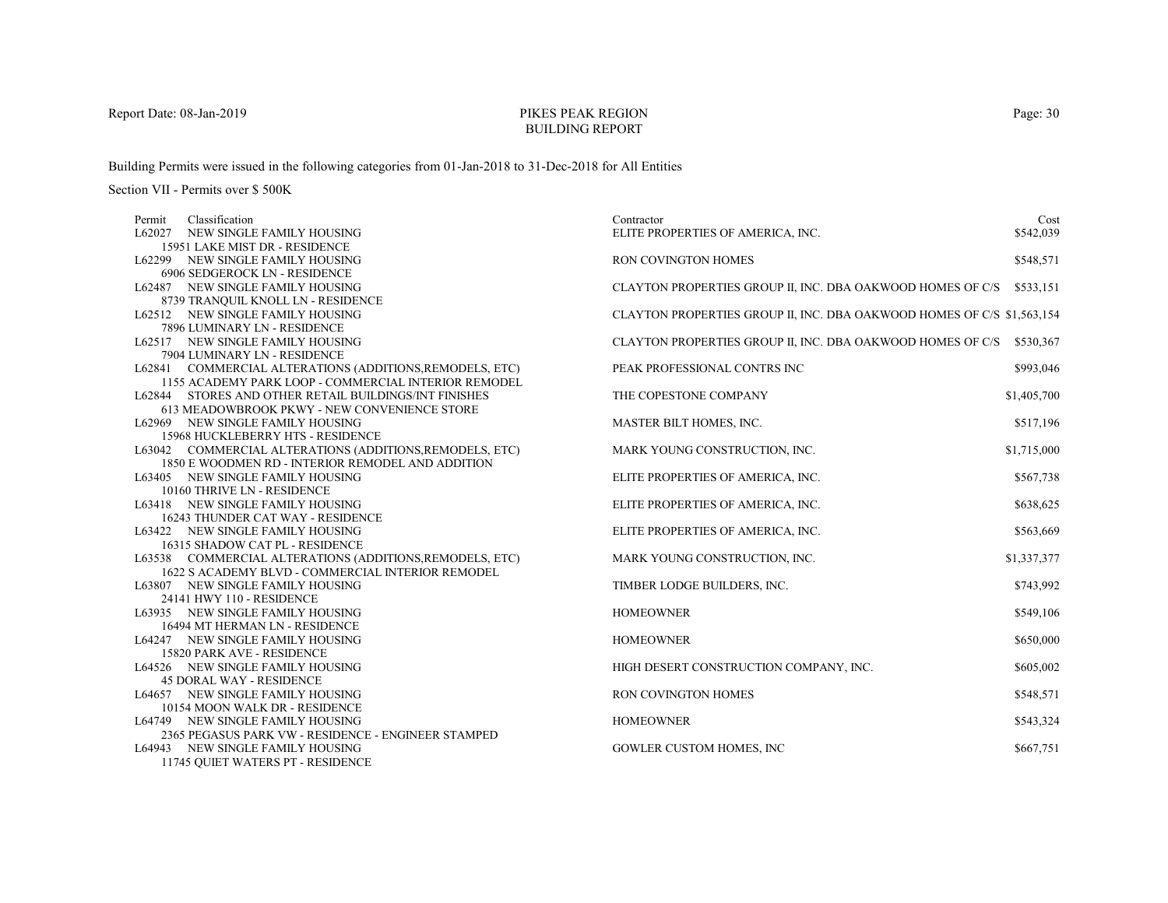# PIKES PEAK REGIONBUILDING REPORT

Building Permits were issued in the following categories from 01-Jan-2018 to 31-Dec-2018 for All Entities

| Permit | Classification                                           | Contractor                                                             | Cost        |
|--------|----------------------------------------------------------|------------------------------------------------------------------------|-------------|
|        | L62027 NEW SINGLE FAMILY HOUSING                         | ELITE PROPERTIES OF AMERICA, INC.                                      | \$542,039   |
|        | 15951 LAKE MIST DR - RESIDENCE                           |                                                                        |             |
|        | L62299 NEW SINGLE FAMILY HOUSING                         | <b>RON COVINGTON HOMES</b>                                             | \$548,571   |
|        | 6906 SEDGEROCK LN - RESIDENCE                            |                                                                        |             |
|        | L62487 NEW SINGLE FAMILY HOUSING                         | CLAYTON PROPERTIES GROUP II, INC. DBA OAKWOOD HOMES OF C/S \$533,151   |             |
|        | 8739 TRANQUIL KNOLL LN - RESIDENCE                       |                                                                        |             |
|        | L62512 NEW SINGLE FAMILY HOUSING                         | CLAYTON PROPERTIES GROUP II, INC. DBA OAKWOOD HOMES OF C/S \$1,563,154 |             |
|        | 7896 LUMINARY LN - RESIDENCE                             |                                                                        |             |
|        | L62517 NEW SINGLE FAMILY HOUSING                         | CLAYTON PROPERTIES GROUP II, INC. DBA OAKWOOD HOMES OF C/S             | \$530,367   |
|        | 7904 LUMINARY LN - RESIDENCE                             |                                                                        |             |
|        | L62841 COMMERCIAL ALTERATIONS (ADDITIONS, REMODELS, ETC) | PEAK PROFESSIONAL CONTRS INC                                           | \$993,046   |
|        | 1155 ACADEMY PARK LOOP - COMMERCIAL INTERIOR REMODEL     |                                                                        |             |
|        | L62844 STORES AND OTHER RETAIL BUILDINGS/INT FINISHES    | THE COPESTONE COMPANY                                                  | \$1,405,700 |
|        | 613 MEADOWBROOK PKWY - NEW CONVENIENCE STORE             |                                                                        |             |
|        | L62969 NEW SINGLE FAMILY HOUSING                         | MASTER BILT HOMES, INC.                                                | \$517,196   |
|        | 15968 HUCKLEBERRY HTS - RESIDENCE                        |                                                                        |             |
|        | L63042 COMMERCIAL ALTERATIONS (ADDITIONS, REMODELS, ETC) | MARK YOUNG CONSTRUCTION, INC.                                          | \$1,715,000 |
|        | 1850 E WOODMEN RD - INTERIOR REMODEL AND ADDITION        |                                                                        |             |
|        | L63405 NEW SINGLE FAMILY HOUSING                         | ELITE PROPERTIES OF AMERICA, INC.                                      | \$567,738   |
|        | 10160 THRIVE LN - RESIDENCE                              |                                                                        |             |
|        | L63418 NEW SINGLE FAMILY HOUSING                         | ELITE PROPERTIES OF AMERICA, INC.                                      | \$638,625   |
|        | 16243 THUNDER CAT WAY - RESIDENCE                        |                                                                        |             |
|        | L63422 NEW SINGLE FAMILY HOUSING                         | ELITE PROPERTIES OF AMERICA, INC.                                      | \$563,669   |
|        | 16315 SHADOW CAT PL - RESIDENCE                          |                                                                        |             |
|        | L63538 COMMERCIAL ALTERATIONS (ADDITIONS, REMODELS, ETC) | MARK YOUNG CONSTRUCTION, INC.                                          | \$1,337,377 |
|        | 1622 S ACADEMY BLVD - COMMERCIAL INTERIOR REMODEL        |                                                                        |             |
|        | L63807 NEW SINGLE FAMILY HOUSING                         | TIMBER LODGE BUILDERS, INC.                                            | \$743,992   |
|        | 24141 HWY 110 - RESIDENCE                                |                                                                        |             |
|        | L63935 NEW SINGLE FAMILY HOUSING                         | <b>HOMEOWNER</b>                                                       | \$549,106   |
|        | 16494 MT HERMAN LN - RESIDENCE                           |                                                                        |             |
|        | L64247 NEW SINGLE FAMILY HOUSING                         | <b>HOMEOWNER</b>                                                       | \$650,000   |
|        | 15820 PARK AVE - RESIDENCE                               |                                                                        |             |
|        | L64526 NEW SINGLE FAMILY HOUSING                         | HIGH DESERT CONSTRUCTION COMPANY, INC.                                 | \$605,002   |
|        | <b>45 DORAL WAY - RESIDENCE</b>                          |                                                                        |             |
|        | L64657 NEW SINGLE FAMILY HOUSING                         | RON COVINGTON HOMES                                                    | \$548,571   |
|        | 10154 MOON WALK DR - RESIDENCE                           |                                                                        |             |
|        | L64749 NEW SINGLE FAMILY HOUSING                         | <b>HOMEOWNER</b>                                                       | \$543,324   |
|        | 2365 PEGASUS PARK VW - RESIDENCE - ENGINEER STAMPED      |                                                                        |             |
|        | L64943 NEW SINGLE FAMILY HOUSING                         | <b>GOWLER CUSTOM HOMES, INC</b>                                        | \$667,751   |
|        | 11745 QUIET WATERS PT - RESIDENCE                        |                                                                        |             |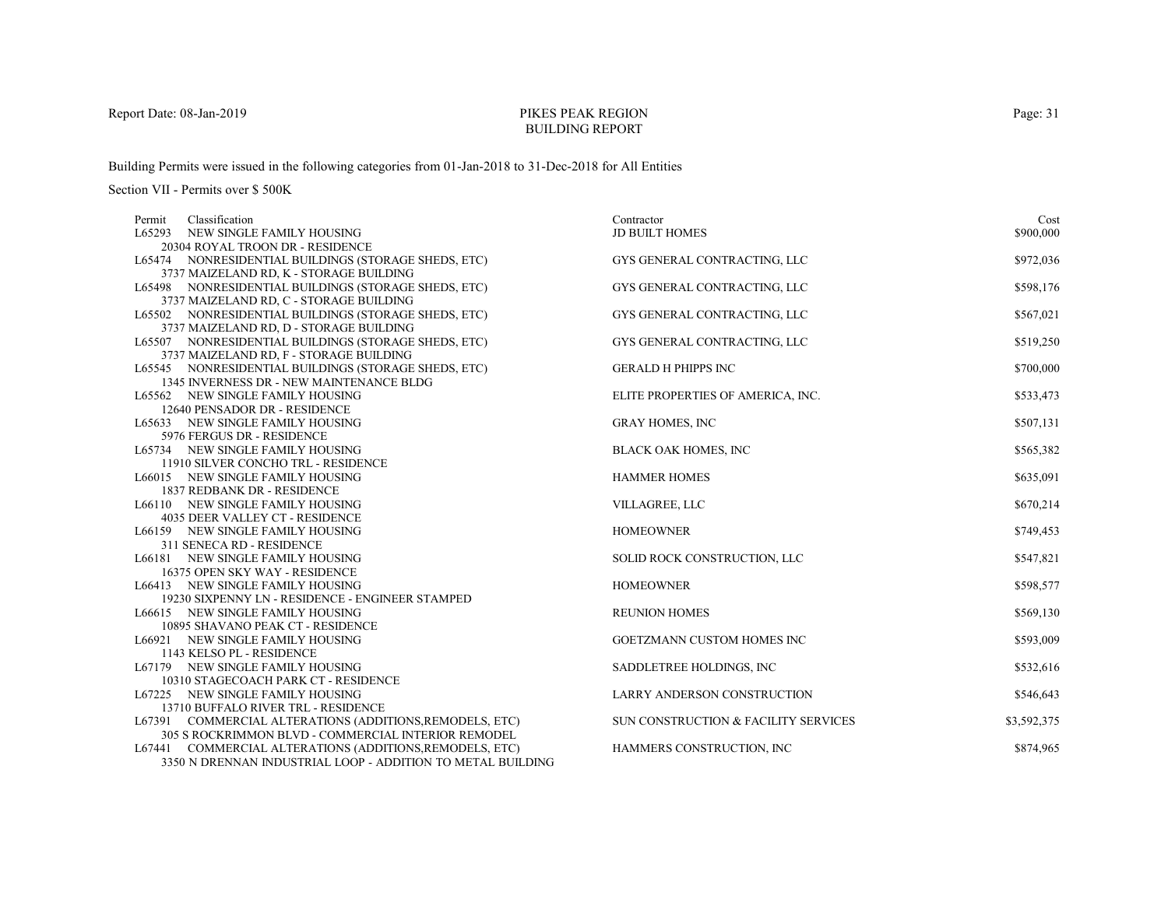# PIKES PEAK REGIONBUILDING REPORT

Building Permits were issued in the following categories from 01-Jan-2018 to 31-Dec-2018 for All Entities

| Classification<br>Permit                                      | Contractor                           | Cost        |
|---------------------------------------------------------------|--------------------------------------|-------------|
| L65293 NEW SINGLE FAMILY HOUSING                              | <b>JD BUILT HOMES</b>                | \$900,000   |
| 20304 ROYAL TROON DR - RESIDENCE                              |                                      |             |
| L65474 NONRESIDENTIAL BUILDINGS (STORAGE SHEDS, ETC)          | GYS GENERAL CONTRACTING, LLC         | \$972,036   |
| 3737 MAIZELAND RD, K - STORAGE BUILDING                       |                                      |             |
| L65498 NONRESIDENTIAL BUILDINGS (STORAGE SHEDS, ETC)          | GYS GENERAL CONTRACTING, LLC         | \$598,176   |
| 3737 MAIZELAND RD, C - STORAGE BUILDING                       |                                      |             |
| L65502 NONRESIDENTIAL BUILDINGS (STORAGE SHEDS, ETC)          | GYS GENERAL CONTRACTING, LLC         | \$567,021   |
| 3737 MAIZELAND RD, D - STORAGE BUILDING                       |                                      |             |
| L65507 NONRESIDENTIAL BUILDINGS (STORAGE SHEDS, ETC)          | GYS GENERAL CONTRACTING, LLC         | \$519,250   |
| 3737 MAIZELAND RD, F - STORAGE BUILDING                       |                                      |             |
| L65545 NONRESIDENTIAL BUILDINGS (STORAGE SHEDS, ETC)          | <b>GERALD H PHIPPS INC</b>           | \$700,000   |
| 1345 INVERNESS DR - NEW MAINTENANCE BLDG                      |                                      |             |
| L65562 NEW SINGLE FAMILY HOUSING                              | ELITE PROPERTIES OF AMERICA, INC.    | \$533,473   |
| 12640 PENSADOR DR - RESIDENCE                                 |                                      |             |
| L65633 NEW SINGLE FAMILY HOUSING                              | <b>GRAY HOMES, INC</b>               | \$507,131   |
| 5976 FERGUS DR - RESIDENCE                                    |                                      |             |
| L65734 NEW SINGLE FAMILY HOUSING                              | <b>BLACK OAK HOMES, INC</b>          | \$565,382   |
| 11910 SILVER CONCHO TRL - RESIDENCE                           |                                      |             |
| L66015 NEW SINGLE FAMILY HOUSING                              | <b>HAMMER HOMES</b>                  | \$635,091   |
| 1837 REDBANK DR - RESIDENCE                                   |                                      |             |
| L66110 NEW SINGLE FAMILY HOUSING                              | VILLAGREE, LLC                       | \$670,214   |
| 4035 DEER VALLEY CT - RESIDENCE                               | <b>HOMEOWNER</b>                     |             |
| L66159 NEW SINGLE FAMILY HOUSING<br>311 SENECA RD - RESIDENCE |                                      | \$749,453   |
| L66181 NEW SINGLE FAMILY HOUSING                              | SOLID ROCK CONSTRUCTION, LLC         | \$547,821   |
| 16375 OPEN SKY WAY - RESIDENCE                                |                                      |             |
| L66413 NEW SINGLE FAMILY HOUSING                              | <b>HOMEOWNER</b>                     | \$598,577   |
| 19230 SIXPENNY LN - RESIDENCE - ENGINEER STAMPED              |                                      |             |
| L66615 NEW SINGLE FAMILY HOUSING                              | <b>REUNION HOMES</b>                 | \$569,130   |
| 10895 SHAVANO PEAK CT - RESIDENCE                             |                                      |             |
| L66921 NEW SINGLE FAMILY HOUSING                              | GOETZMANN CUSTOM HOMES INC           | \$593,009   |
| 1143 KELSO PL - RESIDENCE                                     |                                      |             |
| L67179 NEW SINGLE FAMILY HOUSING                              | SADDLETREE HOLDINGS, INC             | \$532,616   |
| 10310 STAGECOACH PARK CT - RESIDENCE                          |                                      |             |
| L67225 NEW SINGLE FAMILY HOUSING                              | LARRY ANDERSON CONSTRUCTION          | \$546,643   |
| 13710 BUFFALO RIVER TRL - RESIDENCE                           |                                      |             |
| L67391 COMMERCIAL ALTERATIONS (ADDITIONS, REMODELS, ETC)      | SUN CONSTRUCTION & FACILITY SERVICES | \$3,592,375 |
| 305 S ROCKRIMMON BLVD - COMMERCIAL INTERIOR REMODEL           |                                      |             |
| L67441 COMMERCIAL ALTERATIONS (ADDITIONS, REMODELS, ETC)      | HAMMERS CONSTRUCTION, INC            | \$874,965   |
| 3350 N DRENNAN INDUSTRIAL LOOP - ADDITION TO METAL BUILDING   |                                      |             |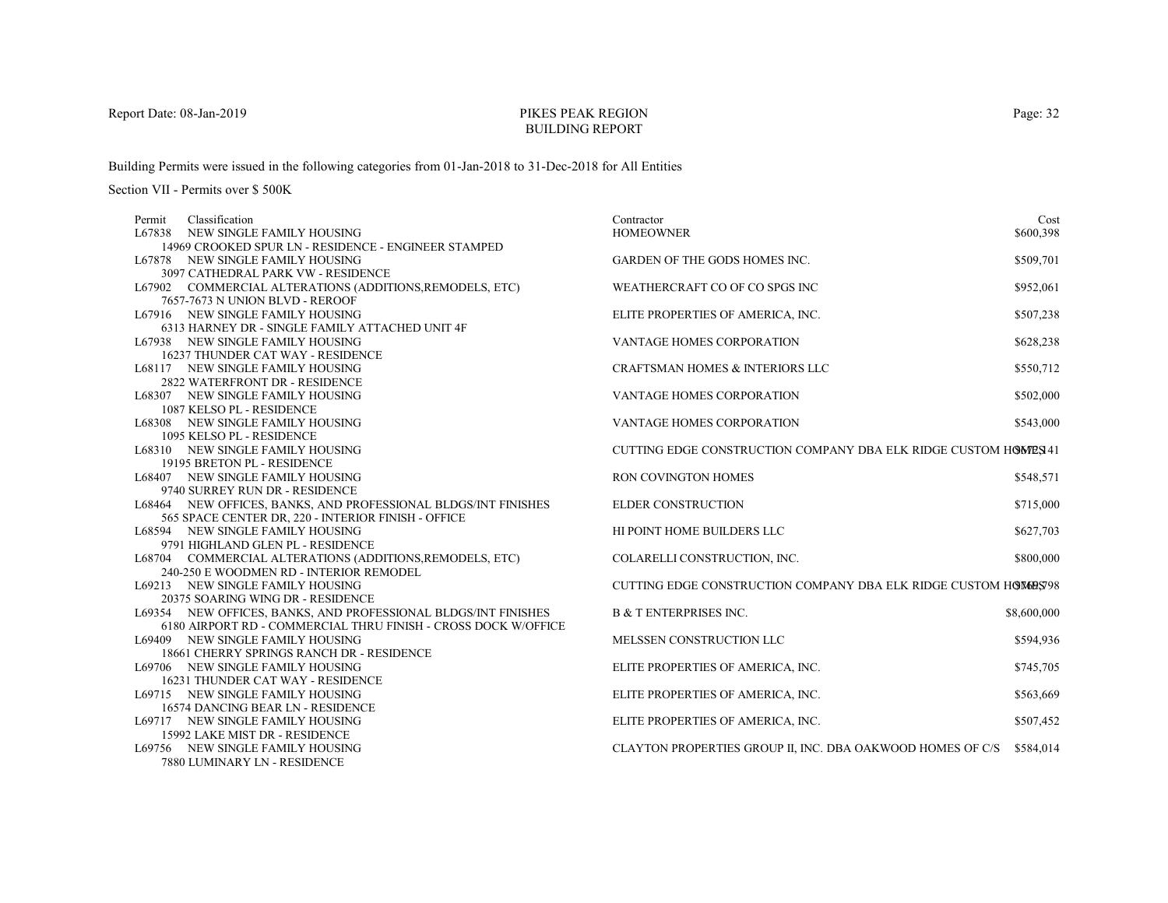# PIKES PEAK REGIONBUILDING REPORT

Building Permits were issued in the following categories from 01-Jan-2018 to 31-Dec-2018 for All Entities

| Classification<br>Permit                                       | Contractor                                                       | Cost        |
|----------------------------------------------------------------|------------------------------------------------------------------|-------------|
| L67838 NEW SINGLE FAMILY HOUSING                               | <b>HOMEOWNER</b>                                                 | \$600,398   |
| 14969 CROOKED SPUR LN - RESIDENCE - ENGINEER STAMPED           |                                                                  |             |
| L67878 NEW SINGLE FAMILY HOUSING                               | <b>GARDEN OF THE GODS HOMES INC.</b>                             | \$509,701   |
| 3097 CATHEDRAL PARK VW - RESIDENCE                             |                                                                  |             |
| L67902 COMMERCIAL ALTERATIONS (ADDITIONS, REMODELS, ETC)       | WEATHERCRAFT CO OF CO SPGS INC                                   | \$952,061   |
| 7657-7673 N UNION BLVD - REROOF                                |                                                                  |             |
| L67916 NEW SINGLE FAMILY HOUSING                               | ELITE PROPERTIES OF AMERICA, INC.                                | \$507,238   |
| 6313 HARNEY DR - SINGLE FAMILY ATTACHED UNIT 4F                |                                                                  |             |
| L67938 NEW SINGLE FAMILY HOUSING                               | <b>VANTAGE HOMES CORPORATION</b>                                 | \$628,238   |
| 16237 THUNDER CAT WAY - RESIDENCE                              |                                                                  |             |
| L68117 NEW SINGLE FAMILY HOUSING                               | <b>CRAFTSMAN HOMES &amp; INTERIORS LLC</b>                       | \$550,712   |
| 2822 WATERFRONT DR - RESIDENCE                                 |                                                                  |             |
| L68307 NEW SINGLE FAMILY HOUSING                               | VANTAGE HOMES CORPORATION                                        | \$502,000   |
| 1087 KELSO PL - RESIDENCE                                      |                                                                  |             |
| L68308 NEW SINGLE FAMILY HOUSING                               | <b>VANTAGE HOMES CORPORATION</b>                                 | \$543,000   |
| 1095 KELSO PL - RESIDENCE                                      |                                                                  |             |
| L68310 NEW SINGLE FAMILY HOUSING                               | CUTTING EDGE CONSTRUCTION COMPANY DBA ELK RIDGE CUSTOM HOWES 41  |             |
| 19195 BRETON PL - RESIDENCE                                    |                                                                  |             |
| L68407 NEW SINGLE FAMILY HOUSING                               | <b>RON COVINGTON HOMES</b>                                       | \$548,571   |
| 9740 SURREY RUN DR - RESIDENCE                                 |                                                                  |             |
| L68464 NEW OFFICES, BANKS, AND PROFESSIONAL BLDGS/INT FINISHES | <b>ELDER CONSTRUCTION</b>                                        | \$715,000   |
| 565 SPACE CENTER DR, 220 - INTERIOR FINISH - OFFICE            |                                                                  |             |
| L68594 NEW SINGLE FAMILY HOUSING                               | HI POINT HOME BUILDERS LLC                                       | \$627,703   |
| 9791 HIGHLAND GLEN PL - RESIDENCE                              |                                                                  |             |
| L68704 COMMERCIAL ALTERATIONS (ADDITIONS, REMODELS, ETC)       | COLARELLI CONSTRUCTION, INC.                                     | \$800,000   |
| 240-250 E WOODMEN RD - INTERIOR REMODEL                        |                                                                  |             |
| L69213 NEW SINGLE FAMILY HOUSING                               | CUTTING EDGE CONSTRUCTION COMPANY DBA ELK RIDGE CUSTOM HOMODS 98 |             |
| 20375 SOARING WING DR - RESIDENCE                              |                                                                  |             |
| L69354 NEW OFFICES, BANKS, AND PROFESSIONAL BLDGS/INT FINISHES | <b>B &amp; T ENTERPRISES INC.</b>                                | \$8,600,000 |
| 6180 AIRPORT RD - COMMERCIAL THRU FINISH - CROSS DOCK W/OFFICE |                                                                  |             |
| L69409 NEW SINGLE FAMILY HOUSING                               | MELSSEN CONSTRUCTION LLC                                         | \$594,936   |
| 18661 CHERRY SPRINGS RANCH DR - RESIDENCE                      |                                                                  |             |
| L69706 NEW SINGLE FAMILY HOUSING                               | ELITE PROPERTIES OF AMERICA, INC.                                | \$745,705   |
| 16231 THUNDER CAT WAY - RESIDENCE                              |                                                                  |             |
| L69715 NEW SINGLE FAMILY HOUSING                               | ELITE PROPERTIES OF AMERICA, INC.                                | \$563,669   |
| 16574 DANCING BEAR LN - RESIDENCE                              |                                                                  |             |
| L69717 NEW SINGLE FAMILY HOUSING                               | ELITE PROPERTIES OF AMERICA, INC.                                | \$507,452   |
| 15992 LAKE MIST DR - RESIDENCE                                 |                                                                  |             |
| L69756 NEW SINGLE FAMILY HOUSING                               | CLAYTON PROPERTIES GROUP II, INC. DBA OAKWOOD HOMES OF C/S       | \$584,014   |
| 7880 LUMINARY LN - RESIDENCE                                   |                                                                  |             |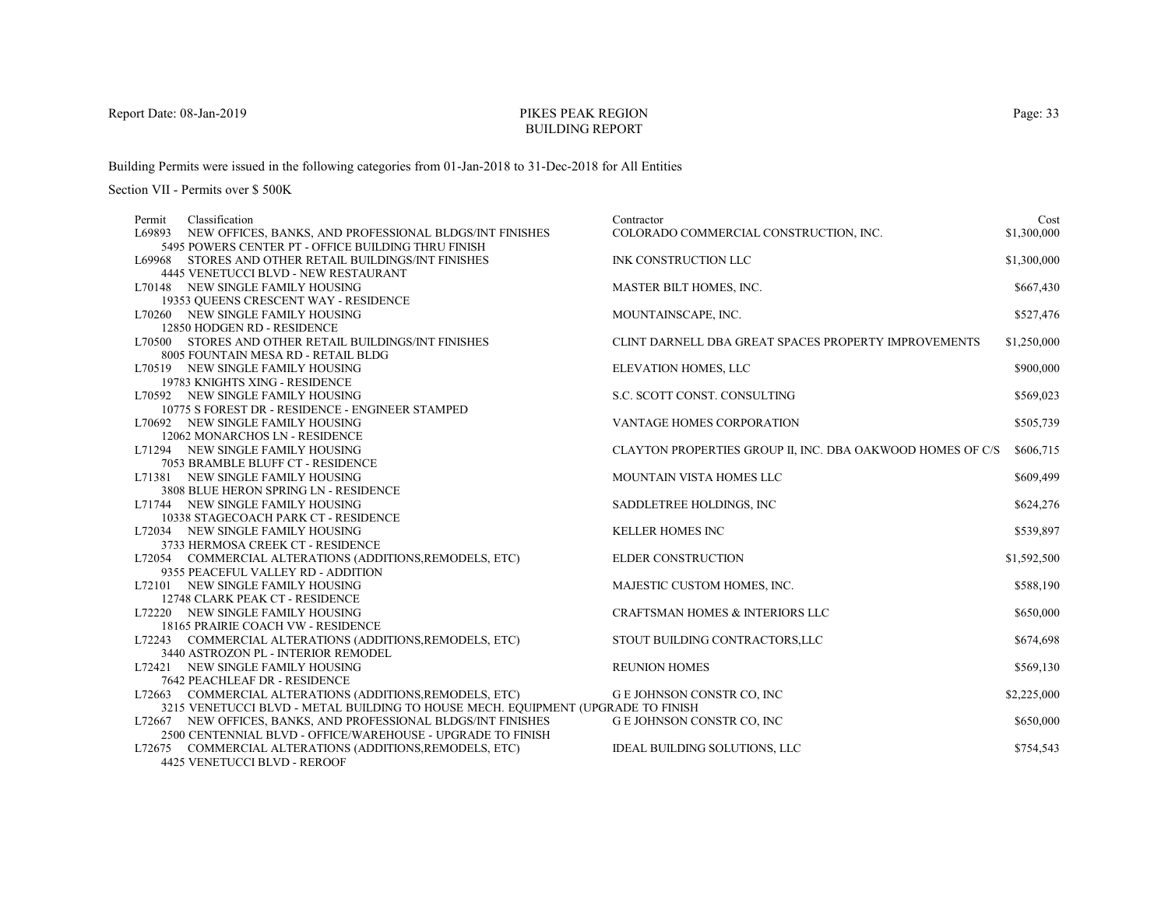# PIKES PEAK REGIONBUILDING REPORT

Building Permits were issued in the following categories from 01-Jan-2018 to 31-Dec-2018 for All Entities

Section VII - Permits over \$ 500K

| Permit | Classification                                                                   | Contractor                                                 | Cost        |
|--------|----------------------------------------------------------------------------------|------------------------------------------------------------|-------------|
| L69893 | NEW OFFICES, BANKS, AND PROFESSIONAL BLDGS/INT FINISHES                          | COLORADO COMMERCIAL CONSTRUCTION, INC.                     | \$1,300,000 |
|        | 5495 POWERS CENTER PT - OFFICE BUILDING THRU FINISH                              |                                                            |             |
|        | L69968 STORES AND OTHER RETAIL BUILDINGS/INT FINISHES                            | INK CONSTRUCTION LLC                                       | \$1,300,000 |
|        | 4445 VENETUCCI BLVD - NEW RESTAURANT                                             |                                                            |             |
|        | L70148 NEW SINGLE FAMILY HOUSING                                                 | MASTER BILT HOMES, INC.                                    | \$667,430   |
|        | 19353 OUEENS CRESCENT WAY - RESIDENCE                                            |                                                            |             |
|        | L70260 NEW SINGLE FAMILY HOUSING                                                 | MOUNTAINSCAPE, INC.                                        | \$527,476   |
|        | 12850 HODGEN RD - RESIDENCE                                                      |                                                            |             |
|        | L70500 STORES AND OTHER RETAIL BUILDINGS/INT FINISHES                            | CLINT DARNELL DBA GREAT SPACES PROPERTY IMPROVEMENTS       | \$1,250,000 |
|        | 8005 FOUNTAIN MESA RD - RETAIL BLDG                                              |                                                            |             |
|        | L70519 NEW SINGLE FAMILY HOUSING                                                 | ELEVATION HOMES, LLC                                       | \$900,000   |
|        | 19783 KNIGHTS XING - RESIDENCE                                                   |                                                            |             |
|        | L70592 NEW SINGLE FAMILY HOUSING                                                 | S.C. SCOTT CONST. CONSULTING                               | \$569,023   |
|        | 10775 S FOREST DR - RESIDENCE - ENGINEER STAMPED                                 |                                                            |             |
|        | L70692 NEW SINGLE FAMILY HOUSING                                                 | VANTAGE HOMES CORPORATION                                  | \$505,739   |
|        | 12062 MONARCHOS LN - RESIDENCE                                                   |                                                            |             |
|        | L71294 NEW SINGLE FAMILY HOUSING                                                 | CLAYTON PROPERTIES GROUP II, INC. DBA OAKWOOD HOMES OF C/S | \$606,715   |
|        | 7053 BRAMBLE BLUFF CT - RESIDENCE                                                |                                                            |             |
|        | L71381 NEW SINGLE FAMILY HOUSING                                                 | MOUNTAIN VISTA HOMES LLC                                   | \$609,499   |
|        | 3808 BLUE HERON SPRING LN - RESIDENCE                                            |                                                            |             |
|        | L71744 NEW SINGLE FAMILY HOUSING                                                 | SADDLETREE HOLDINGS, INC                                   | \$624,276   |
|        | 10338 STAGECOACH PARK CT - RESIDENCE                                             |                                                            |             |
|        | L72034 NEW SINGLE FAMILY HOUSING                                                 | <b>KELLER HOMES INC</b>                                    | \$539,897   |
|        | 3733 HERMOSA CREEK CT - RESIDENCE                                                |                                                            |             |
|        | L72054 COMMERCIAL ALTERATIONS (ADDITIONS, REMODELS, ETC)                         | <b>ELDER CONSTRUCTION</b>                                  | \$1,592,500 |
|        | 9355 PEACEFUL VALLEY RD - ADDITION                                               |                                                            |             |
|        | L72101 NEW SINGLE FAMILY HOUSING                                                 | MAJESTIC CUSTOM HOMES, INC.                                | \$588,190   |
|        | 12748 CLARK PEAK CT - RESIDENCE                                                  |                                                            |             |
|        | L72220 NEW SINGLE FAMILY HOUSING                                                 | CRAFTSMAN HOMES & INTERIORS LLC                            | \$650,000   |
|        | 18165 PRAIRIE COACH VW - RESIDENCE                                               |                                                            |             |
|        | L72243 COMMERCIAL ALTERATIONS (ADDITIONS, REMODELS, ETC)                         | STOUT BUILDING CONTRACTORS, LLC                            | \$674,698   |
|        | 3440 ASTROZON PL - INTERIOR REMODEL                                              |                                                            |             |
|        | L72421 NEW SINGLE FAMILY HOUSING                                                 | <b>REUNION HOMES</b>                                       | \$569,130   |
|        | 7642 PEACHLEAF DR - RESIDENCE                                                    |                                                            |             |
|        | L72663 COMMERCIAL ALTERATIONS (ADDITIONS, REMODELS, ETC)                         | G E JOHNSON CONSTR CO, INC                                 | \$2,225,000 |
|        | 3215 VENETUCCI BLVD - METAL BUILDING TO HOUSE MECH. EQUIPMENT (UPGRADE TO FINISH |                                                            |             |
|        | L72667 NEW OFFICES, BANKS, AND PROFESSIONAL BLDGS/INT FINISHES                   | G E JOHNSON CONSTR CO, INC                                 | \$650,000   |
|        | 2500 CENTENNIAL BLVD - OFFICE/WAREHOUSE - UPGRADE TO FINISH                      |                                                            |             |
|        | L72675 COMMERCIAL ALTERATIONS (ADDITIONS, REMODELS, ETC)                         | IDEAL BUILDING SOLUTIONS, LLC                              | \$754,543   |
|        | 4425 VENETUCCI BLVD - REROOF                                                     |                                                            |             |

Page: 33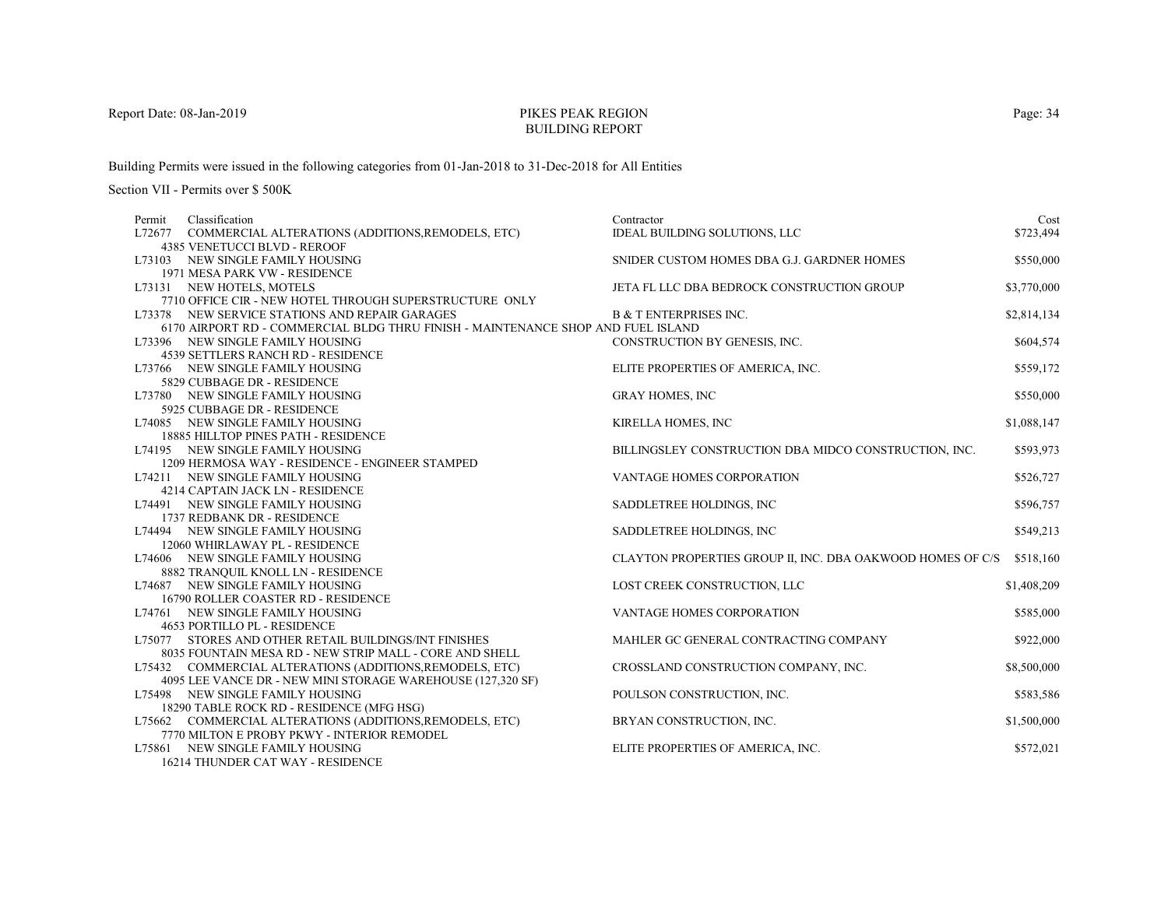# PIKES PEAK REGIONBUILDING REPORT

Building Permits were issued in the following categories from 01-Jan-2018 to 31-Dec-2018 for All Entities

Section VII - Permits over \$ 500K

| Permit | Classification                                                                   | Contractor                                                 | Cost        |
|--------|----------------------------------------------------------------------------------|------------------------------------------------------------|-------------|
| L72677 | COMMERCIAL ALTERATIONS (ADDITIONS, REMODELS, ETC)                                | IDEAL BUILDING SOLUTIONS, LLC                              | \$723,494   |
|        | 4385 VENETUCCI BLVD - REROOF                                                     |                                                            |             |
|        | L73103 NEW SINGLE FAMILY HOUSING                                                 | SNIDER CUSTOM HOMES DBA G.J. GARDNER HOMES                 | \$550,000   |
|        | 1971 MESA PARK VW - RESIDENCE                                                    |                                                            |             |
|        | L73131 NEW HOTELS, MOTELS                                                        | JETA FL LLC DBA BEDROCK CONSTRUCTION GROUP                 | \$3,770,000 |
|        | 7710 OFFICE CIR - NEW HOTEL THROUGH SUPERSTRUCTURE ONLY                          |                                                            |             |
|        | L73378 NEW SERVICE STATIONS AND REPAIR GARAGES                                   | <b>B &amp; T ENTERPRISES INC.</b>                          | \$2,814,134 |
|        | 6170 AIRPORT RD - COMMERCIAL BLDG THRU FINISH - MAINTENANCE SHOP AND FUEL ISLAND |                                                            |             |
|        | L73396 NEW SINGLE FAMILY HOUSING                                                 | CONSTRUCTION BY GENESIS, INC.                              | \$604,574   |
|        | 4539 SETTLERS RANCH RD - RESIDENCE                                               |                                                            |             |
|        | L73766 NEW SINGLE FAMILY HOUSING                                                 | ELITE PROPERTIES OF AMERICA, INC.                          | \$559,172   |
|        | 5829 CUBBAGE DR - RESIDENCE                                                      |                                                            |             |
|        | L73780 NEW SINGLE FAMILY HOUSING                                                 | <b>GRAY HOMES, INC</b>                                     | \$550,000   |
|        | 5925 CUBBAGE DR - RESIDENCE                                                      |                                                            |             |
|        | L74085 NEW SINGLE FAMILY HOUSING                                                 | KIRELLA HOMES, INC                                         | \$1,088,147 |
|        | <b>18885 HILLTOP PINES PATH - RESIDENCE</b>                                      |                                                            |             |
|        | L74195 NEW SINGLE FAMILY HOUSING                                                 | BILLINGSLEY CONSTRUCTION DBA MIDCO CONSTRUCTION, INC.      | \$593,973   |
|        | 1209 HERMOSA WAY - RESIDENCE - ENGINEER STAMPED                                  |                                                            |             |
|        | L74211 NEW SINGLE FAMILY HOUSING                                                 | VANTAGE HOMES CORPORATION                                  | \$526,727   |
|        | 4214 CAPTAIN JACK LN - RESIDENCE                                                 |                                                            |             |
|        | L74491 NEW SINGLE FAMILY HOUSING                                                 | SADDLETREE HOLDINGS, INC                                   | \$596,757   |
|        | 1737 REDBANK DR - RESIDENCE                                                      |                                                            |             |
|        | L74494 NEW SINGLE FAMILY HOUSING                                                 | SADDLETREE HOLDINGS, INC                                   | \$549,213   |
|        | 12060 WHIRLAWAY PL - RESIDENCE                                                   |                                                            |             |
|        | L74606 NEW SINGLE FAMILY HOUSING                                                 | CLAYTON PROPERTIES GROUP II, INC. DBA OAKWOOD HOMES OF C/S | \$518,160   |
|        | 8882 TRANQUIL KNOLL LN - RESIDENCE                                               |                                                            |             |
|        | L74687 NEW SINGLE FAMILY HOUSING                                                 | LOST CREEK CONSTRUCTION, LLC                               | \$1,408,209 |
|        | 16790 ROLLER COASTER RD - RESIDENCE                                              |                                                            |             |
|        | L74761 NEW SINGLE FAMILY HOUSING                                                 | VANTAGE HOMES CORPORATION                                  | \$585,000   |
|        | 4653 PORTILLO PL - RESIDENCE                                                     |                                                            |             |
|        | L75077 STORES AND OTHER RETAIL BUILDINGS/INT FINISHES                            | MAHLER GC GENERAL CONTRACTING COMPANY                      | \$922,000   |
|        | 8035 FOUNTAIN MESA RD - NEW STRIP MALL - CORE AND SHELL                          |                                                            |             |
|        | L75432 COMMERCIAL ALTERATIONS (ADDITIONS, REMODELS, ETC)                         | CROSSLAND CONSTRUCTION COMPANY, INC.                       | \$8,500,000 |
|        | 4095 LEE VANCE DR - NEW MINI STORAGE WAREHOUSE (127,320 SF)                      |                                                            |             |
|        | L75498 NEW SINGLE FAMILY HOUSING                                                 | POULSON CONSTRUCTION, INC.                                 | \$583,586   |
|        | 18290 TABLE ROCK RD - RESIDENCE (MFG HSG)                                        |                                                            |             |
|        | L75662 COMMERCIAL ALTERATIONS (ADDITIONS, REMODELS, ETC)                         | BRYAN CONSTRUCTION, INC.                                   | \$1,500,000 |
|        | 7770 MILTON E PROBY PKWY - INTERIOR REMODEL                                      |                                                            |             |
|        | L75861 NEW SINGLE FAMILY HOUSING<br>$1$ (214 THENIDED $CATWAX$ DECIDEMEN         | ELITE PROPERTIES OF AMERICA, INC.                          | \$572,021   |
|        |                                                                                  |                                                            |             |

16214 THUNDER CAT WAY - RESIDENCE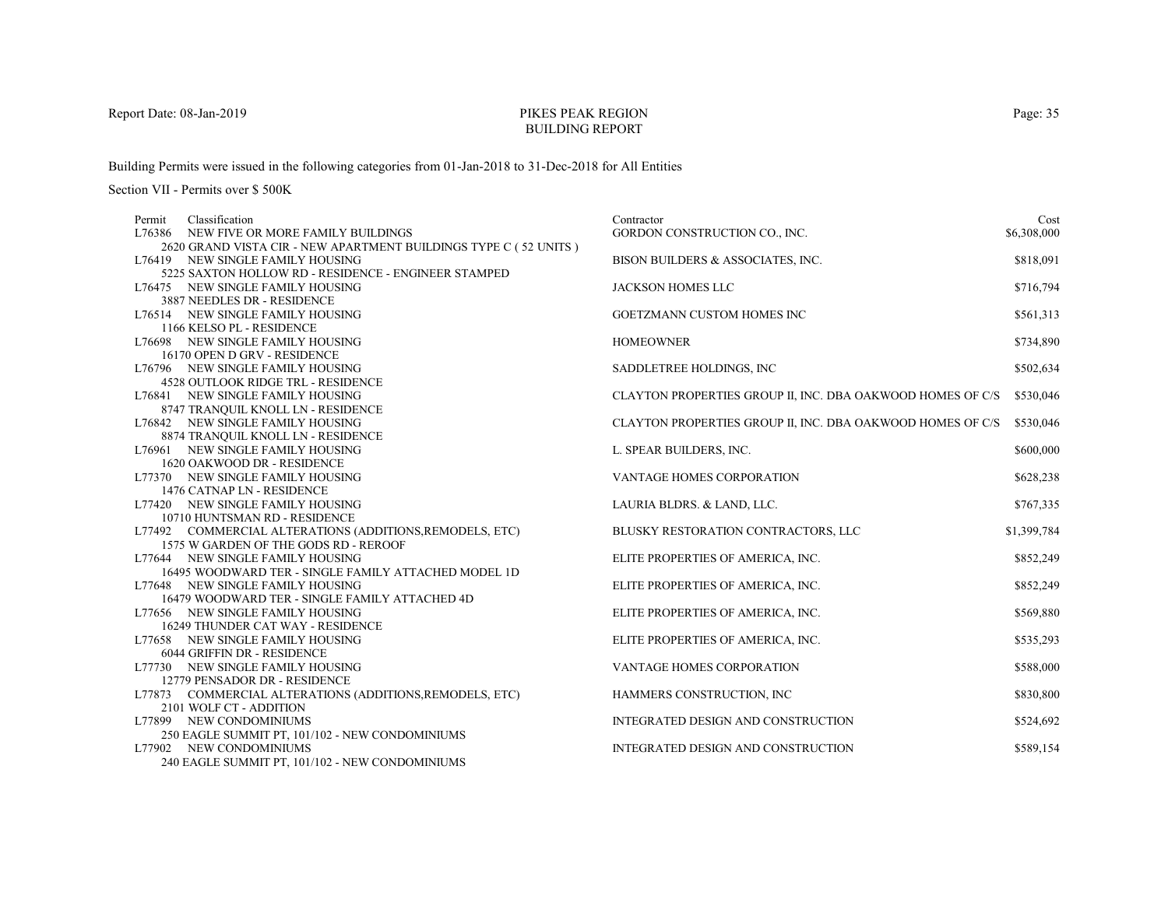# PIKES PEAK REGIONBUILDING REPORT

Building Permits were issued in the following categories from 01-Jan-2018 to 31-Dec-2018 for All Entities

| Permit | Classification                                                                      | Contractor                                                 | Cost        |
|--------|-------------------------------------------------------------------------------------|------------------------------------------------------------|-------------|
|        | L76386 NEW FIVE OR MORE FAMILY BUILDINGS                                            | GORDON CONSTRUCTION CO., INC.                              | \$6,308,000 |
|        | 2620 GRAND VISTA CIR - NEW APARTMENT BUILDINGS TYPE C (52 UNITS)                    |                                                            |             |
|        | L76419 NEW SINGLE FAMILY HOUSING                                                    | BISON BUILDERS & ASSOCIATES, INC.                          | \$818,091   |
|        | 5225 SAXTON HOLLOW RD - RESIDENCE - ENGINEER STAMPED                                |                                                            |             |
|        | L76475 NEW SINGLE FAMILY HOUSING                                                    | <b>JACKSON HOMES LLC</b>                                   | \$716,794   |
|        | 3887 NEEDLES DR - RESIDENCE                                                         |                                                            |             |
|        | L76514 NEW SINGLE FAMILY HOUSING                                                    | GOETZMANN CUSTOM HOMES INC                                 | \$561,313   |
|        | 1166 KELSO PL - RESIDENCE                                                           |                                                            |             |
|        | L76698 NEW SINGLE FAMILY HOUSING                                                    | <b>HOMEOWNER</b>                                           | \$734,890   |
|        | 16170 OPEN D GRV - RESIDENCE                                                        |                                                            |             |
|        | L76796 NEW SINGLE FAMILY HOUSING                                                    | SADDLETREE HOLDINGS, INC                                   | \$502,634   |
|        | <b>4528 OUTLOOK RIDGE TRL - RESIDENCE</b>                                           |                                                            |             |
|        | L76841 NEW SINGLE FAMILY HOUSING                                                    | CLAYTON PROPERTIES GROUP II, INC. DBA OAKWOOD HOMES OF C/S | \$530,046   |
|        | 8747 TRANQUIL KNOLL LN - RESIDENCE                                                  |                                                            |             |
|        | L76842 NEW SINGLE FAMILY HOUSING                                                    | CLAYTON PROPERTIES GROUP II, INC. DBA OAKWOOD HOMES OF C/S | \$530,046   |
|        | 8874 TRANQUIL KNOLL LN - RESIDENCE                                                  |                                                            |             |
|        | L76961 NEW SINGLE FAMILY HOUSING                                                    | L. SPEAR BUILDERS, INC.                                    | \$600,000   |
|        | 1620 OAKWOOD DR - RESIDENCE                                                         |                                                            |             |
|        | L77370 NEW SINGLE FAMILY HOUSING                                                    | VANTAGE HOMES CORPORATION                                  | \$628,238   |
|        | 1476 CATNAP LN - RESIDENCE                                                          |                                                            |             |
|        | L77420 NEW SINGLE FAMILY HOUSING                                                    | LAURIA BLDRS. & LAND, LLC.                                 | \$767,335   |
|        | 10710 HUNTSMAN RD - RESIDENCE                                                       |                                                            |             |
|        | L77492 COMMERCIAL ALTERATIONS (ADDITIONS, REMODELS, ETC)                            | BLUSKY RESTORATION CONTRACTORS, LLC                        | \$1,399,784 |
|        | 1575 W GARDEN OF THE GODS RD - REROOF                                               |                                                            |             |
|        | L77644 NEW SINGLE FAMILY HOUSING                                                    | ELITE PROPERTIES OF AMERICA, INC.                          | \$852,249   |
|        | 16495 WOODWARD TER - SINGLE FAMILY ATTACHED MODEL 1D                                |                                                            |             |
|        | L77648 NEW SINGLE FAMILY HOUSING                                                    | ELITE PROPERTIES OF AMERICA, INC.                          | \$852,249   |
|        | 16479 WOODWARD TER - SINGLE FAMILY ATTACHED 4D                                      |                                                            |             |
|        | L77656 NEW SINGLE FAMILY HOUSING                                                    | ELITE PROPERTIES OF AMERICA, INC.                          | \$569,880   |
|        | 16249 THUNDER CAT WAY - RESIDENCE                                                   |                                                            |             |
|        | L77658 NEW SINGLE FAMILY HOUSING                                                    | ELITE PROPERTIES OF AMERICA, INC.                          | \$535,293   |
|        | 6044 GRIFFIN DR - RESIDENCE                                                         |                                                            |             |
|        | L77730 NEW SINGLE FAMILY HOUSING                                                    | <b>VANTAGE HOMES CORPORATION</b>                           | \$588,000   |
|        | 12779 PENSADOR DR - RESIDENCE                                                       |                                                            | \$830,800   |
|        | L77873 COMMERCIAL ALTERATIONS (ADDITIONS, REMODELS, ETC)<br>2101 WOLF CT - ADDITION | HAMMERS CONSTRUCTION, INC                                  |             |
|        | L77899 NEW CONDOMINIUMS                                                             | INTEGRATED DESIGN AND CONSTRUCTION                         | \$524,692   |
|        | 250 EAGLE SUMMIT PT, 101/102 - NEW CONDOMINIUMS                                     |                                                            |             |
|        | L77902 NEW CONDOMINIUMS                                                             | INTEGRATED DESIGN AND CONSTRUCTION                         | \$589,154   |
|        | 240 EAGLE SUMMIT PT, 101/102 - NEW CONDOMINIUMS                                     |                                                            |             |
|        |                                                                                     |                                                            |             |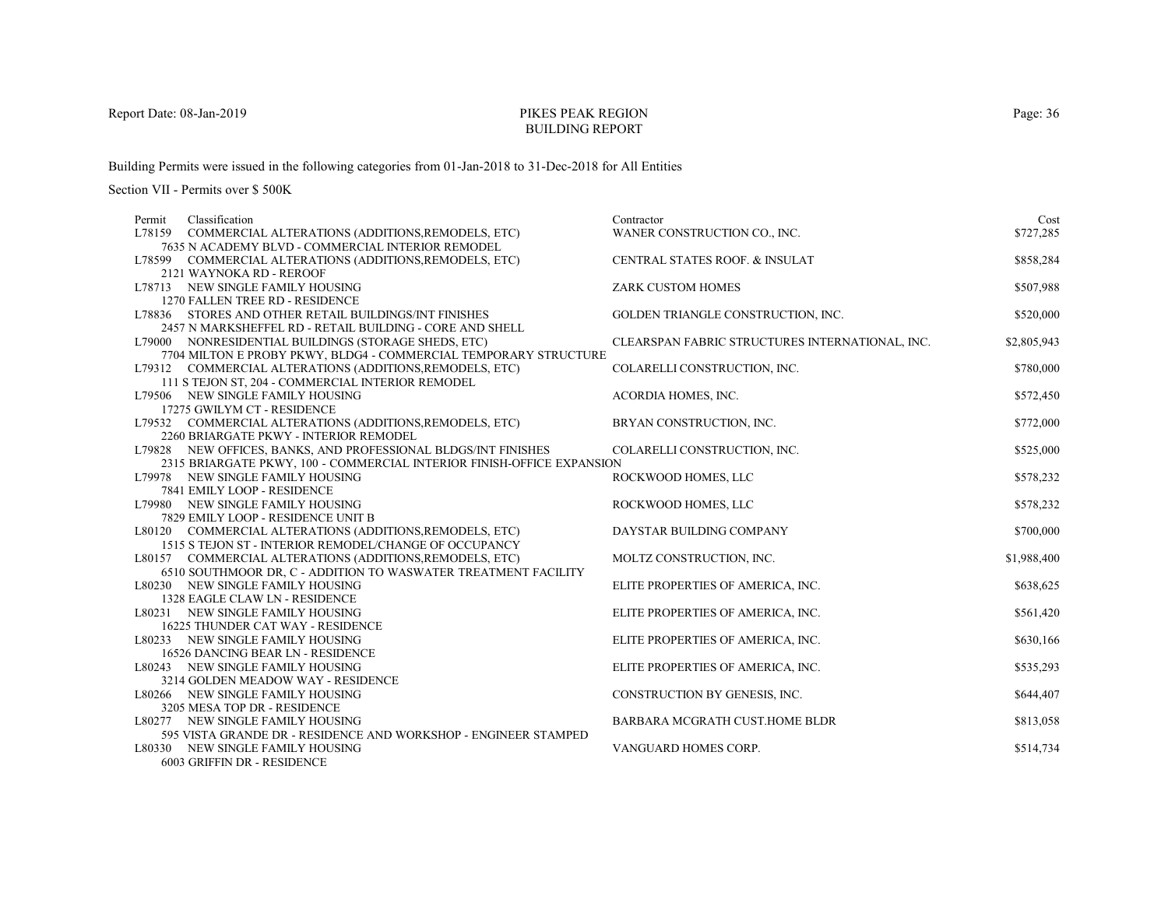# PIKES PEAK REGIONBUILDING REPORT

Building Permits were issued in the following categories from 01-Jan-2018 to 31-Dec-2018 for All Entities

Section VII - Permits over \$ 500K

| Permit | Classification                                                         | Contractor                                      | Cost        |
|--------|------------------------------------------------------------------------|-------------------------------------------------|-------------|
|        | L78159 COMMERCIAL ALTERATIONS (ADDITIONS, REMODELS, ETC)               | WANER CONSTRUCTION CO., INC.                    | \$727,285   |
|        | 7635 N ACADEMY BLVD - COMMERCIAL INTERIOR REMODEL                      |                                                 |             |
|        | L78599 COMMERCIAL ALTERATIONS (ADDITIONS, REMODELS, ETC)               | <b>CENTRAL STATES ROOF. &amp; INSULAT</b>       | \$858,284   |
|        | 2121 WAYNOKA RD - REROOF                                               |                                                 |             |
|        | L78713 NEW SINGLE FAMILY HOUSING                                       | ZARK CUSTOM HOMES                               | \$507,988   |
|        | 1270 FALLEN TREE RD - RESIDENCE                                        |                                                 |             |
|        | L78836 STORES AND OTHER RETAIL BUILDINGS/INT FINISHES                  | GOLDEN TRIANGLE CONSTRUCTION, INC.              | \$520,000   |
|        | 2457 N MARKSHEFFEL RD - RETAIL BUILDING - CORE AND SHELL               |                                                 |             |
|        | L79000 NONRESIDENTIAL BUILDINGS (STORAGE SHEDS, ETC)                   | CLEARSPAN FABRIC STRUCTURES INTERNATIONAL, INC. | \$2,805,943 |
|        | 7704 MILTON E PROBY PKWY, BLDG4 - COMMERCIAL TEMPORARY STRUCTURE       |                                                 |             |
|        | L79312 COMMERCIAL ALTERATIONS (ADDITIONS, REMODELS, ETC)               | COLARELLI CONSTRUCTION, INC.                    | \$780,000   |
|        | 111 S TEJON ST, 204 - COMMERCIAL INTERIOR REMODEL                      |                                                 |             |
|        | L79506 NEW SINGLE FAMILY HOUSING                                       | ACORDIA HOMES, INC.                             | \$572,450   |
|        | 17275 GWILYM CT - RESIDENCE                                            |                                                 |             |
|        | L79532 COMMERCIAL ALTERATIONS (ADDITIONS, REMODELS, ETC)               | BRYAN CONSTRUCTION, INC.                        | \$772,000   |
|        | 2260 BRIARGATE PKWY - INTERIOR REMODEL                                 |                                                 |             |
|        | L79828 NEW OFFICES, BANKS, AND PROFESSIONAL BLDGS/INT FINISHES         | COLARELLI CONSTRUCTION, INC.                    | \$525,000   |
|        | 2315 BRIARGATE PKWY, 100 - COMMERCIAL INTERIOR FINISH-OFFICE EXPANSION |                                                 |             |
|        | L79978 NEW SINGLE FAMILY HOUSING                                       | ROCKWOOD HOMES, LLC                             | \$578,232   |
|        | 7841 EMILY LOOP - RESIDENCE                                            |                                                 |             |
|        | L79980 NEW SINGLE FAMILY HOUSING                                       | ROCKWOOD HOMES, LLC                             | \$578,232   |
|        | 7829 EMILY LOOP - RESIDENCE UNIT B                                     |                                                 |             |
|        | L80120 COMMERCIAL ALTERATIONS (ADDITIONS, REMODELS, ETC)               | DAYSTAR BUILDING COMPANY                        | \$700,000   |
|        | 1515 S TEJON ST - INTERIOR REMODEL/CHANGE OF OCCUPANCY                 |                                                 |             |
|        | L80157 COMMERCIAL ALTERATIONS (ADDITIONS, REMODELS, ETC)               | MOLTZ CONSTRUCTION, INC.                        | \$1,988,400 |
|        | 6510 SOUTHMOOR DR, C - ADDITION TO WASWATER TREATMENT FACILITY         |                                                 |             |
|        | L80230 NEW SINGLE FAMILY HOUSING                                       | ELITE PROPERTIES OF AMERICA, INC.               | \$638,625   |
|        | 1328 EAGLE CLAW LN - RESIDENCE                                         |                                                 |             |
|        | L80231 NEW SINGLE FAMILY HOUSING<br>16225 THUNDER CAT WAY - RESIDENCE  | ELITE PROPERTIES OF AMERICA, INC.               | \$561,420   |
|        | L80233 NEW SINGLE FAMILY HOUSING                                       | ELITE PROPERTIES OF AMERICA, INC.               | \$630,166   |
|        | 16526 DANCING BEAR LN - RESIDENCE                                      |                                                 |             |
|        | L80243 NEW SINGLE FAMILY HOUSING                                       | ELITE PROPERTIES OF AMERICA, INC.               | \$535,293   |
|        | 3214 GOLDEN MEADOW WAY - RESIDENCE                                     |                                                 |             |
|        | L80266 NEW SINGLE FAMILY HOUSING                                       | CONSTRUCTION BY GENESIS, INC.                   | \$644,407   |
|        | 3205 MESA TOP DR - RESIDENCE                                           |                                                 |             |
|        | L80277 NEW SINGLE FAMILY HOUSING                                       | BARBARA MCGRATH CUST.HOME BLDR                  | \$813,058   |
|        | 595 VISTA GRANDE DR - RESIDENCE AND WORKSHOP - ENGINEER STAMPED        |                                                 |             |
|        | L80330 NEW SINGLE FAMILY HOUSING                                       | VANGUARD HOMES CORP.                            | \$514,734   |
|        | 6003 GRIFFIN DR - RESIDENCE                                            |                                                 |             |
|        |                                                                        |                                                 |             |

Page: 36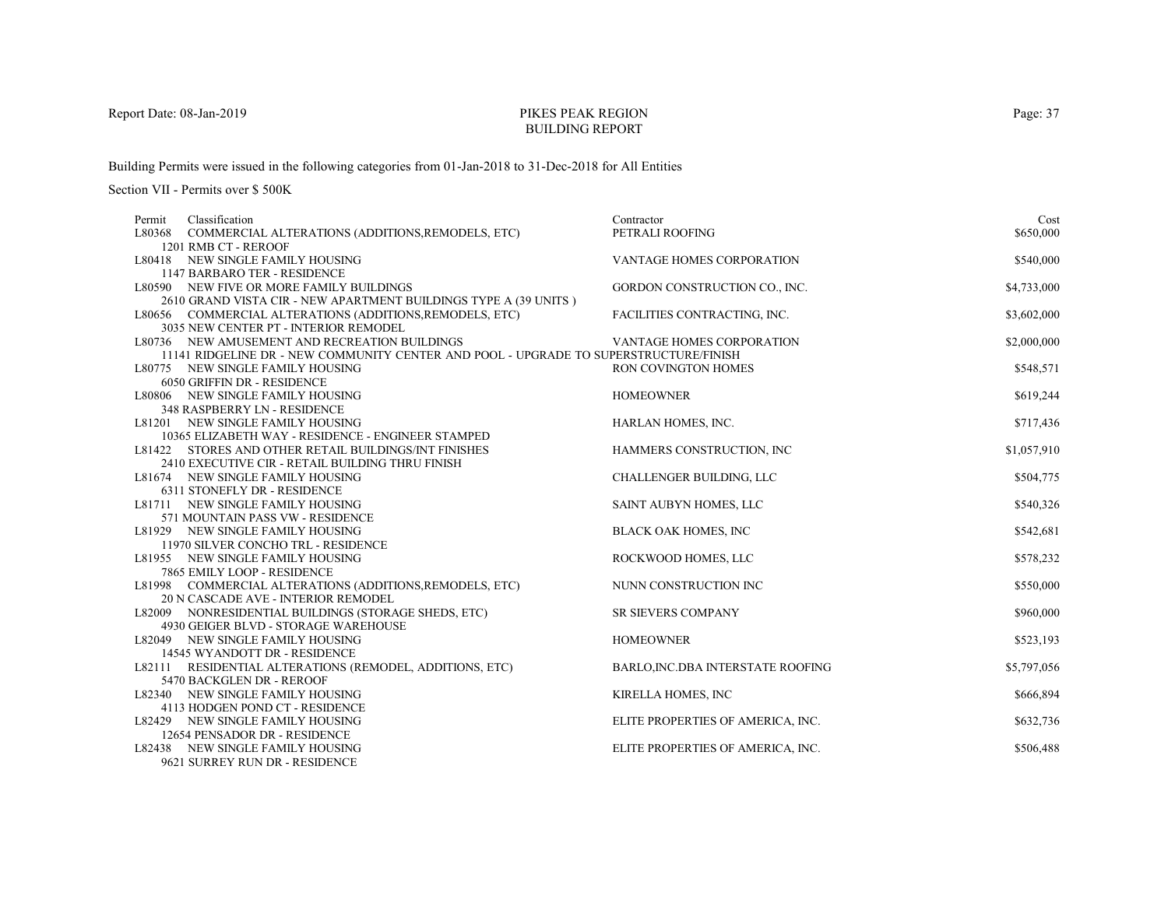# PIKES PEAK REGIONBUILDING REPORT

Building Permits were issued in the following categories from 01-Jan-2018 to 31-Dec-2018 for All Entities

| Classification<br>Permit                                                              | Contractor                        | Cost        |
|---------------------------------------------------------------------------------------|-----------------------------------|-------------|
| L80368 COMMERCIAL ALTERATIONS (ADDITIONS, REMODELS, ETC)                              | PETRALI ROOFING                   | \$650,000   |
| 1201 RMB CT - REROOF                                                                  |                                   |             |
| L80418 NEW SINGLE FAMILY HOUSING                                                      | VANTAGE HOMES CORPORATION         | \$540,000   |
| 1147 BARBARO TER - RESIDENCE                                                          |                                   |             |
| L80590 NEW FIVE OR MORE FAMILY BUILDINGS                                              | GORDON CONSTRUCTION CO., INC.     | \$4,733,000 |
| 2610 GRAND VISTA CIR - NEW APARTMENT BUILDINGS TYPE A (39 UNITS)                      |                                   |             |
| L80656 COMMERCIAL ALTERATIONS (ADDITIONS, REMODELS, ETC)                              | FACILITIES CONTRACTING, INC.      | \$3,602,000 |
| 3035 NEW CENTER PT - INTERIOR REMODEL                                                 |                                   |             |
| L80736 NEW AMUSEMENT AND RECREATION BUILDINGS                                         | <b>VANTAGE HOMES CORPORATION</b>  | \$2,000,000 |
| 11141 RIDGELINE DR - NEW COMMUNITY CENTER AND POOL - UPGRADE TO SUPERSTRUCTURE/FINISH |                                   |             |
| L80775 NEW SINGLE FAMILY HOUSING                                                      | <b>RON COVINGTON HOMES</b>        | \$548,571   |
| 6050 GRIFFIN DR - RESIDENCE                                                           |                                   |             |
| L80806 NEW SINGLE FAMILY HOUSING                                                      | <b>HOMEOWNER</b>                  | \$619,244   |
| 348 RASPBERRY LN - RESIDENCE                                                          |                                   |             |
| L81201 NEW SINGLE FAMILY HOUSING                                                      | HARLAN HOMES, INC.                | \$717,436   |
| 10365 ELIZABETH WAY - RESIDENCE - ENGINEER STAMPED                                    |                                   |             |
| L81422 STORES AND OTHER RETAIL BUILDINGS/INT FINISHES                                 | HAMMERS CONSTRUCTION, INC         | \$1,057,910 |
| 2410 EXECUTIVE CIR - RETAIL BUILDING THRU FINISH                                      |                                   |             |
| L81674 NEW SINGLE FAMILY HOUSING                                                      | CHALLENGER BUILDING, LLC          | \$504,775   |
| 6311 STONEFLY DR - RESIDENCE                                                          |                                   |             |
| L81711 NEW SINGLE FAMILY HOUSING<br>571 MOUNTAIN PASS VW - RESIDENCE                  | SAINT AUBYN HOMES, LLC            | \$540,326   |
| L81929 NEW SINGLE FAMILY HOUSING                                                      |                                   |             |
| 11970 SILVER CONCHO TRL - RESIDENCE                                                   | <b>BLACK OAK HOMES, INC</b>       | \$542,681   |
| L81955 NEW SINGLE FAMILY HOUSING                                                      | ROCKWOOD HOMES, LLC               | \$578,232   |
| 7865 EMILY LOOP - RESIDENCE                                                           |                                   |             |
| L81998 COMMERCIAL ALTERATIONS (ADDITIONS, REMODELS, ETC)                              | NUNN CONSTRUCTION INC             | \$550,000   |
| 20 N CASCADE AVE - INTERIOR REMODEL                                                   |                                   |             |
| L82009 NONRESIDENTIAL BUILDINGS (STORAGE SHEDS, ETC)                                  | <b>SR SIEVERS COMPANY</b>         | \$960,000   |
| 4930 GEIGER BLVD - STORAGE WAREHOUSE                                                  |                                   |             |
| L82049 NEW SINGLE FAMILY HOUSING                                                      | <b>HOMEOWNER</b>                  | \$523,193   |
| 14545 WYANDOTT DR - RESIDENCE                                                         |                                   |             |
| L82111 RESIDENTIAL ALTERATIONS (REMODEL, ADDITIONS, ETC)                              | BARLO, INC.DBA INTERSTATE ROOFING | \$5,797,056 |
| 5470 BACKGLEN DR - REROOF                                                             |                                   |             |
| L82340 NEW SINGLE FAMILY HOUSING                                                      | KIRELLA HOMES, INC                | \$666,894   |
| 4113 HODGEN POND CT - RESIDENCE                                                       |                                   |             |
| L82429 NEW SINGLE FAMILY HOUSING                                                      | ELITE PROPERTIES OF AMERICA, INC. | \$632,736   |
| 12654 PENSADOR DR - RESIDENCE                                                         |                                   |             |
| L82438 NEW SINGLE FAMILY HOUSING                                                      | ELITE PROPERTIES OF AMERICA, INC. | \$506,488   |
| 9621 SURREY RUN DR - RESIDENCE                                                        |                                   |             |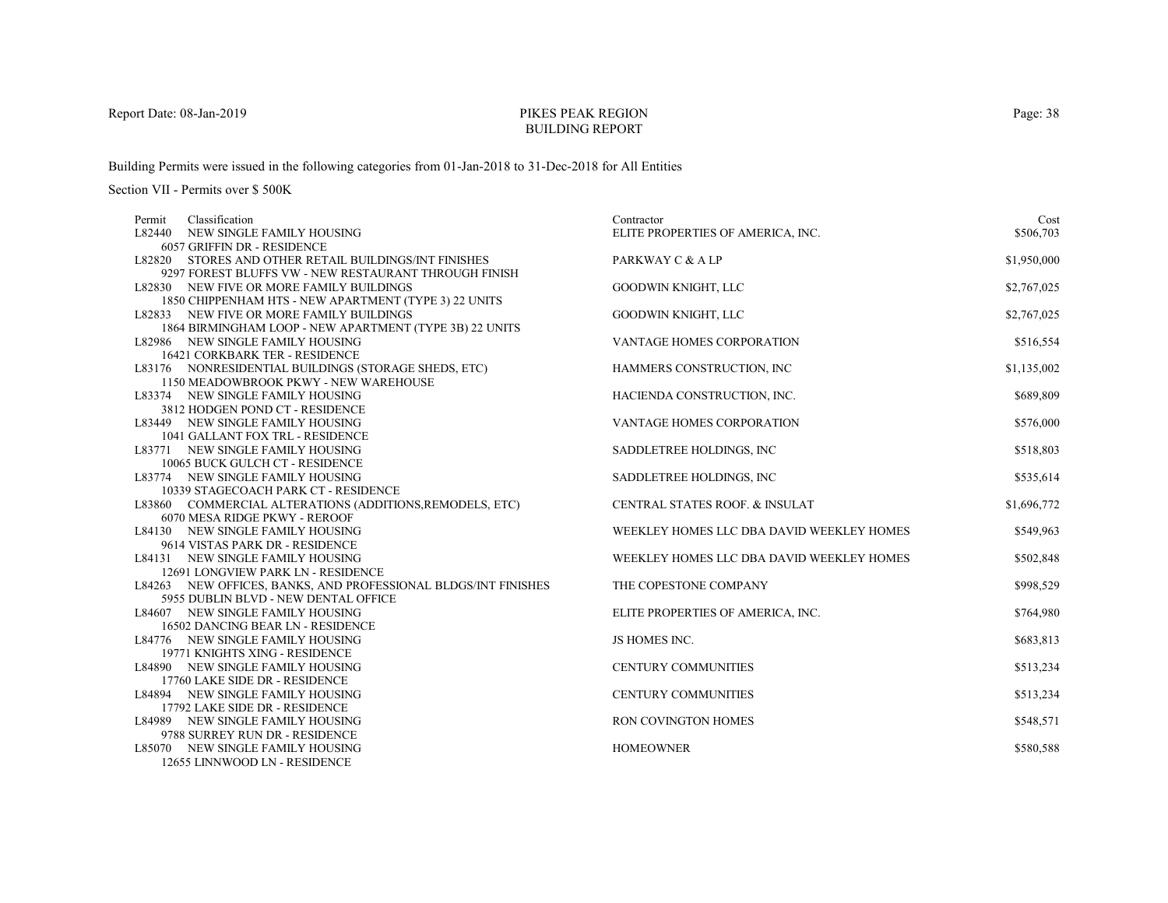# PIKES PEAK REGIONBUILDING REPORT

Building Permits were issued in the following categories from 01-Jan-2018 to 31-Dec-2018 for All Entities

| Classification<br>Permit                                                                  | Contractor                                | Cost        |
|-------------------------------------------------------------------------------------------|-------------------------------------------|-------------|
| L82440 NEW SINGLE FAMILY HOUSING                                                          | ELITE PROPERTIES OF AMERICA, INC.         | \$506,703   |
| 6057 GRIFFIN DR - RESIDENCE                                                               |                                           |             |
| L82820 STORES AND OTHER RETAIL BUILDINGS/INT FINISHES                                     | PARKWAY C & A LP                          | \$1,950,000 |
| 9297 FOREST BLUFFS VW - NEW RESTAURANT THROUGH FINISH                                     |                                           |             |
| L82830 NEW FIVE OR MORE FAMILY BUILDINGS                                                  | <b>GOODWIN KNIGHT, LLC</b>                | \$2,767,025 |
| 1850 CHIPPENHAM HTS - NEW APARTMENT (TYPE 3) 22 UNITS                                     |                                           |             |
| L82833 NEW FIVE OR MORE FAMILY BUILDINGS                                                  | GOODWIN KNIGHT, LLC                       | \$2,767,025 |
| 1864 BIRMINGHAM LOOP - NEW APARTMENT (TYPE 3B) 22 UNITS                                   |                                           |             |
| L82986 NEW SINGLE FAMILY HOUSING                                                          | <b>VANTAGE HOMES CORPORATION</b>          | \$516,554   |
| <b>16421 CORKBARK TER - RESIDENCE</b>                                                     |                                           |             |
| L83176 NONRESIDENTIAL BUILDINGS (STORAGE SHEDS, ETC)                                      | HAMMERS CONSTRUCTION, INC                 | \$1,135,002 |
| 1150 MEADOWBROOK PKWY - NEW WAREHOUSE                                                     |                                           |             |
| L83374 NEW SINGLE FAMILY HOUSING                                                          | HACIENDA CONSTRUCTION, INC.               | \$689,809   |
| 3812 HODGEN POND CT - RESIDENCE                                                           |                                           |             |
| L83449 NEW SINGLE FAMILY HOUSING                                                          | VANTAGE HOMES CORPORATION                 | \$576,000   |
| 1041 GALLANT FOX TRL - RESIDENCE                                                          |                                           |             |
| L83771 NEW SINGLE FAMILY HOUSING                                                          | SADDLETREE HOLDINGS, INC.                 | \$518,803   |
| 10065 BUCK GULCH CT - RESIDENCE                                                           |                                           |             |
| L83774 NEW SINGLE FAMILY HOUSING                                                          | SADDLETREE HOLDINGS, INC                  | \$535,614   |
| 10339 STAGECOACH PARK CT - RESIDENCE                                                      |                                           |             |
| L83860 COMMERCIAL ALTERATIONS (ADDITIONS, REMODELS, ETC)<br>6070 MESA RIDGE PKWY - REROOF | CENTRAL STATES ROOF. & INSULAT            | \$1,696,772 |
|                                                                                           |                                           |             |
| L84130 NEW SINGLE FAMILY HOUSING<br>9614 VISTAS PARK DR - RESIDENCE                       | WEEKLEY HOMES LLC DBA DAVID WEEKLEY HOMES | \$549,963   |
| L84131 NEW SINGLE FAMILY HOUSING                                                          | WEEKLEY HOMES LLC DBA DAVID WEEKLEY HOMES | \$502,848   |
| 12691 LONGVIEW PARK LN - RESIDENCE                                                        |                                           |             |
| L84263 NEW OFFICES, BANKS, AND PROFESSIONAL BLDGS/INT FINISHES                            | THE COPESTONE COMPANY                     | \$998,529   |
| 5955 DUBLIN BLVD - NEW DENTAL OFFICE                                                      |                                           |             |
| L84607 NEW SINGLE FAMILY HOUSING                                                          | ELITE PROPERTIES OF AMERICA, INC.         | \$764,980   |
| 16502 DANCING BEAR LN - RESIDENCE                                                         |                                           |             |
| L84776 NEW SINGLE FAMILY HOUSING                                                          | JS HOMES INC.                             | \$683,813   |
| 19771 KNIGHTS XING - RESIDENCE                                                            |                                           |             |
| L84890 NEW SINGLE FAMILY HOUSING                                                          | <b>CENTURY COMMUNITIES</b>                | \$513,234   |
| 17760 LAKE SIDE DR - RESIDENCE                                                            |                                           |             |
| L84894 NEW SINGLE FAMILY HOUSING                                                          | <b>CENTURY COMMUNITIES</b>                | \$513,234   |
| 17792 LAKE SIDE DR - RESIDENCE                                                            |                                           |             |
| L84989 NEW SINGLE FAMILY HOUSING                                                          | <b>RON COVINGTON HOMES</b>                | \$548,571   |
| 9788 SURREY RUN DR - RESIDENCE                                                            |                                           |             |
| L85070 NEW SINGLE FAMILY HOUSING                                                          | <b>HOMEOWNER</b>                          | \$580,588   |
| 12655 LINNWOOD LN - RESIDENCE                                                             |                                           |             |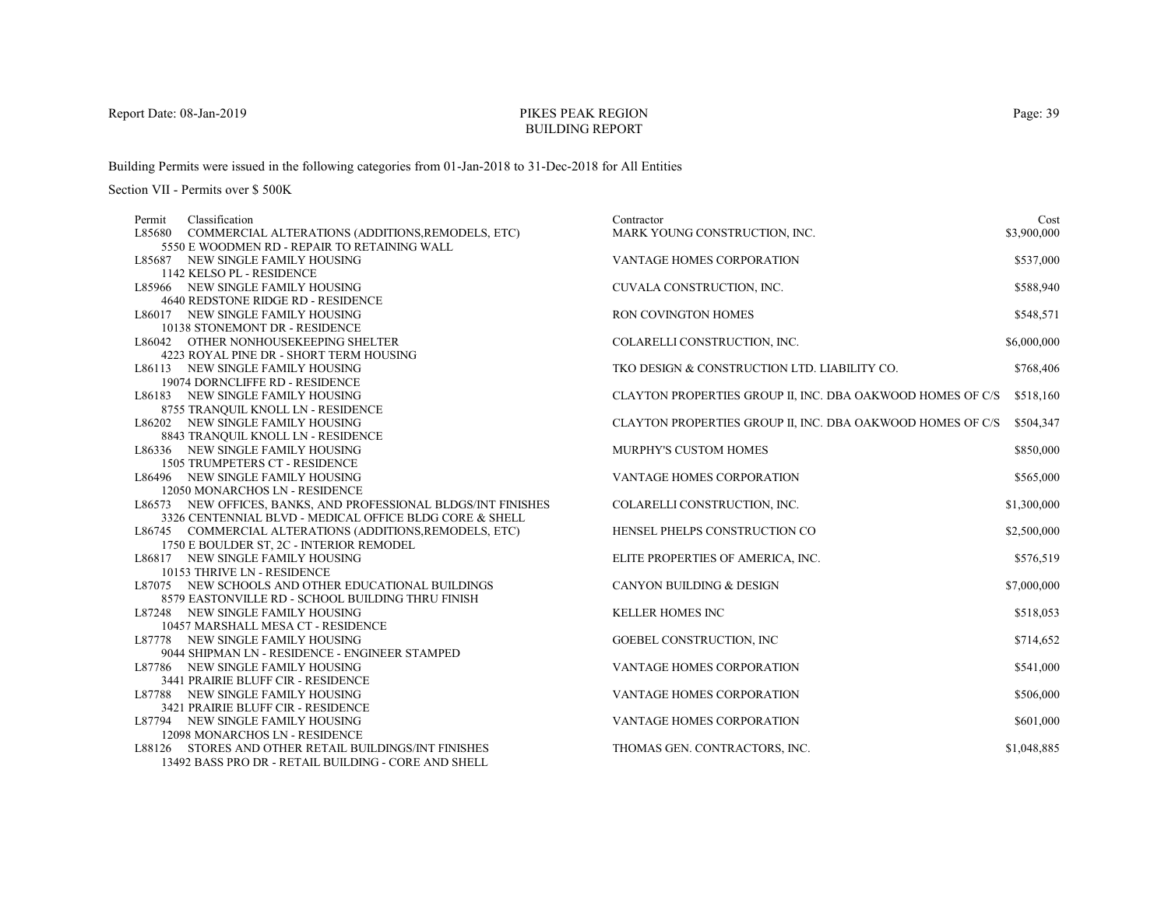# PIKES PEAK REGIONBUILDING REPORT

Building Permits were issued in the following categories from 01-Jan-2018 to 31-Dec-2018 for All Entities

| Permit | Classification                                                 | Contractor                                                 | Cost        |
|--------|----------------------------------------------------------------|------------------------------------------------------------|-------------|
|        | L85680 COMMERCIAL ALTERATIONS (ADDITIONS, REMODELS, ETC)       | MARK YOUNG CONSTRUCTION, INC.                              | \$3,900,000 |
|        | 5550 E WOODMEN RD - REPAIR TO RETAINING WALL                   |                                                            |             |
|        | L85687 NEW SINGLE FAMILY HOUSING                               | VANTAGE HOMES CORPORATION                                  | \$537,000   |
|        | 1142 KELSO PL - RESIDENCE                                      |                                                            |             |
|        | L85966 NEW SINGLE FAMILY HOUSING                               | CUVALA CONSTRUCTION, INC.                                  | \$588,940   |
|        | 4640 REDSTONE RIDGE RD - RESIDENCE                             |                                                            |             |
|        | L86017 NEW SINGLE FAMILY HOUSING                               | RON COVINGTON HOMES                                        | \$548,571   |
|        | 10138 STONEMONT DR - RESIDENCE                                 |                                                            |             |
|        | L86042 OTHER NONHOUSEKEEPING SHELTER                           | COLARELLI CONSTRUCTION, INC.                               | \$6,000,000 |
|        | 4223 ROYAL PINE DR - SHORT TERM HOUSING                        |                                                            |             |
|        | L86113 NEW SINGLE FAMILY HOUSING                               | TKO DESIGN & CONSTRUCTION LTD. LIABILITY CO.               | \$768,406   |
|        | 19074 DORNCLIFFE RD - RESIDENCE                                |                                                            |             |
|        | L86183 NEW SINGLE FAMILY HOUSING                               | CLAYTON PROPERTIES GROUP II, INC. DBA OAKWOOD HOMES OF C/S | \$518,160   |
|        | 8755 TRANQUIL KNOLL LN - RESIDENCE                             |                                                            |             |
|        | L86202 NEW SINGLE FAMILY HOUSING                               | CLAYTON PROPERTIES GROUP II, INC. DBA OAKWOOD HOMES OF C/S | \$504,347   |
|        | 8843 TRANQUIL KNOLL LN - RESIDENCE                             |                                                            |             |
|        | L86336 NEW SINGLE FAMILY HOUSING                               | MURPHY'S CUSTOM HOMES                                      | \$850,000   |
|        | 1505 TRUMPETERS CT - RESIDENCE                                 |                                                            |             |
|        | L86496 NEW SINGLE FAMILY HOUSING                               | VANTAGE HOMES CORPORATION                                  | \$565,000   |
|        | 12050 MONARCHOS LN - RESIDENCE                                 |                                                            |             |
|        | L86573 NEW OFFICES, BANKS, AND PROFESSIONAL BLDGS/INT FINISHES | COLARELLI CONSTRUCTION, INC.                               | \$1,300,000 |
|        | 3326 CENTENNIAL BLVD - MEDICAL OFFICE BLDG CORE & SHELL        |                                                            |             |
|        | L86745 COMMERCIAL ALTERATIONS (ADDITIONS, REMODELS, ETC)       | HENSEL PHELPS CONSTRUCTION CO                              | \$2,500,000 |
|        | 1750 E BOULDER ST, 2C - INTERIOR REMODEL                       |                                                            |             |
|        | L86817 NEW SINGLE FAMILY HOUSING                               | ELITE PROPERTIES OF AMERICA, INC.                          | \$576,519   |
|        | 10153 THRIVE LN - RESIDENCE                                    |                                                            |             |
|        | L87075 NEW SCHOOLS AND OTHER EDUCATIONAL BUILDINGS             | <b>CANYON BUILDING &amp; DESIGN</b>                        | \$7,000,000 |
|        | 8579 EASTONVILLE RD - SCHOOL BUILDING THRU FINISH              |                                                            |             |
|        | L87248 NEW SINGLE FAMILY HOUSING                               | <b>KELLER HOMES INC</b>                                    | \$518,053   |
|        | 10457 MARSHALL MESA CT - RESIDENCE                             |                                                            |             |
|        | L87778 NEW SINGLE FAMILY HOUSING                               | GOEBEL CONSTRUCTION, INC                                   | \$714,652   |
|        | 9044 SHIPMAN LN - RESIDENCE - ENGINEER STAMPED                 |                                                            |             |
|        | L87786 NEW SINGLE FAMILY HOUSING                               | VANTAGE HOMES CORPORATION                                  | \$541,000   |
|        | 3441 PRAIRIE BLUFF CIR - RESIDENCE                             |                                                            |             |
|        | L87788 NEW SINGLE FAMILY HOUSING                               | VANTAGE HOMES CORPORATION                                  | \$506,000   |
|        | 3421 PRAIRIE BLUFF CIR - RESIDENCE                             |                                                            |             |
|        | L87794 NEW SINGLE FAMILY HOUSING                               | VANTAGE HOMES CORPORATION                                  | \$601,000   |
|        | 12098 MONARCHOS LN - RESIDENCE                                 |                                                            |             |
|        | L88126 STORES AND OTHER RETAIL BUILDINGS/INT FINISHES          | THOMAS GEN. CONTRACTORS, INC.                              | \$1,048,885 |
|        | 13492 BASS PRO DR - RETAIL BUILDING - CORE AND SHELL           |                                                            |             |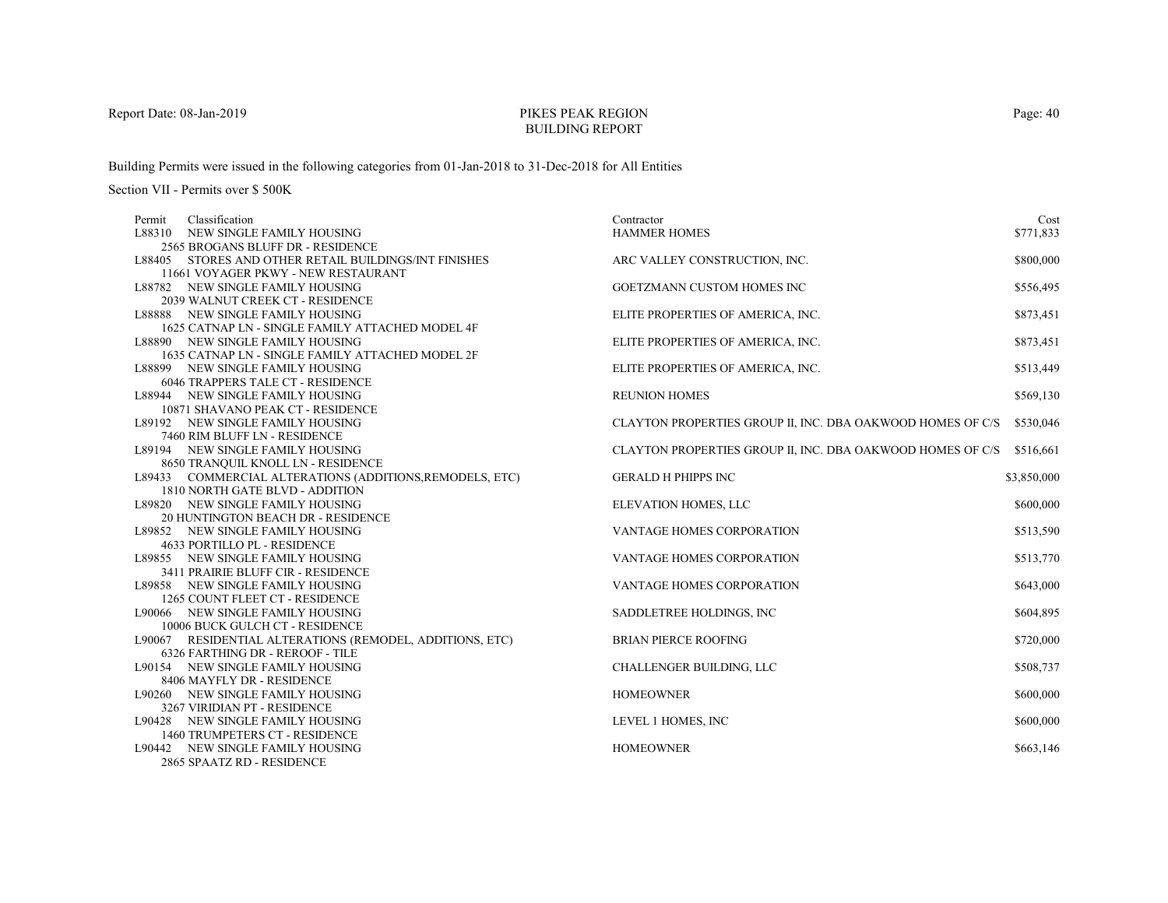# PIKES PEAK REGIONBUILDING REPORT

Building Permits were issued in the following categories from 01-Jan-2018 to 31-Dec-2018 for All Entities

| Permit | Classification                                           | Contractor                                                 | Cost        |
|--------|----------------------------------------------------------|------------------------------------------------------------|-------------|
| L88310 | NEW SINGLE FAMILY HOUSING                                | <b>HAMMER HOMES</b>                                        | \$771,833   |
|        | 2565 BROGANS BLUFF DR - RESIDENCE                        |                                                            |             |
|        | L88405 STORES AND OTHER RETAIL BUILDINGS/INT FINISHES    | ARC VALLEY CONSTRUCTION, INC.                              | \$800,000   |
|        | 11661 VOYAGER PKWY - NEW RESTAURANT                      |                                                            |             |
|        | L88782 NEW SINGLE FAMILY HOUSING                         | GOETZMANN CUSTOM HOMES INC                                 | \$556,495   |
|        | 2039 WALNUT CREEK CT - RESIDENCE                         |                                                            |             |
|        | L88888 NEW SINGLE FAMILY HOUSING                         | ELITE PROPERTIES OF AMERICA, INC.                          | \$873,451   |
|        | 1625 CATNAP LN - SINGLE FAMILY ATTACHED MODEL 4F         |                                                            |             |
|        | L88890 NEW SINGLE FAMILY HOUSING                         | ELITE PROPERTIES OF AMERICA, INC.                          | \$873,451   |
|        | 1635 CATNAP LN - SINGLE FAMILY ATTACHED MODEL 2F         |                                                            |             |
|        | L88899 NEW SINGLE FAMILY HOUSING                         | ELITE PROPERTIES OF AMERICA, INC.                          | \$513,449   |
|        | <b>6046 TRAPPERS TALE CT - RESIDENCE</b>                 |                                                            |             |
|        | L88944 NEW SINGLE FAMILY HOUSING                         | <b>REUNION HOMES</b>                                       | \$569,130   |
|        | 10871 SHAVANO PEAK CT - RESIDENCE                        |                                                            |             |
|        | L89192 NEW SINGLE FAMILY HOUSING                         | CLAYTON PROPERTIES GROUP II, INC. DBA OAKWOOD HOMES OF C/S | \$530,046   |
|        | 7460 RIM BLUFF LN - RESIDENCE                            |                                                            |             |
|        | L89194 NEW SINGLE FAMILY HOUSING                         | CLAYTON PROPERTIES GROUP II, INC. DBA OAKWOOD HOMES OF C/S | \$516,661   |
|        | 8650 TRANQUIL KNOLL LN - RESIDENCE                       |                                                            |             |
|        | L89433 COMMERCIAL ALTERATIONS (ADDITIONS, REMODELS, ETC) | <b>GERALD H PHIPPS INC</b>                                 | \$3,850,000 |
|        | 1810 NORTH GATE BLVD - ADDITION                          |                                                            |             |
|        | L89820 NEW SINGLE FAMILY HOUSING                         | ELEVATION HOMES, LLC                                       | \$600,000   |
|        | 20 HUNTINGTON BEACH DR - RESIDENCE                       |                                                            |             |
|        | L89852 NEW SINGLE FAMILY HOUSING                         | VANTAGE HOMES CORPORATION                                  | \$513,590   |
|        | 4633 PORTILLO PL - RESIDENCE                             |                                                            |             |
|        | L89855 NEW SINGLE FAMILY HOUSING                         | VANTAGE HOMES CORPORATION                                  | \$513,770   |
|        | 3411 PRAIRIE BLUFF CIR - RESIDENCE                       |                                                            |             |
|        | L89858 NEW SINGLE FAMILY HOUSING                         | <b>VANTAGE HOMES CORPORATION</b>                           | \$643,000   |
|        | 1265 COUNT FLEET CT - RESIDENCE                          |                                                            |             |
|        | L90066 NEW SINGLE FAMILY HOUSING                         | SADDLETREE HOLDINGS, INC                                   | \$604,895   |
|        | 10006 BUCK GULCH CT - RESIDENCE                          |                                                            |             |
|        | L90067 RESIDENTIAL ALTERATIONS (REMODEL, ADDITIONS, ETC) | <b>BRIAN PIERCE ROOFING</b>                                | \$720,000   |
|        | 6326 FARTHING DR - REROOF - TILE                         |                                                            |             |
|        | L90154 NEW SINGLE FAMILY HOUSING                         | CHALLENGER BUILDING, LLC                                   | \$508,737   |
|        | 8406 MAYFLY DR - RESIDENCE                               |                                                            |             |
|        | L90260 NEW SINGLE FAMILY HOUSING                         | <b>HOMEOWNER</b>                                           | \$600,000   |
|        | 3267 VIRIDIAN PT - RESIDENCE                             |                                                            |             |
|        | L90428 NEW SINGLE FAMILY HOUSING                         | LEVEL 1 HOMES, INC                                         | \$600,000   |
|        | 1460 TRUMPETERS CT - RESIDENCE                           |                                                            |             |
|        | L90442 NEW SINGLE FAMILY HOUSING                         | <b>HOMEOWNER</b>                                           | \$663,146   |
|        | 2865 SPAATZ RD - RESIDENCE                               |                                                            |             |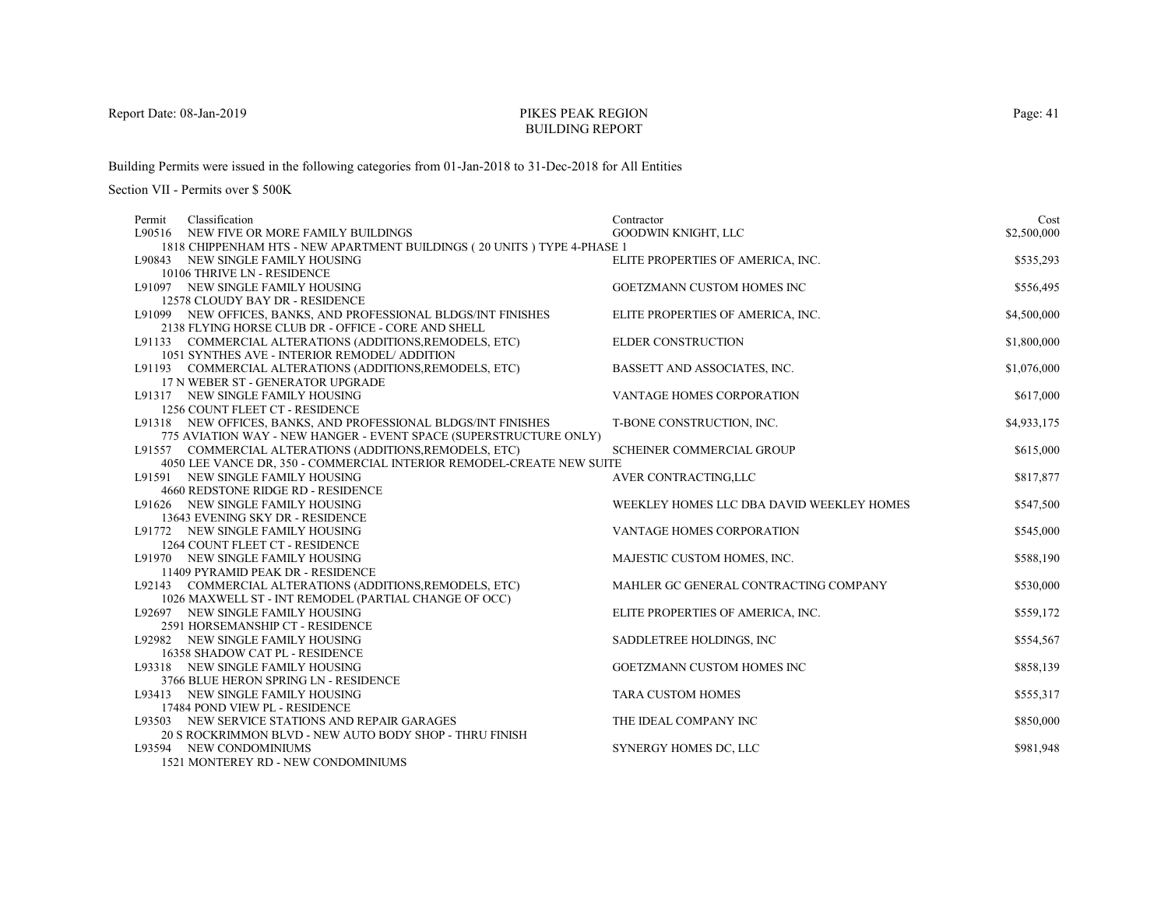# PIKES PEAK REGIONBUILDING REPORT

Building Permits were issued in the following categories from 01-Jan-2018 to 31-Dec-2018 for All Entities

Section VII - Permits over \$ 500K

| Classification<br>Permit                                                 | Contractor                                | Cost        |
|--------------------------------------------------------------------------|-------------------------------------------|-------------|
| L90516 NEW FIVE OR MORE FAMILY BUILDINGS                                 | GOODWIN KNIGHT, LLC                       | \$2,500,000 |
| 1818 CHIPPENHAM HTS - NEW APARTMENT BUILDINGS (20 UNITS ) TYPE 4-PHASE 1 |                                           |             |
| L90843 NEW SINGLE FAMILY HOUSING                                         | ELITE PROPERTIES OF AMERICA, INC.         | \$535,293   |
| 10106 THRIVE LN - RESIDENCE                                              |                                           |             |
| L91097 NEW SINGLE FAMILY HOUSING                                         | GOETZMANN CUSTOM HOMES INC                | \$556,495   |
| 12578 CLOUDY BAY DR - RESIDENCE                                          |                                           |             |
| L91099 NEW OFFICES, BANKS, AND PROFESSIONAL BLDGS/INT FINISHES           | ELITE PROPERTIES OF AMERICA, INC.         | \$4,500,000 |
| 2138 FLYING HORSE CLUB DR - OFFICE - CORE AND SHELL                      |                                           |             |
| L91133 COMMERCIAL ALTERATIONS (ADDITIONS, REMODELS, ETC)                 | ELDER CONSTRUCTION                        | \$1,800,000 |
| 1051 SYNTHES AVE - INTERIOR REMODEL/ ADDITION                            |                                           |             |
| L91193 COMMERCIAL ALTERATIONS (ADDITIONS, REMODELS, ETC)                 | BASSETT AND ASSOCIATES, INC.              | \$1,076,000 |
| 17 N WEBER ST - GENERATOR UPGRADE                                        |                                           |             |
| L91317 NEW SINGLE FAMILY HOUSING                                         | VANTAGE HOMES CORPORATION                 | \$617,000   |
| 1256 COUNT FLEET CT - RESIDENCE                                          |                                           |             |
| L91318 NEW OFFICES, BANKS, AND PROFESSIONAL BLDGS/INT FINISHES           | T-BONE CONSTRUCTION, INC.                 | \$4,933,175 |
| 775 AVIATION WAY - NEW HANGER - EVENT SPACE (SUPERSTRUCTURE ONLY)        |                                           |             |
| L91557 COMMERCIAL ALTERATIONS (ADDITIONS, REMODELS, ETC)                 | <b>SCHEINER COMMERCIAL GROUP</b>          | \$615,000   |
| 4050 LEE VANCE DR, 350 - COMMERCIAL INTERIOR REMODEL-CREATE NEW SUITE    |                                           |             |
| L91591 NEW SINGLE FAMILY HOUSING                                         | AVER CONTRACTING,LLC                      | \$817,877   |
| 4660 REDSTONE RIDGE RD - RESIDENCE                                       |                                           |             |
| L91626 NEW SINGLE FAMILY HOUSING                                         | WEEKLEY HOMES LLC DBA DAVID WEEKLEY HOMES | \$547,500   |
| 13643 EVENING SKY DR - RESIDENCE                                         |                                           |             |
| L91772 NEW SINGLE FAMILY HOUSING                                         | VANTAGE HOMES CORPORATION                 | \$545,000   |
| 1264 COUNT FLEET CT - RESIDENCE                                          |                                           |             |
| L91970 NEW SINGLE FAMILY HOUSING                                         | MAJESTIC CUSTOM HOMES, INC.               | \$588,190   |
| 11409 PYRAMID PEAK DR - RESIDENCE                                        |                                           |             |
| L92143 COMMERCIAL ALTERATIONS (ADDITIONS, REMODELS, ETC)                 | MAHLER GC GENERAL CONTRACTING COMPANY     | \$530,000   |
| 1026 MAXWELL ST - INT REMODEL (PARTIAL CHANGE OF OCC)                    |                                           |             |
| L92697 NEW SINGLE FAMILY HOUSING                                         | ELITE PROPERTIES OF AMERICA, INC.         | \$559,172   |
| 2591 HORSEMANSHIP CT - RESIDENCE                                         |                                           |             |
| L92982 NEW SINGLE FAMILY HOUSING                                         | SADDLETREE HOLDINGS, INC                  | \$554,567   |
| 16358 SHADOW CAT PL - RESIDENCE                                          |                                           |             |
| L93318 NEW SINGLE FAMILY HOUSING                                         | GOETZMANN CUSTOM HOMES INC                | \$858,139   |
| 3766 BLUE HERON SPRING LN - RESIDENCE                                    | <b>TARA CUSTOM HOMES</b>                  | \$555,317   |
| L93413 NEW SINGLE FAMILY HOUSING<br>17484 POND VIEW PL - RESIDENCE       |                                           |             |
| L93503 NEW SERVICE STATIONS AND REPAIR GARAGES                           | THE IDEAL COMPANY INC                     | \$850,000   |
| 20 S ROCKRIMMON BLVD - NEW AUTO BODY SHOP - THRU FINISH                  |                                           |             |
| L93594 NEW CONDOMINIUMS                                                  | SYNERGY HOMES DC, LLC                     | \$981,948   |
| 1521 MONTEREN RD. MEW COMPOMINIE MC                                      |                                           |             |

1521 MONTEREY RD - NEW CONDOMINIUMS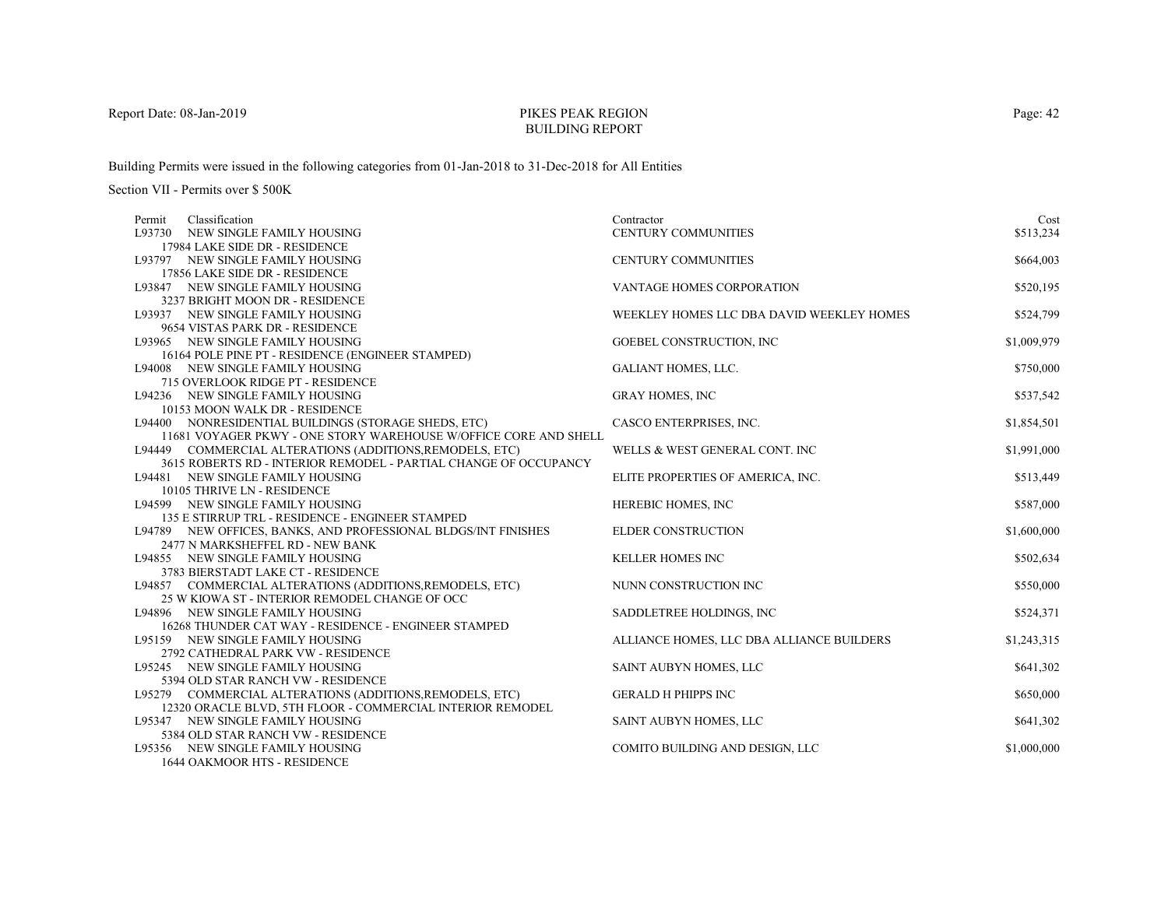# PIKES PEAK REGIONBUILDING REPORT

Building Permits were issued in the following categories from 01-Jan-2018 to 31-Dec-2018 for All Entities

| Permit | Classification                                                                                                               | Contractor                                | Cost        |
|--------|------------------------------------------------------------------------------------------------------------------------------|-------------------------------------------|-------------|
|        | L93730 NEW SINGLE FAMILY HOUSING                                                                                             | CENTURY COMMUNITIES                       | \$513,234   |
|        | 17984 LAKE SIDE DR - RESIDENCE                                                                                               |                                           |             |
|        | L93797 NEW SINGLE FAMILY HOUSING                                                                                             | <b>CENTURY COMMUNITIES</b>                | \$664,003   |
|        | 17856 LAKE SIDE DR - RESIDENCE                                                                                               |                                           |             |
|        | L93847 NEW SINGLE FAMILY HOUSING                                                                                             | <b>VANTAGE HOMES CORPORATION</b>          | \$520,195   |
|        | 3237 BRIGHT MOON DR - RESIDENCE                                                                                              |                                           |             |
|        | L93937 NEW SINGLE FAMILY HOUSING                                                                                             | WEEKLEY HOMES LLC DBA DAVID WEEKLEY HOMES | \$524,799   |
|        | 9654 VISTAS PARK DR - RESIDENCE                                                                                              |                                           |             |
|        | L93965 NEW SINGLE FAMILY HOUSING                                                                                             | GOEBEL CONSTRUCTION, INC                  | \$1,009,979 |
|        | 16164 POLE PINE PT - RESIDENCE (ENGINEER STAMPED)                                                                            |                                           |             |
|        | L94008 NEW SINGLE FAMILY HOUSING                                                                                             | <b>GALIANT HOMES, LLC.</b>                | \$750,000   |
|        | 715 OVERLOOK RIDGE PT - RESIDENCE                                                                                            |                                           |             |
|        | L94236 NEW SINGLE FAMILY HOUSING                                                                                             | <b>GRAY HOMES, INC</b>                    | \$537,542   |
|        | 10153 MOON WALK DR - RESIDENCE                                                                                               |                                           |             |
|        | L94400 NONRESIDENTIAL BUILDINGS (STORAGE SHEDS, ETC)                                                                         | CASCO ENTERPRISES, INC.                   | \$1,854,501 |
|        | 11681 VOYAGER PKWY - ONE STORY WAREHOUSE W/OFFICE CORE AND SHELL<br>L94449 COMMERCIAL ALTERATIONS (ADDITIONS, REMODELS, ETC) | WELLS & WEST GENERAL CONT. INC            | \$1,991,000 |
|        | 3615 ROBERTS RD - INTERIOR REMODEL - PARTIAL CHANGE OF OCCUPANCY                                                             |                                           |             |
|        | L94481 NEW SINGLE FAMILY HOUSING                                                                                             | ELITE PROPERTIES OF AMERICA, INC.         | \$513,449   |
|        | 10105 THRIVE LN - RESIDENCE                                                                                                  |                                           |             |
|        | L94599 NEW SINGLE FAMILY HOUSING                                                                                             | HEREBIC HOMES, INC                        | \$587,000   |
|        | 135 E STIRRUP TRL - RESIDENCE - ENGINEER STAMPED                                                                             |                                           |             |
|        | L94789 NEW OFFICES, BANKS, AND PROFESSIONAL BLDGS/INT FINISHES                                                               | <b>ELDER CONSTRUCTION</b>                 | \$1,600,000 |
|        | 2477 N MARKSHEFFEL RD - NEW BANK                                                                                             |                                           |             |
|        | L94855 NEW SINGLE FAMILY HOUSING                                                                                             | KELLER HOMES INC                          | \$502,634   |
|        | 3783 BIERSTADT LAKE CT - RESIDENCE                                                                                           |                                           |             |
|        | L94857 COMMERCIAL ALTERATIONS (ADDITIONS, REMODELS, ETC)                                                                     | NUNN CONSTRUCTION INC                     | \$550,000   |
|        | 25 W KIOWA ST - INTERIOR REMODEL CHANGE OF OCC                                                                               |                                           |             |
|        | L94896 NEW SINGLE FAMILY HOUSING                                                                                             | SADDLETREE HOLDINGS, INC                  | \$524,371   |
|        | 16268 THUNDER CAT WAY - RESIDENCE - ENGINEER STAMPED                                                                         |                                           |             |
|        | L95159 NEW SINGLE FAMILY HOUSING                                                                                             | ALLIANCE HOMES, LLC DBA ALLIANCE BUILDERS | \$1,243,315 |
|        | 2792 CATHEDRAL PARK VW - RESIDENCE                                                                                           |                                           |             |
|        | L95245 NEW SINGLE FAMILY HOUSING                                                                                             | SAINT AUBYN HOMES, LLC                    | \$641,302   |
|        | 5394 OLD STAR RANCH VW - RESIDENCE                                                                                           |                                           |             |
|        | L95279 COMMERCIAL ALTERATIONS (ADDITIONS, REMODELS, ETC)                                                                     | <b>GERALD H PHIPPS INC</b>                | \$650,000   |
|        | 12320 ORACLE BLVD, 5TH FLOOR - COMMERCIAL INTERIOR REMODEL                                                                   |                                           |             |
|        | L95347 NEW SINGLE FAMILY HOUSING                                                                                             | SAINT AUBYN HOMES, LLC                    | \$641,302   |
|        | 5384 OLD STAR RANCH VW - RESIDENCE                                                                                           |                                           |             |
|        | L95356 NEW SINGLE FAMILY HOUSING                                                                                             | COMITO BUILDING AND DESIGN, LLC           | \$1,000,000 |
|        | <b>1644 OAKMOOR HTS - RESIDENCE</b>                                                                                          |                                           |             |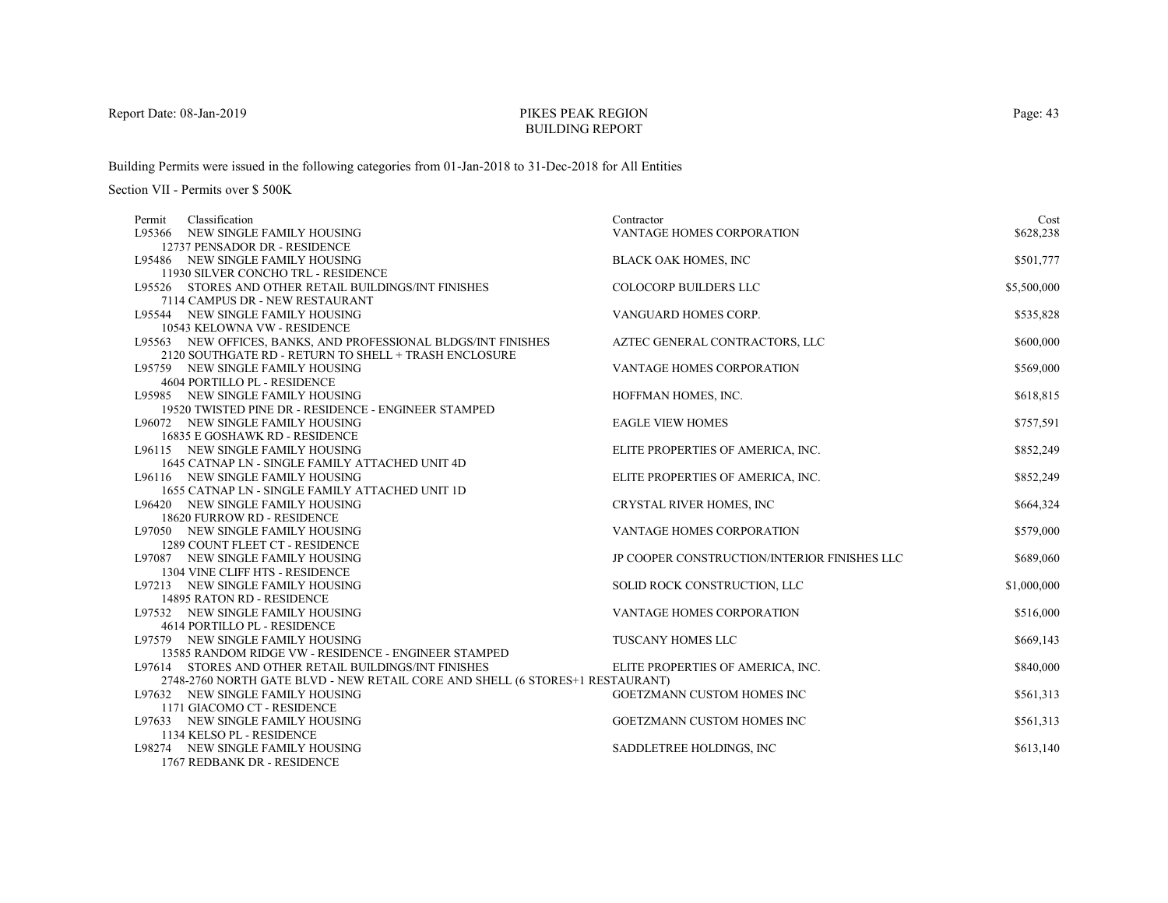# PIKES PEAK REGIONBUILDING REPORT

Building Permits were issued in the following categories from 01-Jan-2018 to 31-Dec-2018 for All Entities

| Classification<br>Permit                                                                 | Contractor                                   | Cost        |
|------------------------------------------------------------------------------------------|----------------------------------------------|-------------|
| L95366 NEW SINGLE FAMILY HOUSING                                                         | <b>VANTAGE HOMES CORPORATION</b>             | \$628,238   |
| 12737 PENSADOR DR - RESIDENCE                                                            |                                              |             |
| L95486 NEW SINGLE FAMILY HOUSING                                                         | <b>BLACK OAK HOMES, INC</b>                  | \$501,777   |
| 11930 SILVER CONCHO TRL - RESIDENCE                                                      |                                              |             |
| L95526 STORES AND OTHER RETAIL BUILDINGS/INT FINISHES                                    | <b>COLOCORP BUILDERS LLC</b>                 | \$5,500,000 |
| 7114 CAMPUS DR - NEW RESTAURANT                                                          |                                              |             |
| L95544 NEW SINGLE FAMILY HOUSING                                                         | VANGUARD HOMES CORP.                         | \$535,828   |
| 10543 KELOWNA VW - RESIDENCE                                                             |                                              |             |
| L95563 NEW OFFICES, BANKS, AND PROFESSIONAL BLDGS/INT FINISHES                           | AZTEC GENERAL CONTRACTORS, LLC               | \$600,000   |
| 2120 SOUTHGATE RD - RETURN TO SHELL + TRASH ENCLOSURE                                    |                                              |             |
| L95759 NEW SINGLE FAMILY HOUSING                                                         | VANTAGE HOMES CORPORATION                    | \$569,000   |
| <b>4604 PORTILLO PL - RESIDENCE</b>                                                      |                                              |             |
| L95985 NEW SINGLE FAMILY HOUSING                                                         | HOFFMAN HOMES, INC.                          | \$618,815   |
| 19520 TWISTED PINE DR - RESIDENCE - ENGINEER STAMPED                                     |                                              |             |
| L96072 NEW SINGLE FAMILY HOUSING                                                         | <b>EAGLE VIEW HOMES</b>                      | \$757,591   |
| 16835 E GOSHAWK RD - RESIDENCE                                                           |                                              |             |
| L96115 NEW SINGLE FAMILY HOUSING                                                         | ELITE PROPERTIES OF AMERICA, INC.            | \$852,249   |
| 1645 CATNAP LN - SINGLE FAMILY ATTACHED UNIT 4D                                          |                                              |             |
| L96116 NEW SINGLE FAMILY HOUSING                                                         | ELITE PROPERTIES OF AMERICA, INC.            | \$852,249   |
| 1655 CATNAP LN - SINGLE FAMILY ATTACHED UNIT 1D                                          |                                              |             |
| L96420 NEW SINGLE FAMILY HOUSING                                                         | CRYSTAL RIVER HOMES, INC                     | \$664,324   |
| 18620 FURROW RD - RESIDENCE                                                              |                                              |             |
| L97050 NEW SINGLE FAMILY HOUSING                                                         | <b>VANTAGE HOMES CORPORATION</b>             | \$579,000   |
| 1289 COUNT FLEET CT - RESIDENCE                                                          |                                              |             |
| L97087 NEW SINGLE FAMILY HOUSING                                                         | JP COOPER CONSTRUCTION/INTERIOR FINISHES LLC | \$689,060   |
| 1304 VINE CLIFF HTS - RESIDENCE                                                          |                                              |             |
| L97213 NEW SINGLE FAMILY HOUSING                                                         | SOLID ROCK CONSTRUCTION, LLC                 | \$1,000,000 |
| 14895 RATON RD - RESIDENCE                                                               |                                              |             |
| L97532 NEW SINGLE FAMILY HOUSING                                                         | VANTAGE HOMES CORPORATION                    | \$516,000   |
| 4614 PORTILLO PL - RESIDENCE                                                             |                                              |             |
| L97579 NEW SINGLE FAMILY HOUSING<br>13585 RANDOM RIDGE VW - RESIDENCE - ENGINEER STAMPED | <b>TUSCANY HOMES LLC</b>                     | \$669,143   |
| L97614 STORES AND OTHER RETAIL BUILDINGS/INT FINISHES                                    |                                              | \$840,000   |
| 2748-2760 NORTH GATE BLVD - NEW RETAIL CORE AND SHELL (6 STORES+1 RESTAURANT)            | ELITE PROPERTIES OF AMERICA, INC.            |             |
| L97632 NEW SINGLE FAMILY HOUSING                                                         | GOETZMANN CUSTOM HOMES INC                   | \$561,313   |
| 1171 GIACOMO CT - RESIDENCE                                                              |                                              |             |
| L97633 NEW SINGLE FAMILY HOUSING                                                         | <b>GOETZMANN CUSTOM HOMES INC</b>            | \$561,313   |
| 1134 KELSO PL - RESIDENCE                                                                |                                              |             |
| L98274 NEW SINGLE FAMILY HOUSING                                                         | SADDLETREE HOLDINGS, INC                     | \$613,140   |
| 1767 REDBANK DR - RESIDENCE                                                              |                                              |             |
|                                                                                          |                                              |             |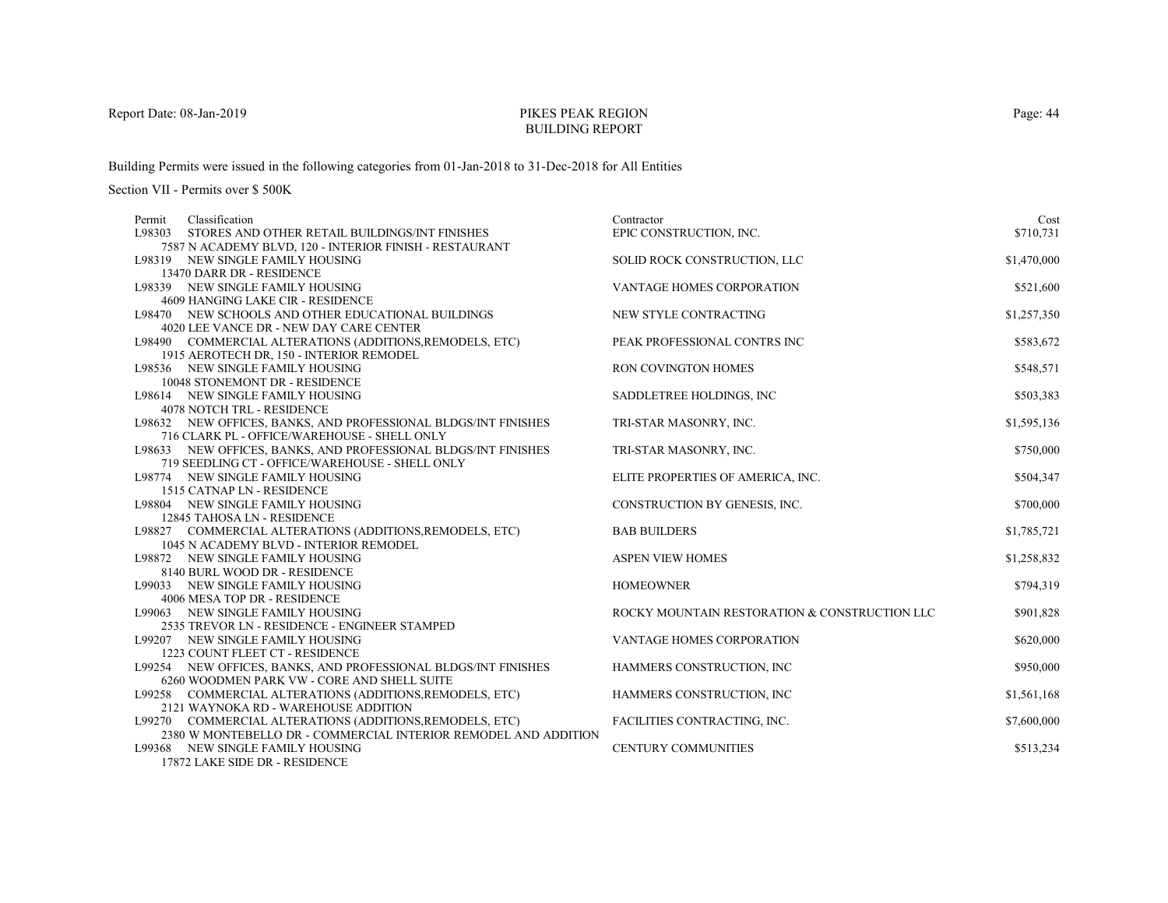# PIKES PEAK REGIONBUILDING REPORT

Building Permits were issued in the following categories from 01-Jan-2018 to 31-Dec-2018 for All Entities

Section VII - Permits over \$ 500K

| Classification<br>Permit                                          | Contractor                                    | Cost        |
|-------------------------------------------------------------------|-----------------------------------------------|-------------|
| L98303<br>STORES AND OTHER RETAIL BUILDINGS/INT FINISHES          | EPIC CONSTRUCTION, INC.                       | \$710,731   |
| 7587 N ACADEMY BLVD, 120 - INTERIOR FINISH - RESTAURANT           |                                               |             |
| L98319 NEW SINGLE FAMILY HOUSING                                  | SOLID ROCK CONSTRUCTION, LLC                  | \$1,470,000 |
| 13470 DARR DR - RESIDENCE                                         |                                               |             |
| L98339 NEW SINGLE FAMILY HOUSING                                  | VANTAGE HOMES CORPORATION                     | \$521,600   |
| 4609 HANGING LAKE CIR - RESIDENCE                                 |                                               |             |
| L98470 NEW SCHOOLS AND OTHER EDUCATIONAL BUILDINGS                | NEW STYLE CONTRACTING                         | \$1,257,350 |
| 4020 LEE VANCE DR - NEW DAY CARE CENTER                           |                                               |             |
| L98490 COMMERCIAL ALTERATIONS (ADDITIONS, REMODELS, ETC)          | PEAK PROFESSIONAL CONTRS INC                  | \$583,672   |
| 1915 AEROTECH DR, 150 - INTERIOR REMODEL                          |                                               |             |
| L98536 NEW SINGLE FAMILY HOUSING                                  | <b>RON COVINGTON HOMES</b>                    | \$548,571   |
| 10048 STONEMONT DR - RESIDENCE                                    |                                               |             |
| L98614 NEW SINGLE FAMILY HOUSING                                  | SADDLETREE HOLDINGS, INC                      | \$503,383   |
| <b>4078 NOTCH TRL - RESIDENCE</b>                                 |                                               |             |
| L98632 NEW OFFICES, BANKS, AND PROFESSIONAL BLDGS/INT FINISHES    | TRI-STAR MASONRY, INC.                        | \$1,595,136 |
| 716 CLARK PL - OFFICE/WAREHOUSE - SHELL ONLY                      |                                               |             |
| L98633 NEW OFFICES, BANKS, AND PROFESSIONAL BLDGS/INT FINISHES    | TRI-STAR MASONRY, INC.                        | \$750,000   |
| 719 SEEDLING CT - OFFICE/WAREHOUSE - SHELL ONLY                   |                                               |             |
| L98774 NEW SINGLE FAMILY HOUSING                                  | ELITE PROPERTIES OF AMERICA, INC.             | \$504,347   |
| 1515 CATNAP LN - RESIDENCE                                        |                                               |             |
| L98804 NEW SINGLE FAMILY HOUSING                                  | CONSTRUCTION BY GENESIS, INC.                 | \$700,000   |
| 12845 TAHOSA LN - RESIDENCE                                       |                                               |             |
| L98827 COMMERCIAL ALTERATIONS (ADDITIONS, REMODELS, ETC)          | <b>BAB BUILDERS</b>                           | \$1,785,721 |
| 1045 N ACADEMY BLVD - INTERIOR REMODEL                            |                                               |             |
| L98872 NEW SINGLE FAMILY HOUSING                                  | <b>ASPEN VIEW HOMES</b>                       | \$1,258,832 |
| 8140 BURL WOOD DR - RESIDENCE                                     |                                               |             |
| L99033 NEW SINGLE FAMILY HOUSING                                  | <b>HOMEOWNER</b>                              | \$794,319   |
| 4006 MESA TOP DR - RESIDENCE                                      |                                               |             |
| L99063 NEW SINGLE FAMILY HOUSING                                  | ROCKY MOUNTAIN RESTORATION & CONSTRUCTION LLC | \$901,828   |
| 2535 TREVOR LN - RESIDENCE - ENGINEER STAMPED                     |                                               |             |
| L99207 NEW SINGLE FAMILY HOUSING                                  | <b>VANTAGE HOMES CORPORATION</b>              | \$620,000   |
| 1223 COUNT FLEET CT - RESIDENCE                                   |                                               |             |
| L99254 NEW OFFICES, BANKS, AND PROFESSIONAL BLDGS/INT FINISHES    | HAMMERS CONSTRUCTION, INC                     | \$950,000   |
| 6260 WOODMEN PARK VW - CORE AND SHELL SUITE                       |                                               |             |
| L99258 COMMERCIAL ALTERATIONS (ADDITIONS, REMODELS, ETC)          | HAMMERS CONSTRUCTION, INC                     | \$1,561,168 |
| 2121 WAYNOKA RD - WAREHOUSE ADDITION                              |                                               |             |
| L99270 COMMERCIAL ALTERATIONS (ADDITIONS, REMODELS, ETC)          | FACILITIES CONTRACTING, INC.                  | \$7,600,000 |
| 2380 W MONTEBELLO DR - COMMERCIAL INTERIOR REMODEL AND ADDITION   |                                               |             |
| L99368 NEW SINGLE FAMILY HOUSING<br>17072 LAVE CIDE DD. DECIDEMAT | CENTURY COMMUNITIES                           | \$513,234   |

17872 LAKE SIDE DR - RESIDENCE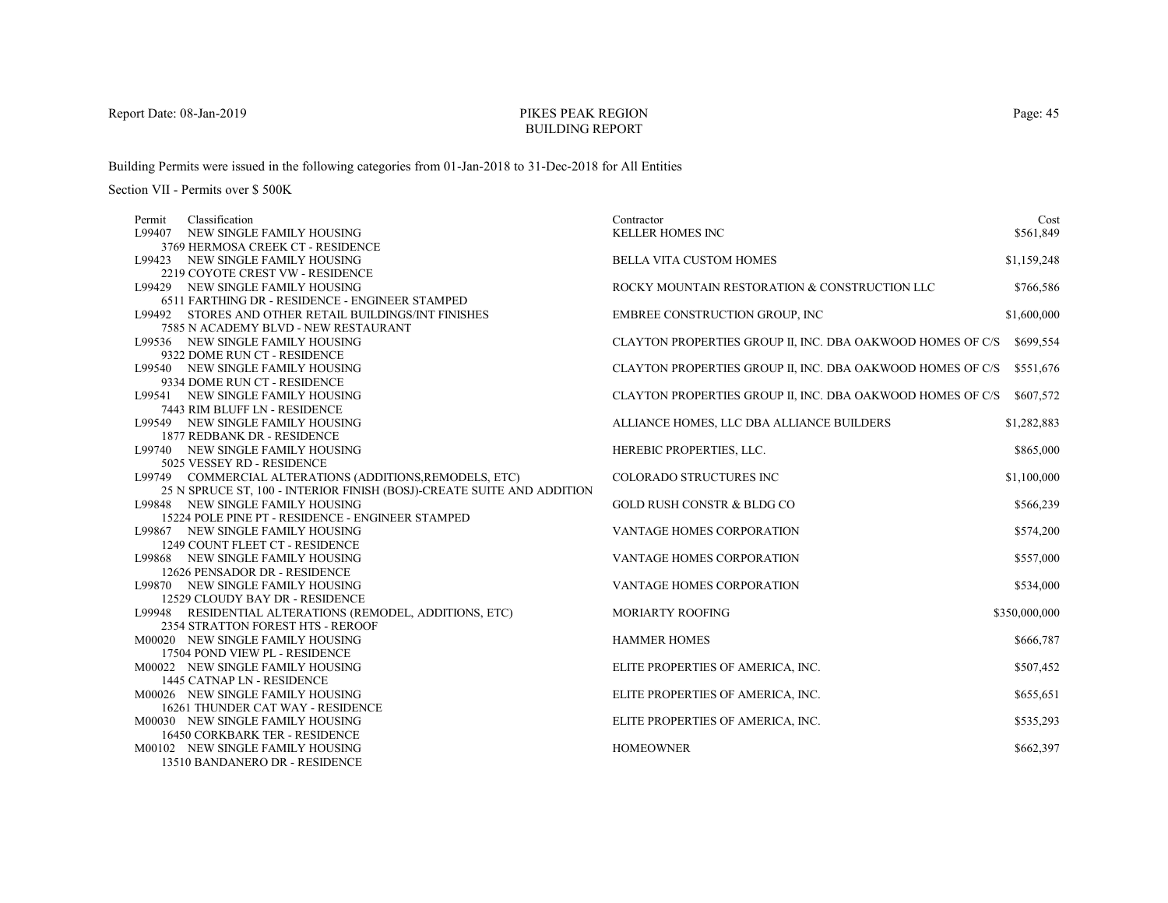# PIKES PEAK REGIONBUILDING REPORT

Building Permits were issued in the following categories from 01-Jan-2018 to 31-Dec-2018 for All Entities

| Classification<br>Permit                                               | Contractor                                                 | Cost          |
|------------------------------------------------------------------------|------------------------------------------------------------|---------------|
| NEW SINGLE FAMILY HOUSING<br>L99407                                    | <b>KELLER HOMES INC</b>                                    | \$561,849     |
| 3769 HERMOSA CREEK CT - RESIDENCE                                      |                                                            |               |
| L99423 NEW SINGLE FAMILY HOUSING                                       | <b>BELLA VITA CUSTOM HOMES</b>                             | \$1,159,248   |
| 2219 COYOTE CREST VW - RESIDENCE                                       |                                                            |               |
| L99429 NEW SINGLE FAMILY HOUSING                                       | ROCKY MOUNTAIN RESTORATION & CONSTRUCTION LLC              | \$766,586     |
| 6511 FARTHING DR - RESIDENCE - ENGINEER STAMPED                        |                                                            |               |
| L99492 STORES AND OTHER RETAIL BUILDINGS/INT FINISHES                  | EMBREE CONSTRUCTION GROUP, INC                             | \$1,600,000   |
| 7585 N ACADEMY BLVD - NEW RESTAURANT                                   |                                                            |               |
| L99536 NEW SINGLE FAMILY HOUSING                                       | CLAYTON PROPERTIES GROUP II, INC. DBA OAKWOOD HOMES OF C/S | \$699,554     |
| 9322 DOME RUN CT - RESIDENCE                                           |                                                            |               |
| L99540 NEW SINGLE FAMILY HOUSING                                       | CLAYTON PROPERTIES GROUP II, INC. DBA OAKWOOD HOMES OF C/S | \$551,676     |
| 9334 DOME RUN CT - RESIDENCE                                           |                                                            |               |
| L99541 NEW SINGLE FAMILY HOUSING                                       | CLAYTON PROPERTIES GROUP II, INC. DBA OAKWOOD HOMES OF C/S | \$607,572     |
| 7443 RIM BLUFF LN - RESIDENCE                                          |                                                            |               |
| L99549 NEW SINGLE FAMILY HOUSING                                       | ALLIANCE HOMES, LLC DBA ALLIANCE BUILDERS                  | \$1,282,883   |
| 1877 REDBANK DR - RESIDENCE                                            |                                                            |               |
| L99740 NEW SINGLE FAMILY HOUSING                                       | HEREBIC PROPERTIES, LLC.                                   | \$865,000     |
| 5025 VESSEY RD - RESIDENCE                                             |                                                            |               |
| L99749 COMMERCIAL ALTERATIONS (ADDITIONS, REMODELS, ETC)               | COLORADO STRUCTURES INC                                    | \$1,100,000   |
| 25 N SPRUCE ST, 100 - INTERIOR FINISH (BOSJ)-CREATE SUITE AND ADDITION |                                                            |               |
| L99848 NEW SINGLE FAMILY HOUSING                                       | <b>GOLD RUSH CONSTR &amp; BLDG CO</b>                      | \$566,239     |
| 15224 POLE PINE PT - RESIDENCE - ENGINEER STAMPED                      |                                                            |               |
| L99867 NEW SINGLE FAMILY HOUSING                                       | VANTAGE HOMES CORPORATION                                  | \$574,200     |
| 1249 COUNT FLEET CT - RESIDENCE                                        |                                                            |               |
| L99868 NEW SINGLE FAMILY HOUSING                                       | VANTAGE HOMES CORPORATION                                  | \$557,000     |
| 12626 PENSADOR DR - RESIDENCE                                          |                                                            |               |
| L99870 NEW SINGLE FAMILY HOUSING                                       | VANTAGE HOMES CORPORATION                                  | \$534,000     |
| 12529 CLOUDY BAY DR - RESIDENCE                                        |                                                            |               |
| L99948 RESIDENTIAL ALTERATIONS (REMODEL, ADDITIONS, ETC)               | <b>MORIARTY ROOFING</b>                                    | \$350,000,000 |
| 2354 STRATTON FOREST HTS - REROOF                                      |                                                            |               |
| M00020 NEW SINGLE FAMILY HOUSING                                       | <b>HAMMER HOMES</b>                                        | \$666,787     |
| 17504 POND VIEW PL - RESIDENCE                                         |                                                            |               |
| M00022 NEW SINGLE FAMILY HOUSING                                       | ELITE PROPERTIES OF AMERICA, INC.                          | \$507,452     |
| 1445 CATNAP LN - RESIDENCE                                             |                                                            |               |
| M00026 NEW SINGLE FAMILY HOUSING                                       | ELITE PROPERTIES OF AMERICA, INC.                          | \$655,651     |
| 16261 THUNDER CAT WAY - RESIDENCE                                      |                                                            |               |
| M00030 NEW SINGLE FAMILY HOUSING                                       | ELITE PROPERTIES OF AMERICA, INC.                          | \$535,293     |
| <b>16450 CORKBARK TER - RESIDENCE</b>                                  |                                                            |               |
| M00102 NEW SINGLE FAMILY HOUSING                                       | <b>HOMEOWNER</b>                                           | \$662,397     |
| 13510 BANDANERO DR - RESIDENCE                                         |                                                            |               |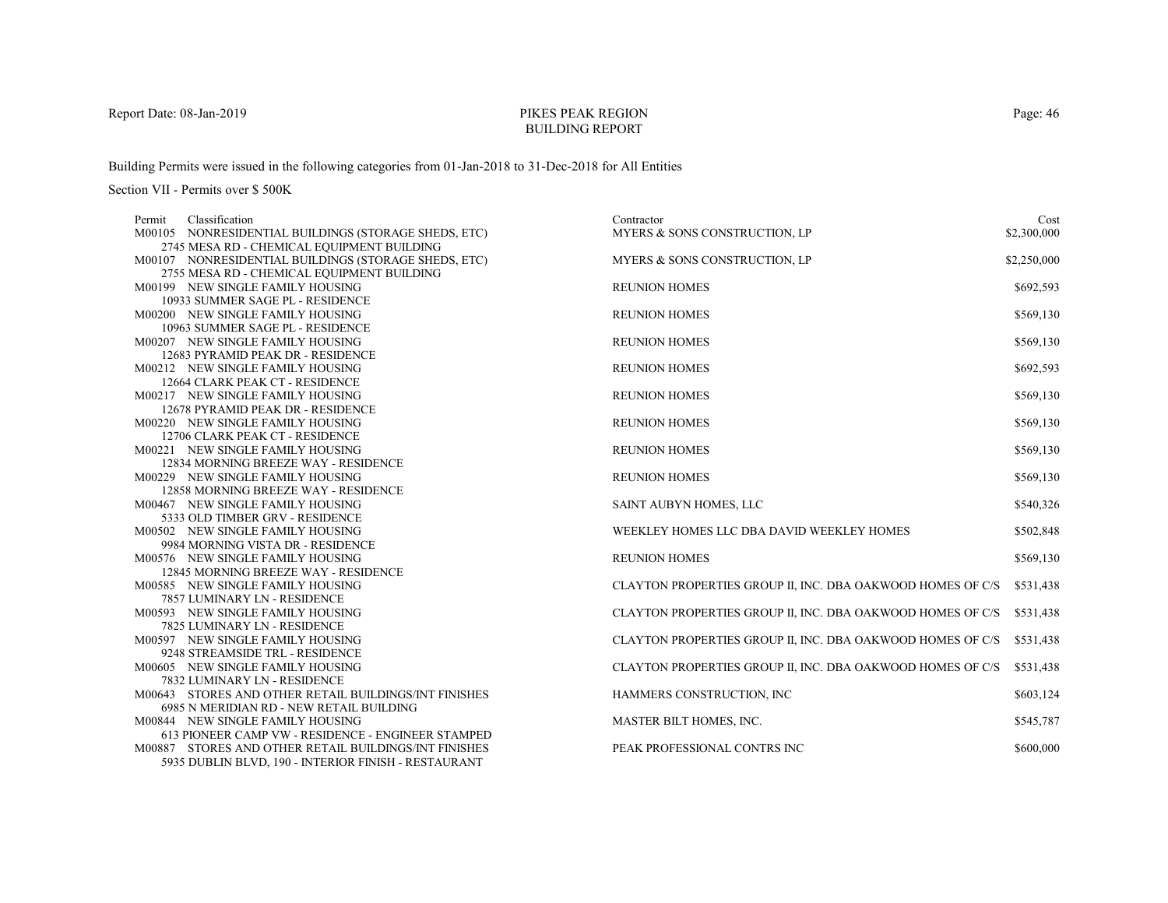# PIKES PEAK REGIONBUILDING REPORT

Building Permits were issued in the following categories from 01-Jan-2018 to 31-Dec-2018 for All Entities

| Classification<br>Permit                              | Contractor                                                 | Cost        |
|-------------------------------------------------------|------------------------------------------------------------|-------------|
| M00105 NONRESIDENTIAL BUILDINGS (STORAGE SHEDS, ETC)  | MYERS & SONS CONSTRUCTION, LP                              | \$2,300,000 |
| 2745 MESA RD - CHEMICAL EQUIPMENT BUILDING            |                                                            |             |
| M00107 NONRESIDENTIAL BUILDINGS (STORAGE SHEDS, ETC)  | MYERS & SONS CONSTRUCTION, LP                              | \$2,250,000 |
| 2755 MESA RD - CHEMICAL EQUIPMENT BUILDING            |                                                            |             |
| M00199 NEW SINGLE FAMILY HOUSING                      | <b>REUNION HOMES</b>                                       | \$692,593   |
| 10933 SUMMER SAGE PL - RESIDENCE                      |                                                            |             |
| M00200 NEW SINGLE FAMILY HOUSING                      | <b>REUNION HOMES</b>                                       | \$569,130   |
| 10963 SUMMER SAGE PL - RESIDENCE                      |                                                            |             |
| M00207 NEW SINGLE FAMILY HOUSING                      | <b>REUNION HOMES</b>                                       | \$569,130   |
| 12683 PYRAMID PEAK DR - RESIDENCE                     |                                                            |             |
| M00212 NEW SINGLE FAMILY HOUSING                      | <b>REUNION HOMES</b>                                       | \$692,593   |
| 12664 CLARK PEAK CT - RESIDENCE                       |                                                            |             |
| M00217 NEW SINGLE FAMILY HOUSING                      | <b>REUNION HOMES</b>                                       | \$569,130   |
| 12678 PYRAMID PEAK DR - RESIDENCE                     |                                                            |             |
| M00220 NEW SINGLE FAMILY HOUSING                      | <b>REUNION HOMES</b>                                       | \$569,130   |
| 12706 CLARK PEAK CT - RESIDENCE                       |                                                            |             |
| M00221 NEW SINGLE FAMILY HOUSING                      | <b>REUNION HOMES</b>                                       | \$569,130   |
| 12834 MORNING BREEZE WAY - RESIDENCE                  |                                                            |             |
| M00229 NEW SINGLE FAMILY HOUSING                      | <b>REUNION HOMES</b>                                       | \$569,130   |
| 12858 MORNING BREEZE WAY - RESIDENCE                  |                                                            |             |
| M00467 NEW SINGLE FAMILY HOUSING                      | SAINT AUBYN HOMES, LLC                                     | \$540,326   |
| 5333 OLD TIMBER GRV - RESIDENCE                       |                                                            |             |
| M00502 NEW SINGLE FAMILY HOUSING                      | WEEKLEY HOMES LLC DBA DAVID WEEKLEY HOMES                  | \$502,848   |
| 9984 MORNING VISTA DR - RESIDENCE                     |                                                            |             |
| M00576 NEW SINGLE FAMILY HOUSING                      | <b>REUNION HOMES</b>                                       | \$569,130   |
| 12845 MORNING BREEZE WAY - RESIDENCE                  |                                                            |             |
| M00585 NEW SINGLE FAMILY HOUSING                      | CLAYTON PROPERTIES GROUP II, INC. DBA OAKWOOD HOMES OF C/S | \$531,438   |
| 7857 LUMINARY LN - RESIDENCE                          |                                                            |             |
| M00593 NEW SINGLE FAMILY HOUSING                      | CLAYTON PROPERTIES GROUP II, INC. DBA OAKWOOD HOMES OF C/S | \$531,438   |
| 7825 LUMINARY LN - RESIDENCE                          |                                                            |             |
| M00597 NEW SINGLE FAMILY HOUSING                      | CLAYTON PROPERTIES GROUP II, INC. DBA OAKWOOD HOMES OF C/S | \$531,438   |
| 9248 STREAMSIDE TRL - RESIDENCE                       |                                                            |             |
| M00605 NEW SINGLE FAMILY HOUSING                      | CLAYTON PROPERTIES GROUP II, INC. DBA OAKWOOD HOMES OF C/S | \$531,438   |
| 7832 LUMINARY LN - RESIDENCE                          |                                                            |             |
| M00643 STORES AND OTHER RETAIL BUILDINGS/INT FINISHES | HAMMERS CONSTRUCTION, INC                                  | \$603,124   |
| 6985 N MERIDIAN RD - NEW RETAIL BUILDING              |                                                            |             |
| M00844 NEW SINGLE FAMILY HOUSING                      | MASTER BILT HOMES, INC.                                    | \$545,787   |
| 613 PIONEER CAMP VW - RESIDENCE - ENGINEER STAMPED    |                                                            |             |
| M00887 STORES AND OTHER RETAIL BUILDINGS/INT FINISHES | PEAK PROFESSIONAL CONTRS INC                               | \$600,000   |
| 5935 DUBLIN BLVD, 190 - INTERIOR FINISH - RESTAURANT  |                                                            |             |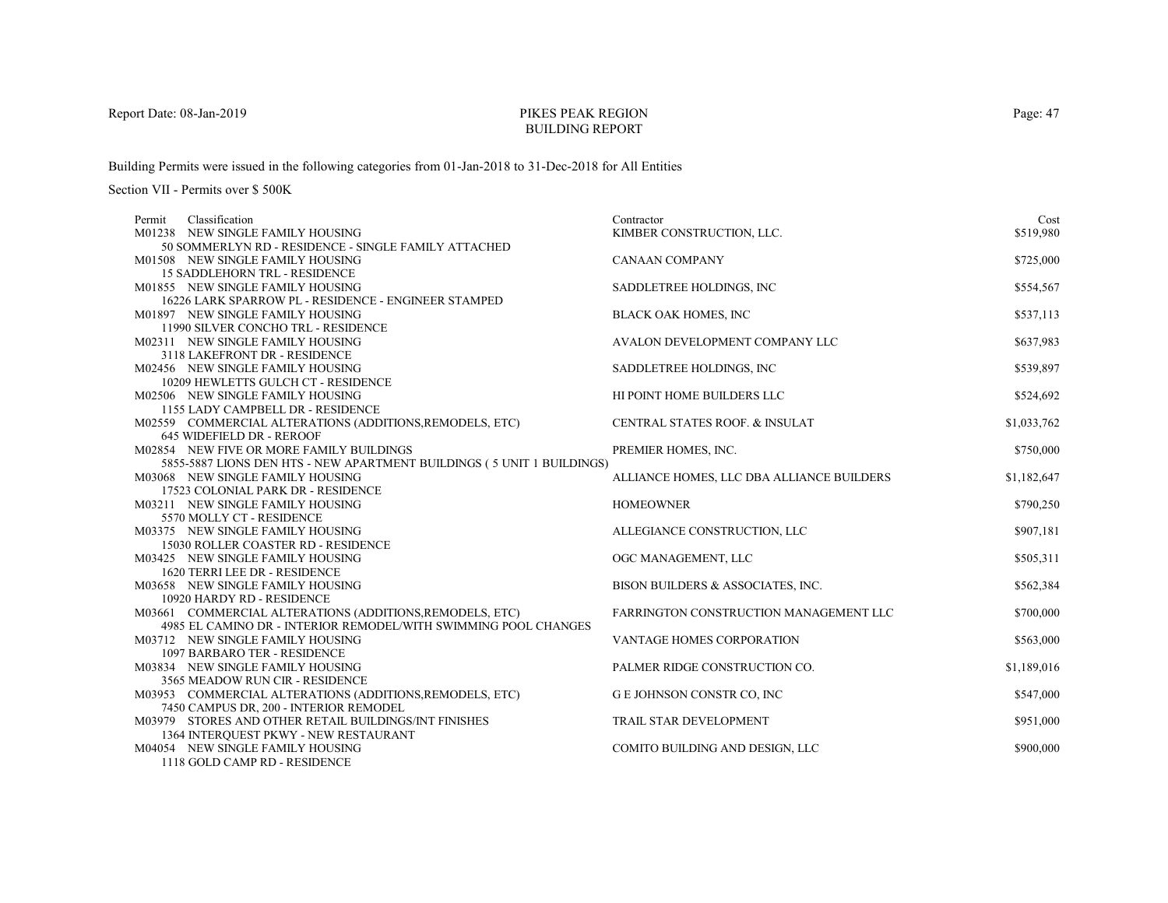# PIKES PEAK REGIONBUILDING REPORT

Building Permits were issued in the following categories from 01-Jan-2018 to 31-Dec-2018 for All Entities

| Classification<br>Permit                                               | Contractor                                | Cost        |
|------------------------------------------------------------------------|-------------------------------------------|-------------|
| M01238 NEW SINGLE FAMILY HOUSING                                       | KIMBER CONSTRUCTION, LLC.                 | \$519,980   |
| 50 SOMMERLYN RD - RESIDENCE - SINGLE FAMILY ATTACHED                   |                                           |             |
| M01508 NEW SINGLE FAMILY HOUSING                                       | <b>CANAAN COMPANY</b>                     | \$725,000   |
| <b>15 SADDLEHORN TRL - RESIDENCE</b>                                   |                                           |             |
| M01855 NEW SINGLE FAMILY HOUSING                                       | SADDLETREE HOLDINGS, INC.                 | \$554,567   |
| 16226 LARK SPARROW PL - RESIDENCE - ENGINEER STAMPED                   |                                           |             |
| M01897 NEW SINGLE FAMILY HOUSING                                       | BLACK OAK HOMES, INC                      | \$537,113   |
| 11990 SILVER CONCHO TRL - RESIDENCE                                    |                                           |             |
| M02311 NEW SINGLE FAMILY HOUSING                                       | AVALON DEVELOPMENT COMPANY LLC            | \$637,983   |
| 3118 LAKEFRONT DR - RESIDENCE                                          |                                           |             |
| M02456 NEW SINGLE FAMILY HOUSING                                       | SADDLETREE HOLDINGS, INC.                 | \$539,897   |
| 10209 HEWLETTS GULCH CT - RESIDENCE                                    |                                           |             |
| M02506 NEW SINGLE FAMILY HOUSING                                       | HI POINT HOME BUILDERS LLC                | \$524,692   |
| 1155 LADY CAMPBELL DR - RESIDENCE                                      |                                           |             |
| M02559 COMMERCIAL ALTERATIONS (ADDITIONS, REMODELS, ETC)               | CENTRAL STATES ROOF. & INSULAT            | \$1,033,762 |
| 645 WIDEFIELD DR - REROOF                                              |                                           |             |
| M02854 NEW FIVE OR MORE FAMILY BUILDINGS                               | PREMIER HOMES, INC.                       | \$750,000   |
| 5855-5887 LIONS DEN HTS - NEW APARTMENT BUILDINGS (5 UNIT 1 BUILDINGS) |                                           |             |
| M03068 NEW SINGLE FAMILY HOUSING                                       | ALLIANCE HOMES, LLC DBA ALLIANCE BUILDERS | \$1,182,647 |
| 17523 COLONIAL PARK DR - RESIDENCE                                     |                                           |             |
| M03211 NEW SINGLE FAMILY HOUSING                                       | <b>HOMEOWNER</b>                          | \$790,250   |
| 5570 MOLLY CT - RESIDENCE                                              |                                           |             |
| M03375 NEW SINGLE FAMILY HOUSING                                       | ALLEGIANCE CONSTRUCTION, LLC              | \$907,181   |
| 15030 ROLLER COASTER RD - RESIDENCE                                    |                                           |             |
| M03425 NEW SINGLE FAMILY HOUSING                                       | OGC MANAGEMENT, LLC                       | \$505,311   |
| 1620 TERRI LEE DR - RESIDENCE                                          |                                           |             |
| M03658 NEW SINGLE FAMILY HOUSING                                       | BISON BUILDERS & ASSOCIATES, INC.         | \$562,384   |
| 10920 HARDY RD - RESIDENCE                                             |                                           |             |
| M03661 COMMERCIAL ALTERATIONS (ADDITIONS, REMODELS, ETC)               | FARRINGTON CONSTRUCTION MANAGEMENT LLC    | \$700,000   |
| 4985 EL CAMINO DR - INTERIOR REMODEL/WITH SWIMMING POOL CHANGES        |                                           |             |
| M03712 NEW SINGLE FAMILY HOUSING                                       | VANTAGE HOMES CORPORATION                 | \$563,000   |
| <b>1097 BARBARO TER - RESIDENCE</b>                                    |                                           |             |
| M03834 NEW SINGLE FAMILY HOUSING                                       | PALMER RIDGE CONSTRUCTION CO.             | \$1,189,016 |
| 3565 MEADOW RUN CIR - RESIDENCE                                        |                                           |             |
| M03953 COMMERCIAL ALTERATIONS (ADDITIONS, REMODELS, ETC)               | G E JOHNSON CONSTR CO, INC                | \$547,000   |
| 7450 CAMPUS DR, 200 - INTERIOR REMODEL                                 |                                           |             |
| M03979 STORES AND OTHER RETAIL BUILDINGS/INT FINISHES                  | TRAIL STAR DEVELOPMENT                    | \$951,000   |
| 1364 INTERQUEST PKWY - NEW RESTAURANT                                  |                                           |             |
| M04054 NEW SINGLE FAMILY HOUSING                                       | COMITO BUILDING AND DESIGN, LLC           | \$900,000   |
| 1118 GOLD CAMP RD - RESIDENCE                                          |                                           |             |